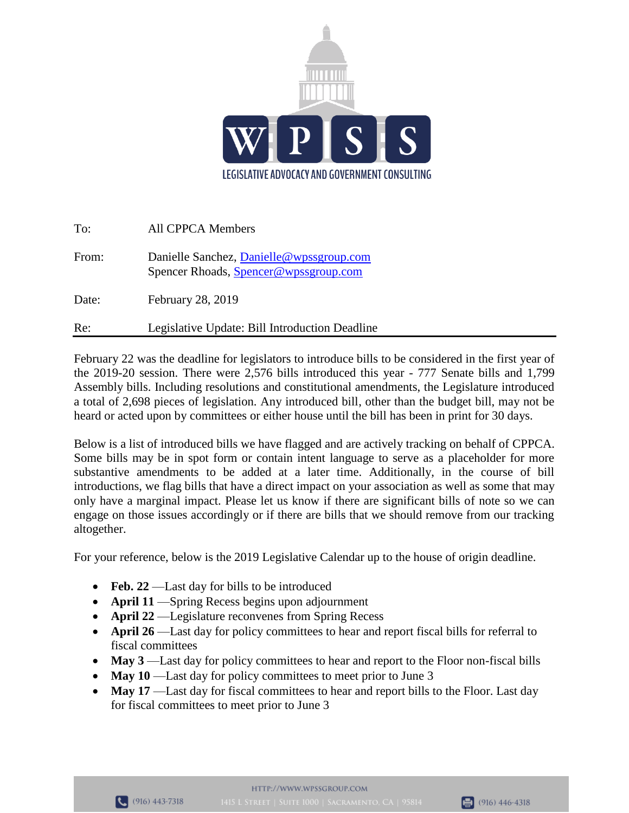

| Re:   | Legislative Update: Bill Introduction Deadline                                     |
|-------|------------------------------------------------------------------------------------|
| Date: | February 28, 2019                                                                  |
| From: | Danielle Sanchez, Danielle @wpssgroup.com<br>Spencer Rhoads, Spencer@wpssgroup.com |
| To:   | <b>All CPPCA Members</b>                                                           |

February 22 was the deadline for legislators to introduce bills to be considered in the first year of the 2019-20 session. There were 2,576 bills introduced this year - 777 Senate bills and 1,799 Assembly bills. Including resolutions and constitutional amendments, the Legislature introduced a total of 2,698 pieces of legislation. Any introduced bill, other than the budget bill, may not be heard or acted upon by committees or either house until the bill has been in print for 30 days.

Below is a list of introduced bills we have flagged and are actively tracking on behalf of CPPCA. Some bills may be in spot form or contain intent language to serve as a placeholder for more substantive amendments to be added at a later time. Additionally, in the course of bill introductions, we flag bills that have a direct impact on your association as well as some that may only have a marginal impact. Please let us know if there are significant bills of note so we can engage on those issues accordingly or if there are bills that we should remove from our tracking altogether.

For your reference, below is the 2019 Legislative Calendar up to the house of origin deadline.

- **Feb. 22** Last day for bills to be introduced
- **April 11** —Spring Recess begins upon adjournment
- **April 22** Legislature reconvenes from Spring Recess
- **April 26** —Last day for policy committees to hear and report fiscal bills for referral to fiscal committees
- May 3—Last day for policy committees to hear and report to the Floor non-fiscal bills
- May 10 —Last day for policy committees to meet prior to June 3
- May 17 —Last day for fiscal committees to hear and report bills to the Floor. Last day for fiscal committees to meet prior to June 3

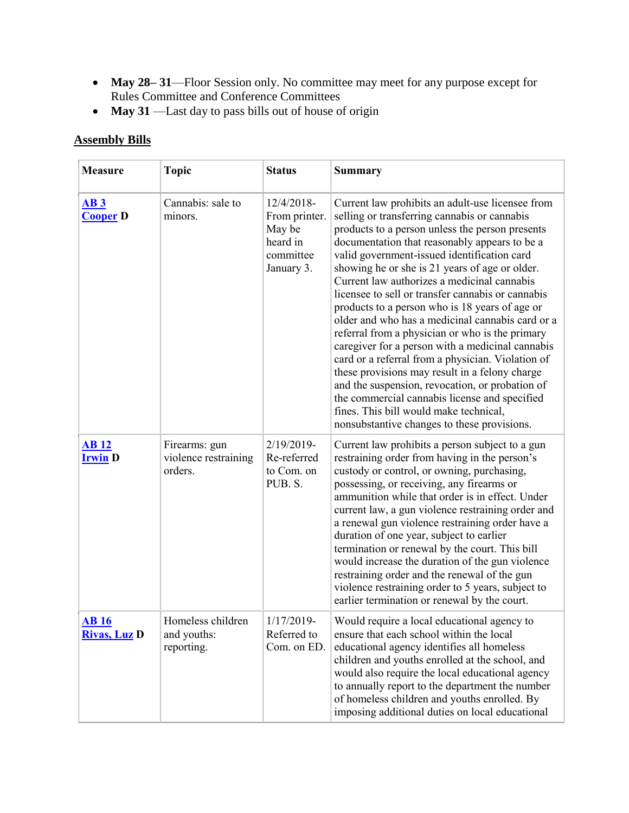- **May 28– 31**—Floor Session only. No committee may meet for any purpose except for Rules Committee and Conference Committees
- **May 31** —Last day to pass bills out of house of origin

## **Assembly Bills**

| <b>Measure</b>                            | <b>Topic</b>                                     | <b>Status</b>                                                                | <b>Summary</b>                                                                                                                                                                                                                                                                                                                                                                                                                                                                                                                                                                                                                                                                                                                                                                                                                                                                                                             |
|-------------------------------------------|--------------------------------------------------|------------------------------------------------------------------------------|----------------------------------------------------------------------------------------------------------------------------------------------------------------------------------------------------------------------------------------------------------------------------------------------------------------------------------------------------------------------------------------------------------------------------------------------------------------------------------------------------------------------------------------------------------------------------------------------------------------------------------------------------------------------------------------------------------------------------------------------------------------------------------------------------------------------------------------------------------------------------------------------------------------------------|
| AB3<br><b>Cooper D</b>                    | Cannabis: sale to<br>minors.                     | 12/4/2018-<br>From printer.<br>May be<br>heard in<br>committee<br>January 3. | Current law prohibits an adult-use licensee from<br>selling or transferring cannabis or cannabis<br>products to a person unless the person presents<br>documentation that reasonably appears to be a<br>valid government-issued identification card<br>showing he or she is 21 years of age or older.<br>Current law authorizes a medicinal cannabis<br>licensee to sell or transfer cannabis or cannabis<br>products to a person who is 18 years of age or<br>older and who has a medicinal cannabis card or a<br>referral from a physician or who is the primary<br>caregiver for a person with a medicinal cannabis<br>card or a referral from a physician. Violation of<br>these provisions may result in a felony charge<br>and the suspension, revocation, or probation of<br>the commercial cannabis license and specified<br>fines. This bill would make technical,<br>nonsubstantive changes to these provisions. |
| <b>AB</b> <sub>12</sub><br><b>Irwin D</b> | Firearms: gun<br>violence restraining<br>orders. | 2/19/2019-<br>Re-referred<br>to Com. on<br>PUB. S.                           | Current law prohibits a person subject to a gun<br>restraining order from having in the person's<br>custody or control, or owning, purchasing,<br>possessing, or receiving, any firearms or<br>ammunition while that order is in effect. Under<br>current law, a gun violence restraining order and<br>a renewal gun violence restraining order have a<br>duration of one year, subject to earlier<br>termination or renewal by the court. This bill<br>would increase the duration of the gun violence<br>restraining order and the renewal of the gun<br>violence restraining order to 5 years, subject to<br>earlier termination or renewal by the court.                                                                                                                                                                                                                                                               |
| <b>AB</b> 16<br><b>Rivas, Luz D</b>       | Homeless children<br>and youths:<br>reporting.   | 1/17/2019<br>Referred to<br>Com. on ED.                                      | Would require a local educational agency to<br>ensure that each school within the local<br>educational agency identifies all homeless<br>children and youths enrolled at the school, and<br>would also require the local educational agency<br>to annually report to the department the number<br>of homeless children and youths enrolled. By<br>imposing additional duties on local educational                                                                                                                                                                                                                                                                                                                                                                                                                                                                                                                          |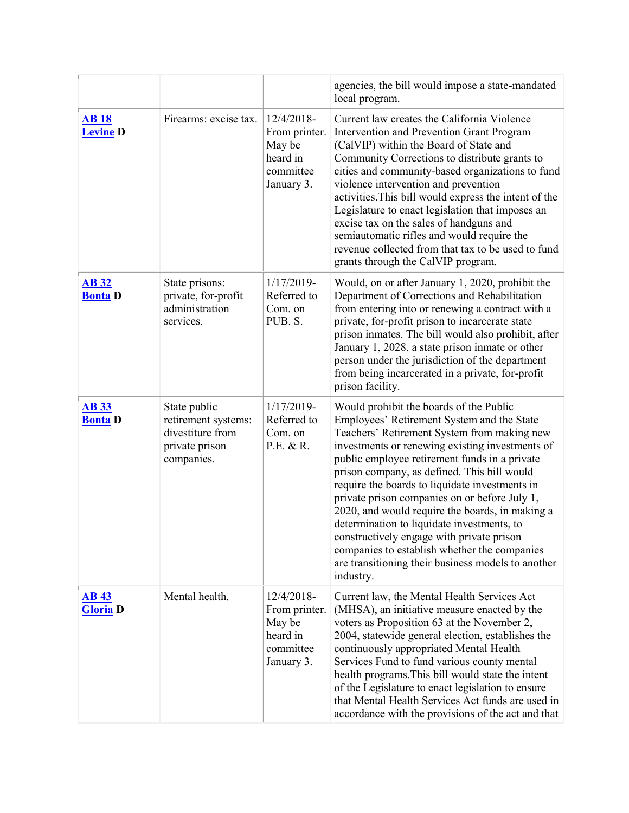|                                 |                                                                                         |                                                                              | agencies, the bill would impose a state-mandated<br>local program.                                                                                                                                                                                                                                                                                                                                                                                                                                                                                                                                                                                          |
|---------------------------------|-----------------------------------------------------------------------------------------|------------------------------------------------------------------------------|-------------------------------------------------------------------------------------------------------------------------------------------------------------------------------------------------------------------------------------------------------------------------------------------------------------------------------------------------------------------------------------------------------------------------------------------------------------------------------------------------------------------------------------------------------------------------------------------------------------------------------------------------------------|
| <b>AB18</b><br><b>Levine D</b>  | Firearms: excise tax.                                                                   | 12/4/2018-<br>From printer.<br>May be<br>heard in<br>committee<br>January 3. | Current law creates the California Violence<br>Intervention and Prevention Grant Program<br>(CalVIP) within the Board of State and<br>Community Corrections to distribute grants to<br>cities and community-based organizations to fund<br>violence intervention and prevention<br>activities. This bill would express the intent of the<br>Legislature to enact legislation that imposes an<br>excise tax on the sales of handguns and<br>semiautomatic rifles and would require the<br>revenue collected from that tax to be used to fund<br>grants through the CalVIP program.                                                                           |
| <b>AB 32</b><br><b>Bonta D</b>  | State prisons:<br>private, for-profit<br>administration<br>services.                    | 1/17/2019-<br>Referred to<br>Com. on<br>PUB. S.                              | Would, on or after January 1, 2020, prohibit the<br>Department of Corrections and Rehabilitation<br>from entering into or renewing a contract with a<br>private, for-profit prison to incarcerate state<br>prison inmates. The bill would also prohibit, after<br>January 1, 2028, a state prison inmate or other<br>person under the jurisdiction of the department<br>from being incarcerated in a private, for-profit<br>prison facility.                                                                                                                                                                                                                |
| <b>AB 33</b><br><b>Bonta</b> D  | State public<br>retirement systems:<br>divestiture from<br>private prison<br>companies. | 1/17/2019-<br>Referred to<br>Com. on<br>P.E. & R.                            | Would prohibit the boards of the Public<br>Employees' Retirement System and the State<br>Teachers' Retirement System from making new<br>investments or renewing existing investments of<br>public employee retirement funds in a private<br>prison company, as defined. This bill would<br>require the boards to liquidate investments in<br>private prison companies on or before July 1,<br>2020, and would require the boards, in making a<br>determination to liquidate investments, to<br>constructively engage with private prison<br>companies to establish whether the companies<br>are transitioning their business models to another<br>industry. |
| <b>AB 43</b><br><b>Gloria</b> D | Mental health.                                                                          | 12/4/2018-<br>From printer.<br>May be<br>heard in<br>committee<br>January 3. | Current law, the Mental Health Services Act<br>(MHSA), an initiative measure enacted by the<br>voters as Proposition 63 at the November 2,<br>2004, statewide general election, establishes the<br>continuously appropriated Mental Health<br>Services Fund to fund various county mental<br>health programs. This bill would state the intent<br>of the Legislature to enact legislation to ensure<br>that Mental Health Services Act funds are used in<br>accordance with the provisions of the act and that                                                                                                                                              |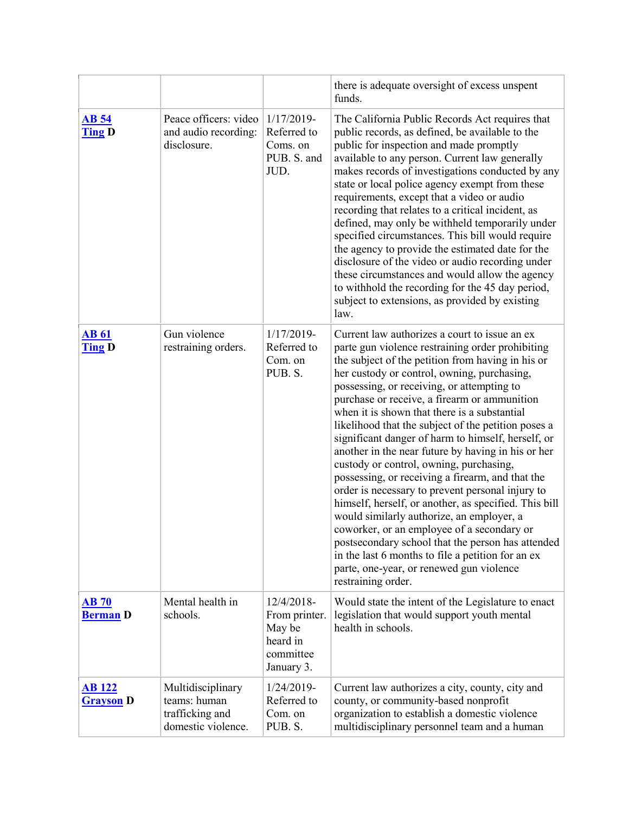|                                   |                                                                            |                                                                              | there is adequate oversight of excess unspent<br>funds.                                                                                                                                                                                                                                                                                                                                                                                                                                                                                                                                                                                                                                                                                                                                                                                                                                                                                                                                                   |
|-----------------------------------|----------------------------------------------------------------------------|------------------------------------------------------------------------------|-----------------------------------------------------------------------------------------------------------------------------------------------------------------------------------------------------------------------------------------------------------------------------------------------------------------------------------------------------------------------------------------------------------------------------------------------------------------------------------------------------------------------------------------------------------------------------------------------------------------------------------------------------------------------------------------------------------------------------------------------------------------------------------------------------------------------------------------------------------------------------------------------------------------------------------------------------------------------------------------------------------|
| <b>AB</b> 54<br><b>Ting D</b>     | Peace officers: video<br>and audio recording:<br>disclosure.               | 1/17/2019-<br>Referred to<br>Coms. on<br>PUB. S. and<br>JUD.                 | The California Public Records Act requires that<br>public records, as defined, be available to the<br>public for inspection and made promptly<br>available to any person. Current law generally<br>makes records of investigations conducted by any<br>state or local police agency exempt from these<br>requirements, except that a video or audio<br>recording that relates to a critical incident, as<br>defined, may only be withheld temporarily under<br>specified circumstances. This bill would require<br>the agency to provide the estimated date for the<br>disclosure of the video or audio recording under<br>these circumstances and would allow the agency<br>to withhold the recording for the 45 day period,<br>subject to extensions, as provided by existing<br>law.                                                                                                                                                                                                                   |
| <b>AB 61</b><br><b>Ting D</b>     | Gun violence<br>restraining orders.                                        | $1/17/2019-$<br>Referred to<br>Com. on<br>PUB. S.                            | Current law authorizes a court to issue an ex<br>parte gun violence restraining order prohibiting<br>the subject of the petition from having in his or<br>her custody or control, owning, purchasing,<br>possessing, or receiving, or attempting to<br>purchase or receive, a firearm or ammunition<br>when it is shown that there is a substantial<br>likelihood that the subject of the petition poses a<br>significant danger of harm to himself, herself, or<br>another in the near future by having in his or her<br>custody or control, owning, purchasing,<br>possessing, or receiving a firearm, and that the<br>order is necessary to prevent personal injury to<br>himself, herself, or another, as specified. This bill<br>would similarly authorize, an employer, a<br>coworker, or an employee of a secondary or<br>postsecondary school that the person has attended<br>in the last 6 months to file a petition for an ex<br>parte, one-year, or renewed gun violence<br>restraining order. |
| AB70<br><b>Berman</b> D           | Mental health in<br>schools.                                               | 12/4/2018-<br>From printer.<br>May be<br>heard in<br>committee<br>January 3. | Would state the intent of the Legislature to enact<br>legislation that would support youth mental<br>health in schools.                                                                                                                                                                                                                                                                                                                                                                                                                                                                                                                                                                                                                                                                                                                                                                                                                                                                                   |
| <b>AB</b> 122<br><b>Grayson</b> D | Multidisciplinary<br>teams: human<br>trafficking and<br>domestic violence. | $1/24/2019-$<br>Referred to<br>Com. on<br>PUB. S.                            | Current law authorizes a city, county, city and<br>county, or community-based nonprofit<br>organization to establish a domestic violence<br>multidisciplinary personnel team and a human                                                                                                                                                                                                                                                                                                                                                                                                                                                                                                                                                                                                                                                                                                                                                                                                                  |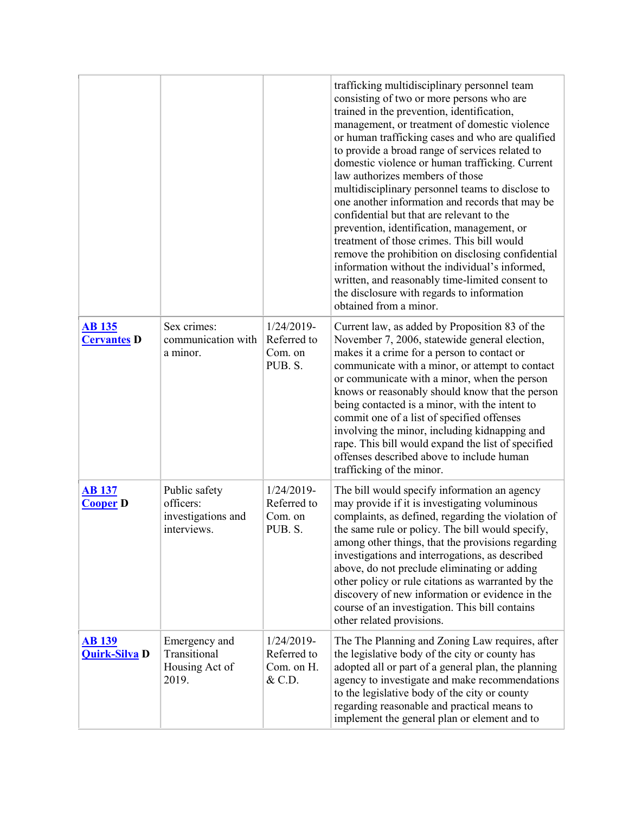|                                       |                                                                 |                                                     | trafficking multidisciplinary personnel team<br>consisting of two or more persons who are<br>trained in the prevention, identification,<br>management, or treatment of domestic violence<br>or human trafficking cases and who are qualified<br>to provide a broad range of services related to<br>domestic violence or human trafficking. Current<br>law authorizes members of those<br>multidisciplinary personnel teams to disclose to<br>one another information and records that may be<br>confidential but that are relevant to the<br>prevention, identification, management, or<br>treatment of those crimes. This bill would<br>remove the prohibition on disclosing confidential<br>information without the individual's informed,<br>written, and reasonably time-limited consent to<br>the disclosure with regards to information<br>obtained from a minor. |
|---------------------------------------|-----------------------------------------------------------------|-----------------------------------------------------|-------------------------------------------------------------------------------------------------------------------------------------------------------------------------------------------------------------------------------------------------------------------------------------------------------------------------------------------------------------------------------------------------------------------------------------------------------------------------------------------------------------------------------------------------------------------------------------------------------------------------------------------------------------------------------------------------------------------------------------------------------------------------------------------------------------------------------------------------------------------------|
| <b>AB</b> 135<br><b>Cervantes D</b>   | Sex crimes:<br>communication with<br>a minor.                   | $1/24/2019$ -<br>Referred to<br>Com. on<br>PUB. S.  | Current law, as added by Proposition 83 of the<br>November 7, 2006, statewide general election,<br>makes it a crime for a person to contact or<br>communicate with a minor, or attempt to contact<br>or communicate with a minor, when the person<br>knows or reasonably should know that the person<br>being contacted is a minor, with the intent to<br>commit one of a list of specified offenses<br>involving the minor, including kidnapping and<br>rape. This bill would expand the list of specified<br>offenses described above to include human<br>trafficking of the minor.                                                                                                                                                                                                                                                                                   |
| <b>AB 137</b><br><b>Cooper D</b>      | Public safety<br>officers:<br>investigations and<br>interviews. | 1/24/2019-<br>Referred to<br>Com. on<br>PUB. S.     | The bill would specify information an agency<br>may provide if it is investigating voluminous<br>complaints, as defined, regarding the violation of<br>the same rule or policy. The bill would specify,<br>among other things, that the provisions regarding<br>investigations and interrogations, as described<br>above, do not preclude eliminating or adding<br>other policy or rule citations as warranted by the<br>discovery of new information or evidence in the<br>course of an investigation. This bill contains<br>other related provisions.                                                                                                                                                                                                                                                                                                                 |
| <b>AB</b> 139<br><b>Quirk-Silva D</b> | Emergency and<br>Transitional<br>Housing Act of<br>2019.        | $1/24/2019-$<br>Referred to<br>Com. on H.<br>& C.D. | The The Planning and Zoning Law requires, after<br>the legislative body of the city or county has<br>adopted all or part of a general plan, the planning<br>agency to investigate and make recommendations<br>to the legislative body of the city or county<br>regarding reasonable and practical means to<br>implement the general plan or element and to                                                                                                                                                                                                                                                                                                                                                                                                                                                                                                              |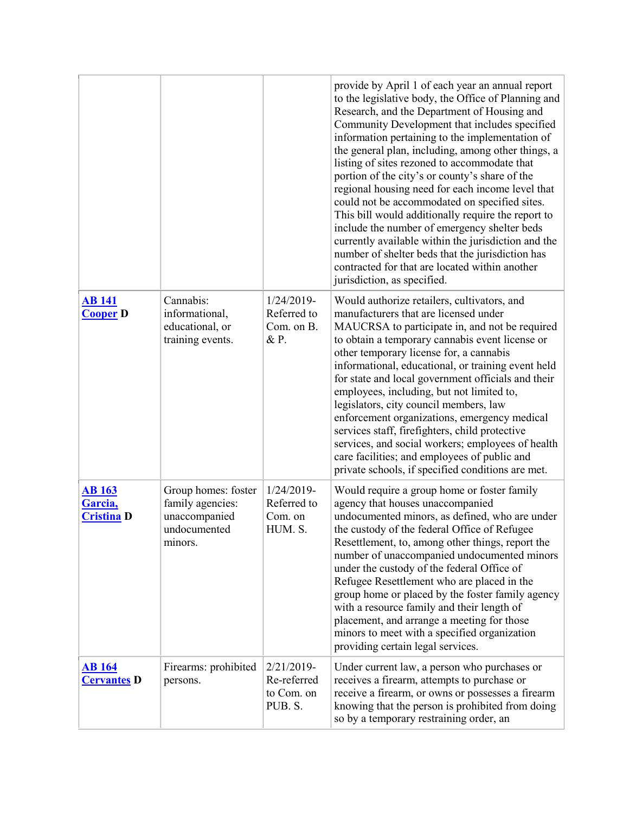|                                               |                                                                                     |                                                       | provide by April 1 of each year an annual report<br>to the legislative body, the Office of Planning and<br>Research, and the Department of Housing and<br>Community Development that includes specified<br>information pertaining to the implementation of<br>the general plan, including, among other things, a<br>listing of sites rezoned to accommodate that<br>portion of the city's or county's share of the<br>regional housing need for each income level that<br>could not be accommodated on specified sites.<br>This bill would additionally require the report to<br>include the number of emergency shelter beds<br>currently available within the jurisdiction and the<br>number of shelter beds that the jurisdiction has<br>contracted for that are located within another<br>jurisdiction, as specified. |
|-----------------------------------------------|-------------------------------------------------------------------------------------|-------------------------------------------------------|---------------------------------------------------------------------------------------------------------------------------------------------------------------------------------------------------------------------------------------------------------------------------------------------------------------------------------------------------------------------------------------------------------------------------------------------------------------------------------------------------------------------------------------------------------------------------------------------------------------------------------------------------------------------------------------------------------------------------------------------------------------------------------------------------------------------------|
| <b>AB</b> 141<br><b>Cooper D</b>              | Cannabis:<br>informational,<br>educational, or<br>training events.                  | 1/24/2019-<br>Referred to<br>Com. on B.<br>& P.       | Would authorize retailers, cultivators, and<br>manufacturers that are licensed under<br>MAUCRSA to participate in, and not be required<br>to obtain a temporary cannabis event license or<br>other temporary license for, a cannabis<br>informational, educational, or training event held<br>for state and local government officials and their<br>employees, including, but not limited to,<br>legislators, city council members, law<br>enforcement organizations, emergency medical<br>services staff, firefighters, child protective<br>services, and social workers; employees of health<br>care facilities; and employees of public and<br>private schools, if specified conditions are met.                                                                                                                       |
| <b>AB</b> 163<br>Garcia,<br><b>Cristina D</b> | Group homes: foster<br>family agencies:<br>unaccompanied<br>undocumented<br>minors. | 1/24/2019-<br>Referred to<br>Com. on<br>HUM. S.       | Would require a group home or foster family<br>agency that houses unaccompanied<br>undocumented minors, as defined, who are under<br>the custody of the federal Office of Refugee<br>Resettlement, to, among other things, report the<br>number of unaccompanied undocumented minors<br>under the custody of the federal Office of<br>Refugee Resettlement who are placed in the<br>group home or placed by the foster family agency<br>with a resource family and their length of<br>placement, and arrange a meeting for those<br>minors to meet with a specified organization<br>providing certain legal services.                                                                                                                                                                                                     |
| <u>AB 164</u><br><b>Cervantes D</b>           | Firearms: prohibited<br>persons.                                                    | $2/21/2019$ -<br>Re-referred<br>to Com. on<br>PUB. S. | Under current law, a person who purchases or<br>receives a firearm, attempts to purchase or<br>receive a firearm, or owns or possesses a firearm<br>knowing that the person is prohibited from doing<br>so by a temporary restraining order, an                                                                                                                                                                                                                                                                                                                                                                                                                                                                                                                                                                           |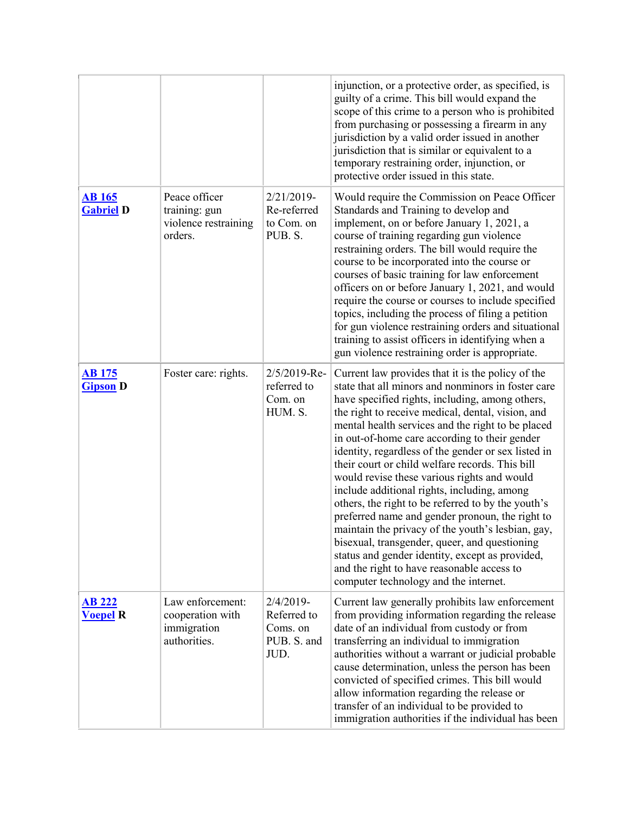|                                   |                                                                     |                                                                | injunction, or a protective order, as specified, is<br>guilty of a crime. This bill would expand the<br>scope of this crime to a person who is prohibited<br>from purchasing or possessing a firearm in any<br>jurisdiction by a valid order issued in another<br>jurisdiction that is similar or equivalent to a<br>temporary restraining order, injunction, or<br>protective order issued in this state.                                                                                                                                                                                                                                                                                                                                                                                                                                                                             |
|-----------------------------------|---------------------------------------------------------------------|----------------------------------------------------------------|----------------------------------------------------------------------------------------------------------------------------------------------------------------------------------------------------------------------------------------------------------------------------------------------------------------------------------------------------------------------------------------------------------------------------------------------------------------------------------------------------------------------------------------------------------------------------------------------------------------------------------------------------------------------------------------------------------------------------------------------------------------------------------------------------------------------------------------------------------------------------------------|
| <b>AB</b> 165<br><b>Gabriel D</b> | Peace officer<br>training: gun<br>violence restraining<br>orders.   | 2/21/2019-<br>Re-referred<br>to Com. on<br>PUB. S.             | Would require the Commission on Peace Officer<br>Standards and Training to develop and<br>implement, on or before January 1, 2021, a<br>course of training regarding gun violence<br>restraining orders. The bill would require the<br>course to be incorporated into the course or<br>courses of basic training for law enforcement<br>officers on or before January 1, 2021, and would<br>require the course or courses to include specified<br>topics, including the process of filing a petition<br>for gun violence restraining orders and situational<br>training to assist officers in identifying when a<br>gun violence restraining order is appropriate.                                                                                                                                                                                                                     |
| <u>AB 175</u><br><b>Gipson</b> D  | Foster care: rights.                                                | 2/5/2019-Re-<br>referred to<br>Com. on<br>HUM. S.              | Current law provides that it is the policy of the<br>state that all minors and nonminors in foster care<br>have specified rights, including, among others,<br>the right to receive medical, dental, vision, and<br>mental health services and the right to be placed<br>in out-of-home care according to their gender<br>identity, regardless of the gender or sex listed in<br>their court or child welfare records. This bill<br>would revise these various rights and would<br>include additional rights, including, among<br>others, the right to be referred to by the youth's<br>preferred name and gender pronoun, the right to<br>maintain the privacy of the youth's lesbian, gay,<br>bisexual, transgender, queer, and questioning<br>status and gender identity, except as provided,<br>and the right to have reasonable access to<br>computer technology and the internet. |
| <b>AB 222</b><br><b>Voepel R</b>  | Law enforcement:<br>cooperation with<br>immigration<br>authorities. | $2/4/2019$ -<br>Referred to<br>Coms. on<br>PUB. S. and<br>JUD. | Current law generally prohibits law enforcement<br>from providing information regarding the release<br>date of an individual from custody or from<br>transferring an individual to immigration<br>authorities without a warrant or judicial probable<br>cause determination, unless the person has been<br>convicted of specified crimes. This bill would<br>allow information regarding the release or<br>transfer of an individual to be provided to<br>immigration authorities if the individual has been                                                                                                                                                                                                                                                                                                                                                                           |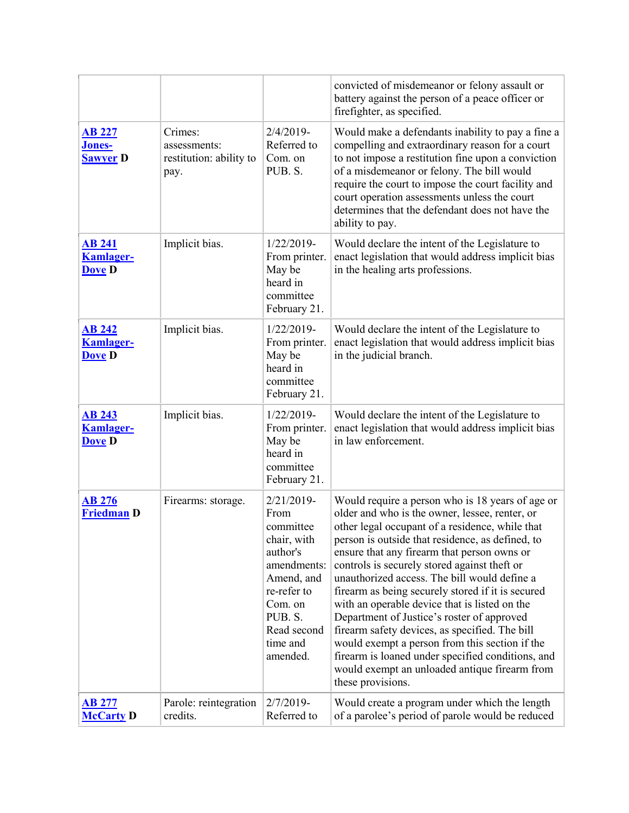|                                                    |                                                            |                                                                                                                                                                        | convicted of misdemeanor or felony assault or<br>battery against the person of a peace officer or<br>firefighter, as specified.                                                                                                                                                                                                                                                                                                                                                                                                                                                                                                                                                                                                             |
|----------------------------------------------------|------------------------------------------------------------|------------------------------------------------------------------------------------------------------------------------------------------------------------------------|---------------------------------------------------------------------------------------------------------------------------------------------------------------------------------------------------------------------------------------------------------------------------------------------------------------------------------------------------------------------------------------------------------------------------------------------------------------------------------------------------------------------------------------------------------------------------------------------------------------------------------------------------------------------------------------------------------------------------------------------|
| <b>AB 227</b><br><b>Jones-</b><br><b>Sawyer D</b>  | Crimes:<br>assessments:<br>restitution: ability to<br>pay. | $2/4/2019$ -<br>Referred to<br>Com. on<br>PUB. S.                                                                                                                      | Would make a defendants inability to pay a fine a<br>compelling and extraordinary reason for a court<br>to not impose a restitution fine upon a conviction<br>of a misdemeanor or felony. The bill would<br>require the court to impose the court facility and<br>court operation assessments unless the court<br>determines that the defendant does not have the<br>ability to pay.                                                                                                                                                                                                                                                                                                                                                        |
| <b>AB 241</b><br><b>Kamlager-</b><br><b>Dove D</b> | Implicit bias.                                             | 1/22/2019-<br>From printer.<br>May be<br>heard in<br>committee<br>February 21.                                                                                         | Would declare the intent of the Legislature to<br>enact legislation that would address implicit bias<br>in the healing arts professions.                                                                                                                                                                                                                                                                                                                                                                                                                                                                                                                                                                                                    |
| <b>AB 242</b><br><b>Kamlager-</b><br><b>Dove D</b> | Implicit bias.                                             | $1/22/2019$ -<br>From printer.<br>May be<br>heard in<br>committee<br>February 21.                                                                                      | Would declare the intent of the Legislature to<br>enact legislation that would address implicit bias<br>in the judicial branch.                                                                                                                                                                                                                                                                                                                                                                                                                                                                                                                                                                                                             |
| <b>AB 243</b><br><b>Kamlager-</b><br><b>Dove D</b> | Implicit bias.                                             | 1/22/2019-<br>From printer.<br>May be<br>heard in<br>committee<br>February 21.                                                                                         | Would declare the intent of the Legislature to<br>enact legislation that would address implicit bias<br>in law enforcement.                                                                                                                                                                                                                                                                                                                                                                                                                                                                                                                                                                                                                 |
| <b>AB 276</b><br><b>Friedman D</b>                 | Firearms: storage.                                         | $2/21/2019$ -<br>From<br>committee<br>chair, with<br>author's<br>amendments:<br>Amend, and<br>re-refer to<br>Com. on<br>PUB. S.<br>Read second<br>time and<br>amended. | Would require a person who is 18 years of age or<br>older and who is the owner, lessee, renter, or<br>other legal occupant of a residence, while that<br>person is outside that residence, as defined, to<br>ensure that any firearm that person owns or<br>controls is securely stored against theft or<br>unauthorized access. The bill would define a<br>firearm as being securely stored if it is secured<br>with an operable device that is listed on the<br>Department of Justice's roster of approved<br>firearm safety devices, as specified. The bill<br>would exempt a person from this section if the<br>firearm is loaned under specified conditions, and<br>would exempt an unloaded antique firearm from<br>these provisions. |
| <b>AB 277</b><br><b>McCarty D</b>                  | Parole: reintegration<br>credits.                          | $2/7/2019-$<br>Referred to                                                                                                                                             | Would create a program under which the length<br>of a parolee's period of parole would be reduced                                                                                                                                                                                                                                                                                                                                                                                                                                                                                                                                                                                                                                           |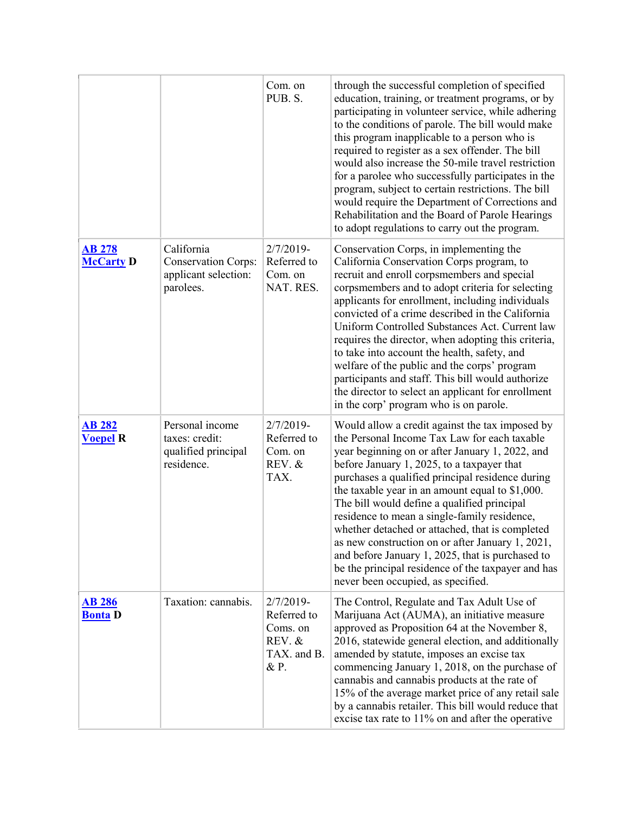|                                   |                                                                               | Com. on<br>PUB. S.                                                      | through the successful completion of specified<br>education, training, or treatment programs, or by<br>participating in volunteer service, while adhering<br>to the conditions of parole. The bill would make<br>this program inapplicable to a person who is<br>required to register as a sex offender. The bill<br>would also increase the 50-mile travel restriction<br>for a parolee who successfully participates in the<br>program, subject to certain restrictions. The bill<br>would require the Department of Corrections and<br>Rehabilitation and the Board of Parole Hearings<br>to adopt regulations to carry out the program.                   |
|-----------------------------------|-------------------------------------------------------------------------------|-------------------------------------------------------------------------|---------------------------------------------------------------------------------------------------------------------------------------------------------------------------------------------------------------------------------------------------------------------------------------------------------------------------------------------------------------------------------------------------------------------------------------------------------------------------------------------------------------------------------------------------------------------------------------------------------------------------------------------------------------|
| <b>AB 278</b><br><b>McCarty D</b> | California<br><b>Conservation Corps:</b><br>applicant selection:<br>parolees. | $2/7/2019-$<br>Referred to<br>Com. on<br>NAT. RES.                      | Conservation Corps, in implementing the<br>California Conservation Corps program, to<br>recruit and enroll corpsmembers and special<br>corpsmembers and to adopt criteria for selecting<br>applicants for enrollment, including individuals<br>convicted of a crime described in the California<br>Uniform Controlled Substances Act. Current law<br>requires the director, when adopting this criteria,<br>to take into account the health, safety, and<br>welfare of the public and the corps' program<br>participants and staff. This bill would authorize<br>the director to select an applicant for enrollment<br>in the corp' program who is on parole. |
| <b>AB 282</b><br><b>Voepel R</b>  | Personal income<br>taxes: credit:<br>qualified principal<br>residence.        | $2/7/2019-$<br>Referred to<br>Com. on<br>REV. &<br>TAX.                 | Would allow a credit against the tax imposed by<br>the Personal Income Tax Law for each taxable<br>year beginning on or after January 1, 2022, and<br>before January 1, 2025, to a taxpayer that<br>purchases a qualified principal residence during<br>the taxable year in an amount equal to \$1,000.<br>The bill would define a qualified principal<br>residence to mean a single-family residence,<br>whether detached or attached, that is completed<br>as new construction on or after January 1, 2021,<br>and before January 1, 2025, that is purchased to<br>be the principal residence of the taxpayer and has<br>never been occupied, as specified. |
| <b>AB 286</b><br><b>Bonta</b> D   | Taxation: cannabis.                                                           | $2/7/2019-$<br>Referred to<br>Coms. on<br>REV. &<br>TAX. and B.<br>& P. | The Control, Regulate and Tax Adult Use of<br>Marijuana Act (AUMA), an initiative measure<br>approved as Proposition 64 at the November 8,<br>2016, statewide general election, and additionally<br>amended by statute, imposes an excise tax<br>commencing January 1, 2018, on the purchase of<br>cannabis and cannabis products at the rate of<br>15% of the average market price of any retail sale<br>by a cannabis retailer. This bill would reduce that<br>excise tax rate to $11\%$ on and after the operative                                                                                                                                         |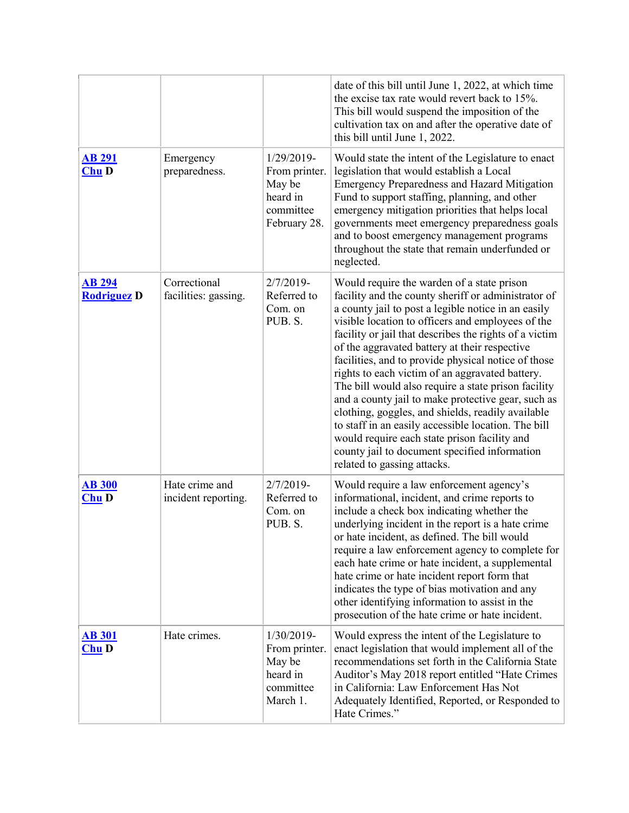|                                     |                                       |                                                                                | date of this bill until June 1, 2022, at which time<br>the excise tax rate would revert back to 15%.<br>This bill would suspend the imposition of the<br>cultivation tax on and after the operative date of<br>this bill until June 1, 2022.                                                                                                                                                                                                                                                                                                                                                                                                                                                                                                                                                |
|-------------------------------------|---------------------------------------|--------------------------------------------------------------------------------|---------------------------------------------------------------------------------------------------------------------------------------------------------------------------------------------------------------------------------------------------------------------------------------------------------------------------------------------------------------------------------------------------------------------------------------------------------------------------------------------------------------------------------------------------------------------------------------------------------------------------------------------------------------------------------------------------------------------------------------------------------------------------------------------|
| <b>AB 291</b><br>Chu D              | Emergency<br>preparedness.            | 1/29/2019-<br>From printer.<br>May be<br>heard in<br>committee<br>February 28. | Would state the intent of the Legislature to enact<br>legislation that would establish a Local<br><b>Emergency Preparedness and Hazard Mitigation</b><br>Fund to support staffing, planning, and other<br>emergency mitigation priorities that helps local<br>governments meet emergency preparedness goals<br>and to boost emergency management programs<br>throughout the state that remain underfunded or<br>neglected.                                                                                                                                                                                                                                                                                                                                                                  |
| <b>AB 294</b><br><b>Rodriguez D</b> | Correctional<br>facilities: gassing.  | $2/7/2019-$<br>Referred to<br>Com. on<br>PUB. S.                               | Would require the warden of a state prison<br>facility and the county sheriff or administrator of<br>a county jail to post a legible notice in an easily<br>visible location to officers and employees of the<br>facility or jail that describes the rights of a victim<br>of the aggravated battery at their respective<br>facilities, and to provide physical notice of those<br>rights to each victim of an aggravated battery.<br>The bill would also require a state prison facility<br>and a county jail to make protective gear, such as<br>clothing, goggles, and shields, readily available<br>to staff in an easily accessible location. The bill<br>would require each state prison facility and<br>county jail to document specified information<br>related to gassing attacks. |
| <b>AB 300</b><br>$Chu$ $D$          | Hate crime and<br>incident reporting. | $2/7/2019-$<br>Referred to<br>Com. on<br>PUB. S.                               | Would require a law enforcement agency's<br>informational, incident, and crime reports to<br>include a check box indicating whether the<br>underlying incident in the report is a hate crime<br>or hate incident, as defined. The bill would<br>require a law enforcement agency to complete for<br>each hate crime or hate incident, a supplemental<br>hate crime or hate incident report form that<br>indicates the type of bias motivation and any<br>other identifying information to assist in the<br>prosecution of the hate crime or hate incident.                                                                                                                                                                                                                                  |
| <b>AB 301</b><br><b>Chu D</b>       | Hate crimes.                          | 1/30/2019-<br>From printer.<br>May be<br>heard in<br>committee<br>March 1.     | Would express the intent of the Legislature to<br>enact legislation that would implement all of the<br>recommendations set forth in the California State<br>Auditor's May 2018 report entitled "Hate Crimes<br>in California: Law Enforcement Has Not<br>Adequately Identified, Reported, or Responded to<br>Hate Crimes."                                                                                                                                                                                                                                                                                                                                                                                                                                                                  |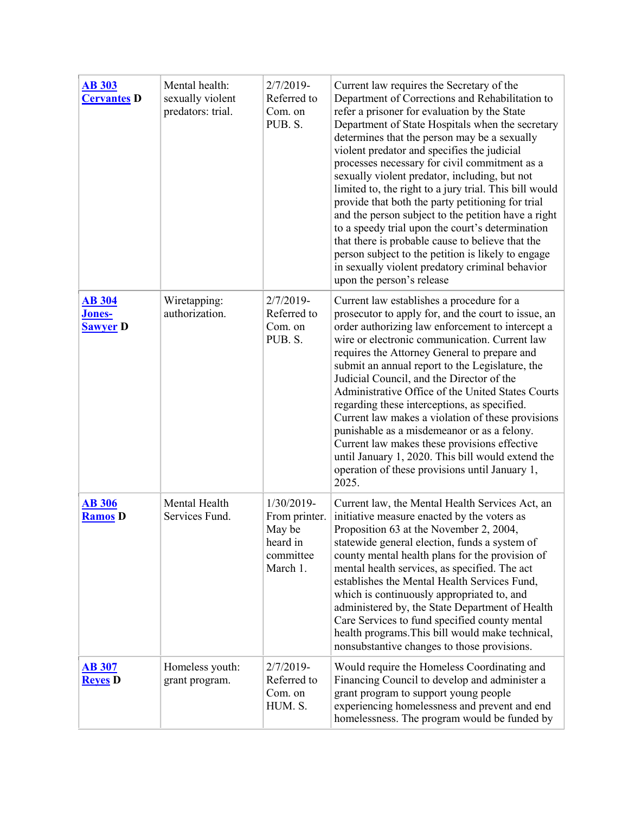| <b>AB 303</b><br><b>Cervantes D</b>               | Mental health:<br>sexually violent<br>predators: trial. | $2/7/2019-$<br>Referred to<br>Com. on<br>PUB. S.                           | Current law requires the Secretary of the<br>Department of Corrections and Rehabilitation to<br>refer a prisoner for evaluation by the State<br>Department of State Hospitals when the secretary<br>determines that the person may be a sexually<br>violent predator and specifies the judicial<br>processes necessary for civil commitment as a<br>sexually violent predator, including, but not<br>limited to, the right to a jury trial. This bill would<br>provide that both the party petitioning for trial<br>and the person subject to the petition have a right<br>to a speedy trial upon the court's determination<br>that there is probable cause to believe that the<br>person subject to the petition is likely to engage<br>in sexually violent predatory criminal behavior<br>upon the person's release |
|---------------------------------------------------|---------------------------------------------------------|----------------------------------------------------------------------------|-----------------------------------------------------------------------------------------------------------------------------------------------------------------------------------------------------------------------------------------------------------------------------------------------------------------------------------------------------------------------------------------------------------------------------------------------------------------------------------------------------------------------------------------------------------------------------------------------------------------------------------------------------------------------------------------------------------------------------------------------------------------------------------------------------------------------|
| <b>AB 304</b><br><b>Jones-</b><br><b>Sawyer D</b> | Wiretapping:<br>authorization.                          | $2/7/2019-$<br>Referred to<br>Com. on<br>PUB. S.                           | Current law establishes a procedure for a<br>prosecutor to apply for, and the court to issue, an<br>order authorizing law enforcement to intercept a<br>wire or electronic communication. Current law<br>requires the Attorney General to prepare and<br>submit an annual report to the Legislature, the<br>Judicial Council, and the Director of the<br>Administrative Office of the United States Courts<br>regarding these interceptions, as specified.<br>Current law makes a violation of these provisions<br>punishable as a misdemeanor or as a felony.<br>Current law makes these provisions effective<br>until January 1, 2020. This bill would extend the<br>operation of these provisions until January 1,<br>2025.                                                                                        |
| <b>AB 306</b><br><b>Ramos D</b>                   | Mental Health<br>Services Fund.                         | 1/30/2019-<br>From printer.<br>May be<br>heard in<br>committee<br>March 1. | Current law, the Mental Health Services Act, an<br>initiative measure enacted by the voters as<br>Proposition 63 at the November 2, 2004,<br>statewide general election, funds a system of<br>county mental health plans for the provision of<br>mental health services, as specified. The act<br>establishes the Mental Health Services Fund,<br>which is continuously appropriated to, and<br>administered by, the State Department of Health<br>Care Services to fund specified county mental<br>health programs. This bill would make technical,<br>nonsubstantive changes to those provisions.                                                                                                                                                                                                                   |
| <b>AB 307</b><br><b>Reyes</b> D                   | Homeless youth:<br>grant program.                       | $2/7/2019-$<br>Referred to<br>Com. on<br>HUM. S.                           | Would require the Homeless Coordinating and<br>Financing Council to develop and administer a<br>grant program to support young people<br>experiencing homelessness and prevent and end<br>homelessness. The program would be funded by                                                                                                                                                                                                                                                                                                                                                                                                                                                                                                                                                                                |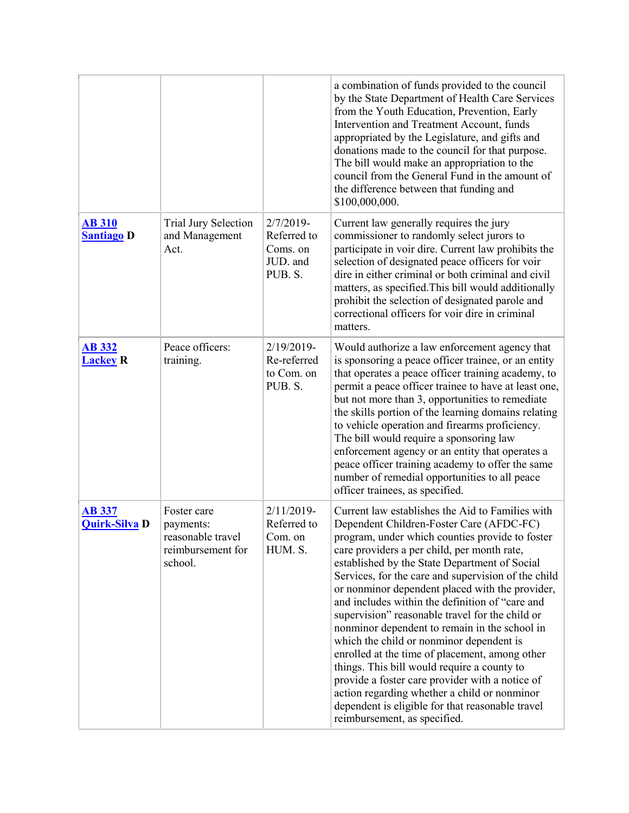|                                       |                                                                               |                                                               | a combination of funds provided to the council<br>by the State Department of Health Care Services<br>from the Youth Education, Prevention, Early<br>Intervention and Treatment Account, funds<br>appropriated by the Legislature, and gifts and<br>donations made to the council for that purpose.<br>The bill would make an appropriation to the<br>council from the General Fund in the amount of<br>the difference between that funding and<br>\$100,000,000.                                                                                                                                                                                                                                                                                                                                                                                     |
|---------------------------------------|-------------------------------------------------------------------------------|---------------------------------------------------------------|------------------------------------------------------------------------------------------------------------------------------------------------------------------------------------------------------------------------------------------------------------------------------------------------------------------------------------------------------------------------------------------------------------------------------------------------------------------------------------------------------------------------------------------------------------------------------------------------------------------------------------------------------------------------------------------------------------------------------------------------------------------------------------------------------------------------------------------------------|
| <b>AB 310</b><br><b>Santiago D</b>    | Trial Jury Selection<br>and Management<br>Act.                                | $2/7/2019-$<br>Referred to<br>Coms. on<br>JUD. and<br>PUB. S. | Current law generally requires the jury<br>commissioner to randomly select jurors to<br>participate in voir dire. Current law prohibits the<br>selection of designated peace officers for voir<br>dire in either criminal or both criminal and civil<br>matters, as specified. This bill would additionally<br>prohibit the selection of designated parole and<br>correctional officers for voir dire in criminal<br>matters.                                                                                                                                                                                                                                                                                                                                                                                                                        |
| <b>AB 332</b><br><b>Lackey R</b>      | Peace officers:<br>training.                                                  | 2/19/2019-<br>Re-referred<br>to Com. on<br>PUB. S.            | Would authorize a law enforcement agency that<br>is sponsoring a peace officer trainee, or an entity<br>that operates a peace officer training academy, to<br>permit a peace officer trainee to have at least one,<br>but not more than 3, opportunities to remediate<br>the skills portion of the learning domains relating<br>to vehicle operation and firearms proficiency.<br>The bill would require a sponsoring law<br>enforcement agency or an entity that operates a<br>peace officer training academy to offer the same<br>number of remedial opportunities to all peace<br>officer trainees, as specified.                                                                                                                                                                                                                                 |
| <b>AB 337</b><br><b>Quirk-Silva D</b> | Foster care<br>payments:<br>reasonable travel<br>reimbursement for<br>school. | $2/11/2019$ -<br>Referred to<br>Com. on<br>HUM. S.            | Current law establishes the Aid to Families with<br>Dependent Children-Foster Care (AFDC-FC)<br>program, under which counties provide to foster<br>care providers a per child, per month rate,<br>established by the State Department of Social<br>Services, for the care and supervision of the child<br>or nonminor dependent placed with the provider,<br>and includes within the definition of "care and<br>supervision" reasonable travel for the child or<br>nonminor dependent to remain in the school in<br>which the child or nonminor dependent is<br>enrolled at the time of placement, among other<br>things. This bill would require a county to<br>provide a foster care provider with a notice of<br>action regarding whether a child or nonminor<br>dependent is eligible for that reasonable travel<br>reimbursement, as specified. |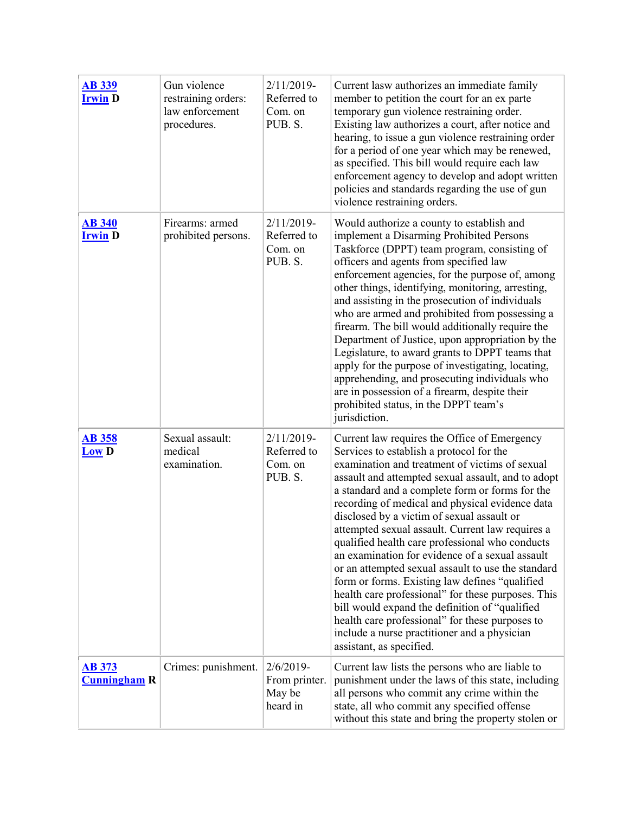| <b>AB 339</b><br><b>Irwin D</b>      | Gun violence<br>restraining orders:<br>law enforcement<br>procedures. | $2/11/2019$ -<br>Referred to<br>Com. on<br>PUB. S.  | Current lasw authorizes an immediate family<br>member to petition the court for an ex parte<br>temporary gun violence restraining order.<br>Existing law authorizes a court, after notice and<br>hearing, to issue a gun violence restraining order<br>for a period of one year which may be renewed,<br>as specified. This bill would require each law<br>enforcement agency to develop and adopt written<br>policies and standards regarding the use of gun<br>violence restraining orders.                                                                                                                                                                                                                                                                                                                                                                 |
|--------------------------------------|-----------------------------------------------------------------------|-----------------------------------------------------|---------------------------------------------------------------------------------------------------------------------------------------------------------------------------------------------------------------------------------------------------------------------------------------------------------------------------------------------------------------------------------------------------------------------------------------------------------------------------------------------------------------------------------------------------------------------------------------------------------------------------------------------------------------------------------------------------------------------------------------------------------------------------------------------------------------------------------------------------------------|
| <b>AB 340</b><br><b>Irwin D</b>      | Firearms: armed<br>prohibited persons.                                | $2/11/2019$ -<br>Referred to<br>Com. on<br>PUB. S.  | Would authorize a county to establish and<br>implement a Disarming Prohibited Persons<br>Taskforce (DPPT) team program, consisting of<br>officers and agents from specified law<br>enforcement agencies, for the purpose of, among<br>other things, identifying, monitoring, arresting,<br>and assisting in the prosecution of individuals<br>who are armed and prohibited from possessing a<br>firearm. The bill would additionally require the<br>Department of Justice, upon appropriation by the<br>Legislature, to award grants to DPPT teams that<br>apply for the purpose of investigating, locating,<br>apprehending, and prosecuting individuals who<br>are in possession of a firearm, despite their<br>prohibited status, in the DPPT team's<br>jurisdiction.                                                                                      |
| <b>AB 358</b><br>Low <sub>D</sub>    | Sexual assault:<br>medical<br>examination.                            | $2/11/2019$ -<br>Referred to<br>Com. on<br>PUB. S.  | Current law requires the Office of Emergency<br>Services to establish a protocol for the<br>examination and treatment of victims of sexual<br>assault and attempted sexual assault, and to adopt<br>a standard and a complete form or forms for the<br>recording of medical and physical evidence data<br>disclosed by a victim of sexual assault or<br>attempted sexual assault. Current law requires a<br>qualified health care professional who conducts<br>an examination for evidence of a sexual assault<br>or an attempted sexual assault to use the standard<br>form or forms. Existing law defines "qualified<br>health care professional" for these purposes. This<br>bill would expand the definition of "qualified<br>health care professional" for these purposes to<br>include a nurse practitioner and a physician<br>assistant, as specified. |
| <b>AB 373</b><br><b>Cunningham R</b> | Crimes: punishment.                                                   | $2/6/2019$ -<br>From printer.<br>May be<br>heard in | Current law lists the persons who are liable to<br>punishment under the laws of this state, including<br>all persons who commit any crime within the<br>state, all who commit any specified offense<br>without this state and bring the property stolen or                                                                                                                                                                                                                                                                                                                                                                                                                                                                                                                                                                                                    |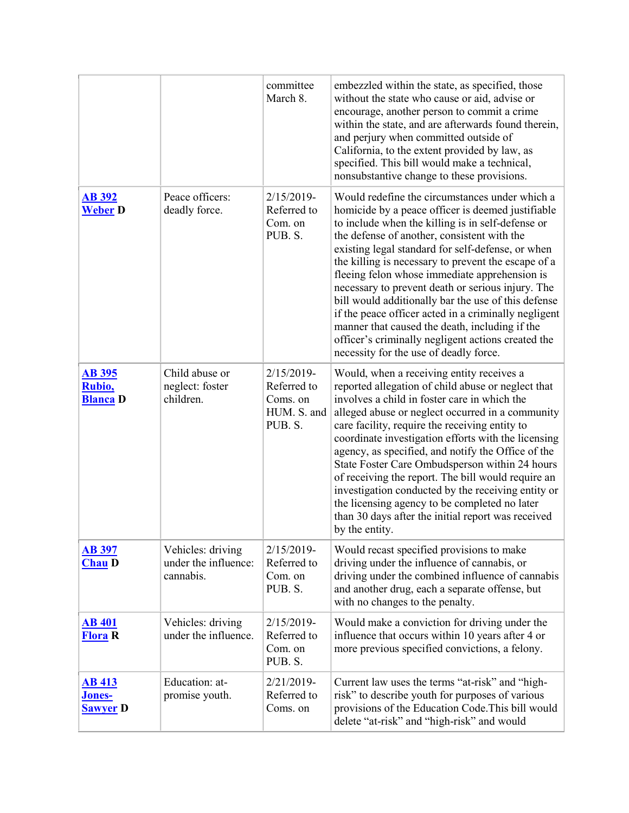|                                            |                                                        | committee<br>March 8.                                           | embezzled within the state, as specified, those<br>without the state who cause or aid, advise or<br>encourage, another person to commit a crime<br>within the state, and are afterwards found therein,<br>and perjury when committed outside of<br>California, to the extent provided by law, as<br>specified. This bill would make a technical,<br>nonsubstantive change to these provisions.                                                                                                                                                                                                                                                                                             |
|--------------------------------------------|--------------------------------------------------------|-----------------------------------------------------------------|--------------------------------------------------------------------------------------------------------------------------------------------------------------------------------------------------------------------------------------------------------------------------------------------------------------------------------------------------------------------------------------------------------------------------------------------------------------------------------------------------------------------------------------------------------------------------------------------------------------------------------------------------------------------------------------------|
| <b>AB 392</b><br><b>Weber D</b>            | Peace officers:<br>deadly force.                       | 2/15/2019-<br>Referred to<br>Com. on<br>PUB. S.                 | Would redefine the circumstances under which a<br>homicide by a peace officer is deemed justifiable<br>to include when the killing is in self-defense or<br>the defense of another, consistent with the<br>existing legal standard for self-defense, or when<br>the killing is necessary to prevent the escape of a<br>fleeing felon whose immediate apprehension is<br>necessary to prevent death or serious injury. The<br>bill would additionally bar the use of this defense<br>if the peace officer acted in a criminally negligent<br>manner that caused the death, including if the<br>officer's criminally negligent actions created the<br>necessity for the use of deadly force. |
| <b>AB 395</b><br>Rubio,<br><b>Blanca</b> D | Child abuse or<br>neglect: foster<br>children.         | 2/15/2019-<br>Referred to<br>Coms. on<br>HUM. S. and<br>PUB. S. | Would, when a receiving entity receives a<br>reported allegation of child abuse or neglect that<br>involves a child in foster care in which the<br>alleged abuse or neglect occurred in a community<br>care facility, require the receiving entity to<br>coordinate investigation efforts with the licensing<br>agency, as specified, and notify the Office of the<br>State Foster Care Ombudsperson within 24 hours<br>of receiving the report. The bill would require an<br>investigation conducted by the receiving entity or<br>the licensing agency to be completed no later<br>than 30 days after the initial report was received<br>by the entity.                                  |
| <b>AB 397</b><br><b>Chau D</b>             | Vehicles: driving<br>under the influence:<br>cannabis. | 2/15/2019-<br>Referred to<br>Com. on<br>PUB. S.                 | Would recast specified provisions to make<br>driving under the influence of cannabis, or<br>driving under the combined influence of cannabis<br>and another drug, each a separate offense, but<br>with no changes to the penalty.                                                                                                                                                                                                                                                                                                                                                                                                                                                          |
| <b>AB 401</b><br><b>Flora</b> R            | Vehicles: driving<br>under the influence.              | 2/15/2019-<br>Referred to<br>Com. on<br>PUB. S.                 | Would make a conviction for driving under the<br>influence that occurs within 10 years after 4 or<br>more previous specified convictions, a felony.                                                                                                                                                                                                                                                                                                                                                                                                                                                                                                                                        |
| <b>AB 413</b><br>Jones-<br><b>Sawyer D</b> | Education: at-<br>promise youth.                       | 2/21/2019-<br>Referred to<br>Coms. on                           | Current law uses the terms "at-risk" and "high-<br>risk" to describe youth for purposes of various<br>provisions of the Education Code. This bill would<br>delete "at-risk" and "high-risk" and would                                                                                                                                                                                                                                                                                                                                                                                                                                                                                      |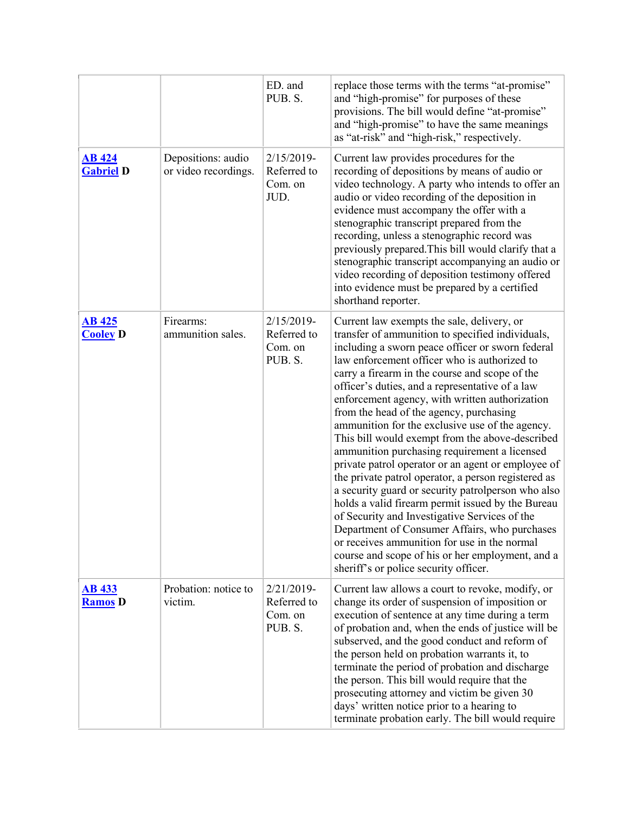|                                   |                                            | ED. and<br>PUB. S.                                 | replace those terms with the terms "at-promise"<br>and "high-promise" for purposes of these<br>provisions. The bill would define "at-promise"<br>and "high-promise" to have the same meanings<br>as "at-risk" and "high-risk," respectively.                                                                                                                                                                                                                                                                                                                                                                                                                                                                                                                                                                                                                                                                                                                                                                                      |
|-----------------------------------|--------------------------------------------|----------------------------------------------------|-----------------------------------------------------------------------------------------------------------------------------------------------------------------------------------------------------------------------------------------------------------------------------------------------------------------------------------------------------------------------------------------------------------------------------------------------------------------------------------------------------------------------------------------------------------------------------------------------------------------------------------------------------------------------------------------------------------------------------------------------------------------------------------------------------------------------------------------------------------------------------------------------------------------------------------------------------------------------------------------------------------------------------------|
| <b>AB</b> 424<br><b>Gabriel D</b> | Depositions: audio<br>or video recordings. | $2/15/2019-$<br>Referred to<br>Com. on<br>JUD.     | Current law provides procedures for the<br>recording of depositions by means of audio or<br>video technology. A party who intends to offer an<br>audio or video recording of the deposition in<br>evidence must accompany the offer with a<br>stenographic transcript prepared from the<br>recording, unless a stenographic record was<br>previously prepared. This bill would clarify that a<br>stenographic transcript accompanying an audio or<br>video recording of deposition testimony offered<br>into evidence must be prepared by a certified<br>shorthand reporter.                                                                                                                                                                                                                                                                                                                                                                                                                                                      |
| <b>AB 425</b><br><b>Cooley D</b>  | Firearms:<br>ammunition sales.             | $2/15/2019$ -<br>Referred to<br>Com. on<br>PUB. S. | Current law exempts the sale, delivery, or<br>transfer of ammunition to specified individuals,<br>including a sworn peace officer or sworn federal<br>law enforcement officer who is authorized to<br>carry a firearm in the course and scope of the<br>officer's duties, and a representative of a law<br>enforcement agency, with written authorization<br>from the head of the agency, purchasing<br>ammunition for the exclusive use of the agency.<br>This bill would exempt from the above-described<br>ammunition purchasing requirement a licensed<br>private patrol operator or an agent or employee of<br>the private patrol operator, a person registered as<br>a security guard or security patrolperson who also<br>holds a valid firearm permit issued by the Bureau<br>of Security and Investigative Services of the<br>Department of Consumer Affairs, who purchases<br>or receives ammunition for use in the normal<br>course and scope of his or her employment, and a<br>sheriff's or police security officer. |
| <b>AB 433</b><br><b>Ramos</b> D   | Probation: notice to<br>victim.            | $2/21/2019$ -<br>Referred to<br>Com. on<br>PUB. S. | Current law allows a court to revoke, modify, or<br>change its order of suspension of imposition or<br>execution of sentence at any time during a term<br>of probation and, when the ends of justice will be<br>subserved, and the good conduct and reform of<br>the person held on probation warrants it, to<br>terminate the period of probation and discharge<br>the person. This bill would require that the<br>prosecuting attorney and victim be given 30<br>days' written notice prior to a hearing to<br>terminate probation early. The bill would require                                                                                                                                                                                                                                                                                                                                                                                                                                                                |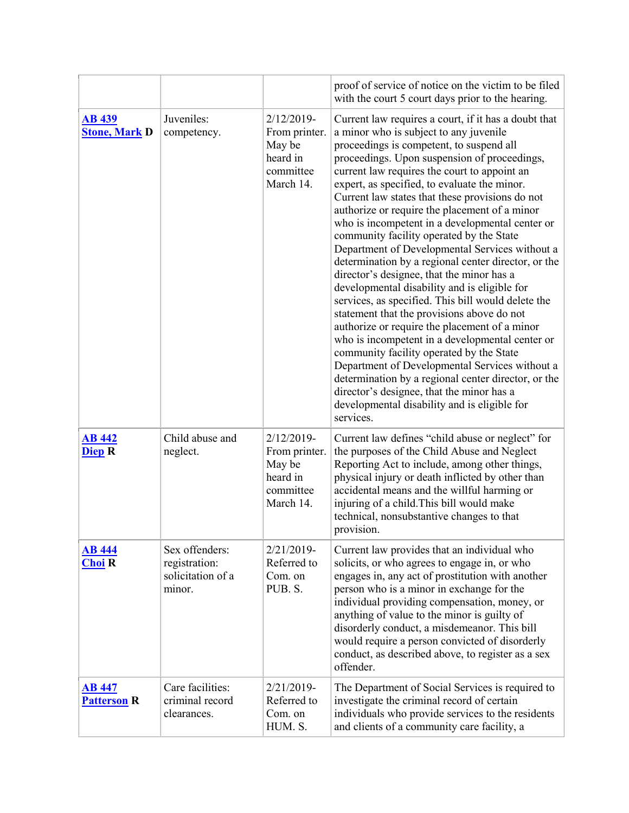|                                       |                                                                |                                                                                | proof of service of notice on the victim to be filed<br>with the court 5 court days prior to the hearing.                                                                                                                                                                                                                                                                                                                                                                                                                                                                                                                                                                                                                                                                                                                                                                                                                                                                                                                                                                                                                                                                  |
|---------------------------------------|----------------------------------------------------------------|--------------------------------------------------------------------------------|----------------------------------------------------------------------------------------------------------------------------------------------------------------------------------------------------------------------------------------------------------------------------------------------------------------------------------------------------------------------------------------------------------------------------------------------------------------------------------------------------------------------------------------------------------------------------------------------------------------------------------------------------------------------------------------------------------------------------------------------------------------------------------------------------------------------------------------------------------------------------------------------------------------------------------------------------------------------------------------------------------------------------------------------------------------------------------------------------------------------------------------------------------------------------|
| <b>AB 439</b><br><b>Stone, Mark D</b> | Juveniles:<br>competency.                                      | $2/12/2019$ -<br>From printer.<br>May be<br>heard in<br>committee<br>March 14. | Current law requires a court, if it has a doubt that<br>a minor who is subject to any juvenile<br>proceedings is competent, to suspend all<br>proceedings. Upon suspension of proceedings,<br>current law requires the court to appoint an<br>expert, as specified, to evaluate the minor.<br>Current law states that these provisions do not<br>authorize or require the placement of a minor<br>who is incompetent in a developmental center or<br>community facility operated by the State<br>Department of Developmental Services without a<br>determination by a regional center director, or the<br>director's designee, that the minor has a<br>developmental disability and is eligible for<br>services, as specified. This bill would delete the<br>statement that the provisions above do not<br>authorize or require the placement of a minor<br>who is incompetent in a developmental center or<br>community facility operated by the State<br>Department of Developmental Services without a<br>determination by a regional center director, or the<br>director's designee, that the minor has a<br>developmental disability and is eligible for<br>services. |
| <b>AB 442</b><br><b>Diep R</b>        | Child abuse and<br>neglect.                                    | $2/12/2019$ -<br>From printer.<br>May be<br>heard in<br>committee<br>March 14. | Current law defines "child abuse or neglect" for<br>the purposes of the Child Abuse and Neglect<br>Reporting Act to include, among other things,<br>physical injury or death inflicted by other than<br>accidental means and the willful harming or<br>injuring of a child. This bill would make<br>technical, nonsubstantive changes to that<br>provision.                                                                                                                                                                                                                                                                                                                                                                                                                                                                                                                                                                                                                                                                                                                                                                                                                |
| <b>AB</b> 444<br><b>Choi</b> R        | Sex offenders:<br>registration:<br>solicitation of a<br>minor. | $2/21/2019-$<br>Referred to<br>Com. on<br>PUB. S.                              | Current law provides that an individual who<br>solicits, or who agrees to engage in, or who<br>engages in, any act of prostitution with another<br>person who is a minor in exchange for the<br>individual providing compensation, money, or<br>anything of value to the minor is guilty of<br>disorderly conduct, a misdemeanor. This bill<br>would require a person convicted of disorderly<br>conduct, as described above, to register as a sex<br>offender.                                                                                                                                                                                                                                                                                                                                                                                                                                                                                                                                                                                                                                                                                                            |
| <b>AB 447</b><br><b>Patterson R</b>   | Care facilities:<br>criminal record<br>clearances.             | $2/21/2019-$<br>Referred to<br>Com. on<br>HUM. S.                              | The Department of Social Services is required to<br>investigate the criminal record of certain<br>individuals who provide services to the residents<br>and clients of a community care facility, a                                                                                                                                                                                                                                                                                                                                                                                                                                                                                                                                                                                                                                                                                                                                                                                                                                                                                                                                                                         |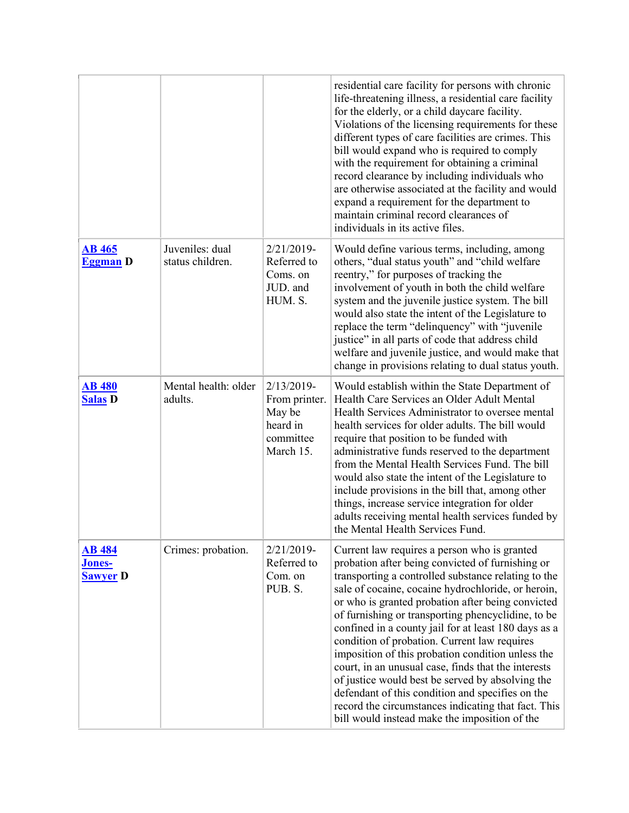|                                                   |                                     |                                                                                | residential care facility for persons with chronic<br>life-threatening illness, a residential care facility<br>for the elderly, or a child daycare facility.<br>Violations of the licensing requirements for these<br>different types of care facilities are crimes. This<br>bill would expand who is required to comply<br>with the requirement for obtaining a criminal<br>record clearance by including individuals who<br>are otherwise associated at the facility and would<br>expand a requirement for the department to<br>maintain criminal record clearances of<br>individuals in its active files.                                                                                                                                                 |
|---------------------------------------------------|-------------------------------------|--------------------------------------------------------------------------------|--------------------------------------------------------------------------------------------------------------------------------------------------------------------------------------------------------------------------------------------------------------------------------------------------------------------------------------------------------------------------------------------------------------------------------------------------------------------------------------------------------------------------------------------------------------------------------------------------------------------------------------------------------------------------------------------------------------------------------------------------------------|
| <b>AB</b> 465<br><b>Eggman</b> D                  | Juveniles: dual<br>status children. | 2/21/2019-<br>Referred to<br>Coms. on<br>JUD. and<br>HUM. S.                   | Would define various terms, including, among<br>others, "dual status youth" and "child welfare<br>reentry," for purposes of tracking the<br>involvement of youth in both the child welfare<br>system and the juvenile justice system. The bill<br>would also state the intent of the Legislature to<br>replace the term "delinquency" with "juvenile<br>justice" in all parts of code that address child<br>welfare and juvenile justice, and would make that<br>change in provisions relating to dual status youth.                                                                                                                                                                                                                                         |
| <b>AB 480</b><br><b>Salas D</b>                   | Mental health: older<br>adults.     | $2/13/2019$ -<br>From printer.<br>May be<br>heard in<br>committee<br>March 15. | Would establish within the State Department of<br>Health Care Services an Older Adult Mental<br>Health Services Administrator to oversee mental<br>health services for older adults. The bill would<br>require that position to be funded with<br>administrative funds reserved to the department<br>from the Mental Health Services Fund. The bill<br>would also state the intent of the Legislature to<br>include provisions in the bill that, among other<br>things, increase service integration for older<br>adults receiving mental health services funded by<br>the Mental Health Services Fund.                                                                                                                                                      |
| <b>AB 484</b><br><b>Jones-</b><br><b>Sawyer</b> D | Crimes: probation.                  | 2/21/2019-<br>Referred to<br>Com. on<br>PUB. S.                                | Current law requires a person who is granted<br>probation after being convicted of furnishing or<br>transporting a controlled substance relating to the<br>sale of cocaine, cocaine hydrochloride, or heroin,<br>or who is granted probation after being convicted<br>of furnishing or transporting phencyclidine, to be<br>confined in a county jail for at least 180 days as a<br>condition of probation. Current law requires<br>imposition of this probation condition unless the<br>court, in an unusual case, finds that the interests<br>of justice would best be served by absolving the<br>defendant of this condition and specifies on the<br>record the circumstances indicating that fact. This<br>bill would instead make the imposition of the |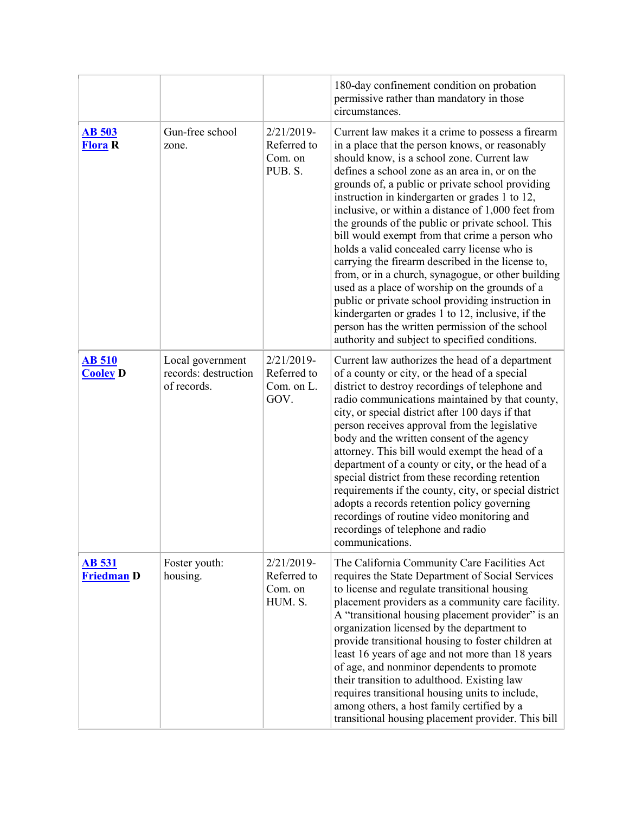|                                    |                                                         |                                                 | 180-day confinement condition on probation<br>permissive rather than mandatory in those<br>circumstances.                                                                                                                                                                                                                                                                                                                                                                                                                                                                                                                                                                                                                                                                                                                                                                                           |
|------------------------------------|---------------------------------------------------------|-------------------------------------------------|-----------------------------------------------------------------------------------------------------------------------------------------------------------------------------------------------------------------------------------------------------------------------------------------------------------------------------------------------------------------------------------------------------------------------------------------------------------------------------------------------------------------------------------------------------------------------------------------------------------------------------------------------------------------------------------------------------------------------------------------------------------------------------------------------------------------------------------------------------------------------------------------------------|
| <b>AB 503</b><br><b>Flora</b> R    | Gun-free school<br>zone.                                | 2/21/2019-<br>Referred to<br>Com. on<br>PUB. S. | Current law makes it a crime to possess a firearm<br>in a place that the person knows, or reasonably<br>should know, is a school zone. Current law<br>defines a school zone as an area in, or on the<br>grounds of, a public or private school providing<br>instruction in kindergarten or grades 1 to 12,<br>inclusive, or within a distance of 1,000 feet from<br>the grounds of the public or private school. This<br>bill would exempt from that crime a person who<br>holds a valid concealed carry license who is<br>carrying the firearm described in the license to,<br>from, or in a church, synagogue, or other building<br>used as a place of worship on the grounds of a<br>public or private school providing instruction in<br>kindergarten or grades 1 to 12, inclusive, if the<br>person has the written permission of the school<br>authority and subject to specified conditions. |
| <b>AB 510</b><br><b>Cooley D</b>   | Local government<br>records: destruction<br>of records. | 2/21/2019-<br>Referred to<br>Com. on L.<br>GOV. | Current law authorizes the head of a department<br>of a county or city, or the head of a special<br>district to destroy recordings of telephone and<br>radio communications maintained by that county,<br>city, or special district after 100 days if that<br>person receives approval from the legislative<br>body and the written consent of the agency<br>attorney. This bill would exempt the head of a<br>department of a county or city, or the head of a<br>special district from these recording retention<br>requirements if the county, city, or special district<br>adopts a records retention policy governing<br>recordings of routine video monitoring and<br>recordings of telephone and radio<br>communications.                                                                                                                                                                    |
| <b>AB</b> 531<br><b>Friedman D</b> | Foster youth:<br>housing.                               | 2/21/2019-<br>Referred to<br>Com. on<br>HUM. S. | The California Community Care Facilities Act<br>requires the State Department of Social Services<br>to license and regulate transitional housing<br>placement providers as a community care facility.<br>A "transitional housing placement provider" is an<br>organization licensed by the department to<br>provide transitional housing to foster children at<br>least 16 years of age and not more than 18 years<br>of age, and nonminor dependents to promote<br>their transition to adulthood. Existing law<br>requires transitional housing units to include,<br>among others, a host family certified by a<br>transitional housing placement provider. This bill                                                                                                                                                                                                                              |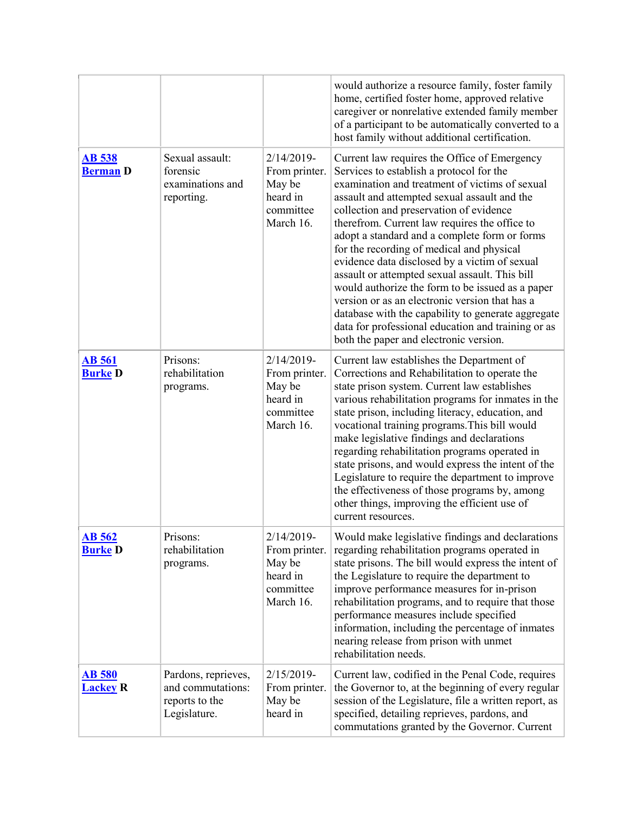|                                  |                                                                            |                                                                                | would authorize a resource family, foster family<br>home, certified foster home, approved relative<br>caregiver or nonrelative extended family member<br>of a participant to be automatically converted to a<br>host family without additional certification.                                                                                                                                                                                                                                                                                                                                                                                                                                                                                       |
|----------------------------------|----------------------------------------------------------------------------|--------------------------------------------------------------------------------|-----------------------------------------------------------------------------------------------------------------------------------------------------------------------------------------------------------------------------------------------------------------------------------------------------------------------------------------------------------------------------------------------------------------------------------------------------------------------------------------------------------------------------------------------------------------------------------------------------------------------------------------------------------------------------------------------------------------------------------------------------|
| <b>AB 538</b><br><b>Berman D</b> | Sexual assault:<br>forensic<br>examinations and<br>reporting.              | $2/14/2019$ -<br>From printer.<br>May be<br>heard in<br>committee<br>March 16. | Current law requires the Office of Emergency<br>Services to establish a protocol for the<br>examination and treatment of victims of sexual<br>assault and attempted sexual assault and the<br>collection and preservation of evidence<br>therefrom. Current law requires the office to<br>adopt a standard and a complete form or forms<br>for the recording of medical and physical<br>evidence data disclosed by a victim of sexual<br>assault or attempted sexual assault. This bill<br>would authorize the form to be issued as a paper<br>version or as an electronic version that has a<br>database with the capability to generate aggregate<br>data for professional education and training or as<br>both the paper and electronic version. |
| <b>AB</b> 561<br><b>Burke D</b>  | Prisons:<br>rehabilitation<br>programs.                                    | $2/14/2019$ -<br>From printer.<br>May be<br>heard in<br>committee<br>March 16. | Current law establishes the Department of<br>Corrections and Rehabilitation to operate the<br>state prison system. Current law establishes<br>various rehabilitation programs for inmates in the<br>state prison, including literacy, education, and<br>vocational training programs. This bill would<br>make legislative findings and declarations<br>regarding rehabilitation programs operated in<br>state prisons, and would express the intent of the<br>Legislature to require the department to improve<br>the effectiveness of those programs by, among<br>other things, improving the efficient use of<br>current resources.                                                                                                               |
| <b>AB 562</b><br><b>Burke</b> D  | Prisons:<br>rehabilitation<br>programs.                                    | 2/14/2019-<br>From printer.<br>May be<br>heard in<br>committee<br>March 16.    | Would make legislative findings and declarations<br>regarding rehabilitation programs operated in<br>state prisons. The bill would express the intent of<br>the Legislature to require the department to<br>improve performance measures for in-prison<br>rehabilitation programs, and to require that those<br>performance measures include specified<br>information, including the percentage of inmates<br>nearing release from prison with unmet<br>rehabilitation needs.                                                                                                                                                                                                                                                                       |
| <b>AB 580</b><br><b>Lackey R</b> | Pardons, reprieves,<br>and commutations:<br>reports to the<br>Legislature. | $2/15/2019$ -<br>From printer.<br>May be<br>heard in                           | Current law, codified in the Penal Code, requires<br>the Governor to, at the beginning of every regular<br>session of the Legislature, file a written report, as<br>specified, detailing reprieves, pardons, and<br>commutations granted by the Governor. Current                                                                                                                                                                                                                                                                                                                                                                                                                                                                                   |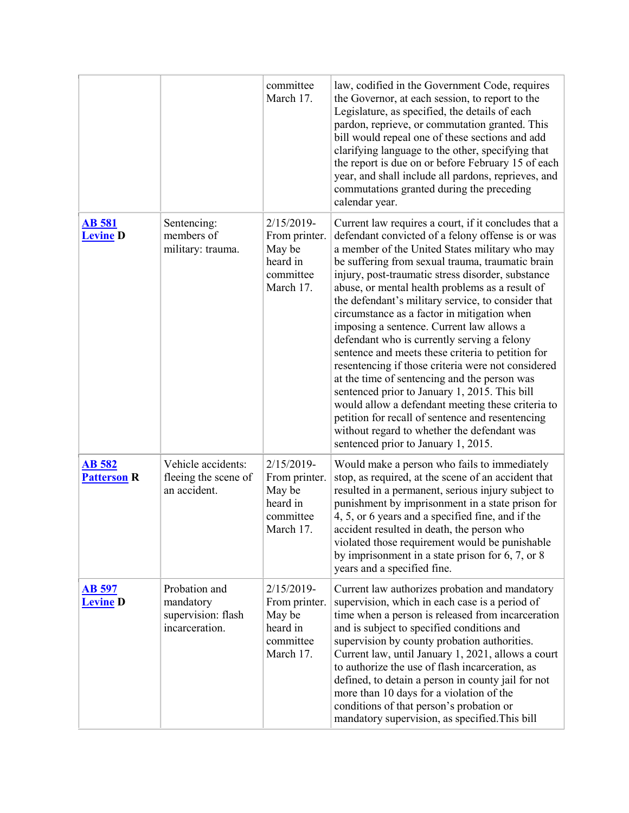|                                     |                                                                    | committee<br>March 17.                                                         | law, codified in the Government Code, requires<br>the Governor, at each session, to report to the<br>Legislature, as specified, the details of each<br>pardon, reprieve, or commutation granted. This<br>bill would repeal one of these sections and add<br>clarifying language to the other, specifying that<br>the report is due on or before February 15 of each<br>year, and shall include all pardons, reprieves, and<br>commutations granted during the preceding<br>calendar year.                                                                                                                                                                                                                                                                                                                                                                                                                                           |
|-------------------------------------|--------------------------------------------------------------------|--------------------------------------------------------------------------------|-------------------------------------------------------------------------------------------------------------------------------------------------------------------------------------------------------------------------------------------------------------------------------------------------------------------------------------------------------------------------------------------------------------------------------------------------------------------------------------------------------------------------------------------------------------------------------------------------------------------------------------------------------------------------------------------------------------------------------------------------------------------------------------------------------------------------------------------------------------------------------------------------------------------------------------|
| <b>AB 581</b><br><b>Levine</b> D    | Sentencing:<br>members of<br>military: trauma.                     | 2/15/2019-<br>From printer.<br>May be<br>heard in<br>committee<br>March 17.    | Current law requires a court, if it concludes that a<br>defendant convicted of a felony offense is or was<br>a member of the United States military who may<br>be suffering from sexual trauma, traumatic brain<br>injury, post-traumatic stress disorder, substance<br>abuse, or mental health problems as a result of<br>the defendant's military service, to consider that<br>circumstance as a factor in mitigation when<br>imposing a sentence. Current law allows a<br>defendant who is currently serving a felony<br>sentence and meets these criteria to petition for<br>resentencing if those criteria were not considered<br>at the time of sentencing and the person was<br>sentenced prior to January 1, 2015. This bill<br>would allow a defendant meeting these criteria to<br>petition for recall of sentence and resentencing<br>without regard to whether the defendant was<br>sentenced prior to January 1, 2015. |
| <b>AB</b> 582<br><b>Patterson R</b> | Vehicle accidents:<br>fleeing the scene of<br>an accident.         | $2/15/2019$ -<br>From printer.<br>May be<br>heard in<br>committee<br>March 17. | Would make a person who fails to immediately<br>stop, as required, at the scene of an accident that<br>resulted in a permanent, serious injury subject to<br>punishment by imprisonment in a state prison for<br>4, 5, or 6 years and a specified fine, and if the<br>accident resulted in death, the person who<br>violated those requirement would be punishable<br>by imprisonment in a state prison for $6, 7$ , or $8$<br>years and a specified fine.                                                                                                                                                                                                                                                                                                                                                                                                                                                                          |
| <b>AB</b> 597<br><b>Levine D</b>    | Probation and<br>mandatory<br>supervision: flash<br>incarceration. | 2/15/2019-<br>From printer.<br>May be<br>heard in<br>committee<br>March 17.    | Current law authorizes probation and mandatory<br>supervision, which in each case is a period of<br>time when a person is released from incarceration<br>and is subject to specified conditions and<br>supervision by county probation authorities.<br>Current law, until January 1, 2021, allows a court<br>to authorize the use of flash incarceration, as<br>defined, to detain a person in county jail for not<br>more than 10 days for a violation of the<br>conditions of that person's probation or<br>mandatory supervision, as specified. This bill                                                                                                                                                                                                                                                                                                                                                                        |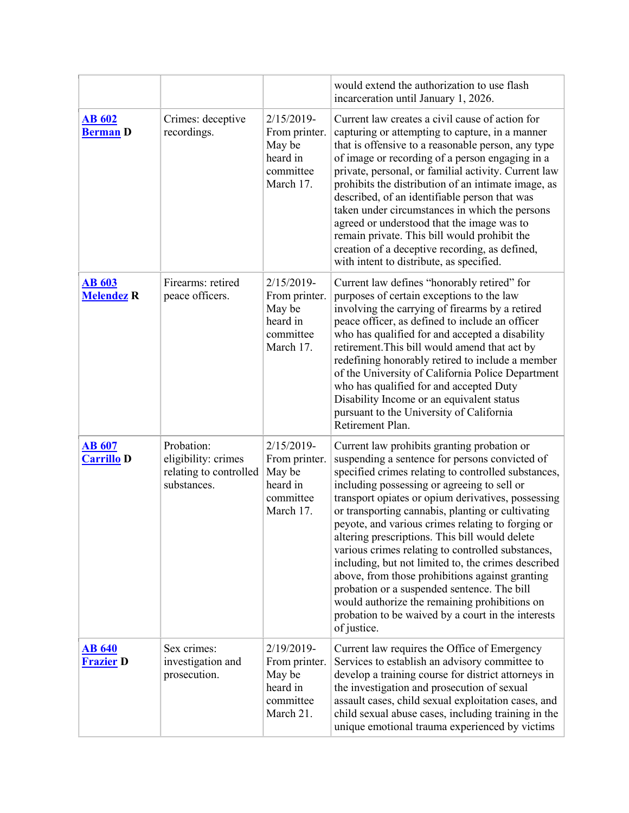|                                    |                                                                            |                                                                                | would extend the authorization to use flash<br>incarceration until January 1, 2026.                                                                                                                                                                                                                                                                                                                                                                                                                                                                                                                                                                                                                                                                       |
|------------------------------------|----------------------------------------------------------------------------|--------------------------------------------------------------------------------|-----------------------------------------------------------------------------------------------------------------------------------------------------------------------------------------------------------------------------------------------------------------------------------------------------------------------------------------------------------------------------------------------------------------------------------------------------------------------------------------------------------------------------------------------------------------------------------------------------------------------------------------------------------------------------------------------------------------------------------------------------------|
| <b>AB 602</b><br><b>Berman D</b>   | Crimes: deceptive<br>recordings.                                           | $2/15/2019$ -<br>From printer.<br>May be<br>heard in<br>committee<br>March 17. | Current law creates a civil cause of action for<br>capturing or attempting to capture, in a manner<br>that is offensive to a reasonable person, any type<br>of image or recording of a person engaging in a<br>private, personal, or familial activity. Current law<br>prohibits the distribution of an intimate image, as<br>described, of an identifiable person that was<br>taken under circumstances in which the persons<br>agreed or understood that the image was to<br>remain private. This bill would prohibit the<br>creation of a deceptive recording, as defined,<br>with intent to distribute, as specified.                                                                                                                                 |
| <b>AB 603</b><br><b>Melendez R</b> | Firearms: retired<br>peace officers.                                       | 2/15/2019-<br>From printer.<br>May be<br>heard in<br>committee<br>March 17.    | Current law defines "honorably retired" for<br>purposes of certain exceptions to the law<br>involving the carrying of firearms by a retired<br>peace officer, as defined to include an officer<br>who has qualified for and accepted a disability<br>retirement. This bill would amend that act by<br>redefining honorably retired to include a member<br>of the University of California Police Department<br>who has qualified for and accepted Duty<br>Disability Income or an equivalent status<br>pursuant to the University of California<br>Retirement Plan.                                                                                                                                                                                       |
| <b>AB 607</b><br><b>Carrillo D</b> | Probation:<br>eligibility: crimes<br>relating to controlled<br>substances. | $2/15/2019$ -<br>From printer.<br>May be<br>heard in<br>committee<br>March 17. | Current law prohibits granting probation or<br>suspending a sentence for persons convicted of<br>specified crimes relating to controlled substances,<br>including possessing or agreeing to sell or<br>transport opiates or opium derivatives, possessing<br>or transporting cannabis, planting or cultivating<br>peyote, and various crimes relating to forging or<br>altering prescriptions. This bill would delete<br>various crimes relating to controlled substances,<br>including, but not limited to, the crimes described<br>above, from those prohibitions against granting<br>probation or a suspended sentence. The bill<br>would authorize the remaining prohibitions on<br>probation to be waived by a court in the interests<br>of justice. |
| <b>AB 640</b><br><b>Frazier D</b>  | Sex crimes:<br>investigation and<br>prosecution.                           | 2/19/2019-<br>From printer.<br>May be<br>heard in<br>committee<br>March 21.    | Current law requires the Office of Emergency<br>Services to establish an advisory committee to<br>develop a training course for district attorneys in<br>the investigation and prosecution of sexual<br>assault cases, child sexual exploitation cases, and<br>child sexual abuse cases, including training in the<br>unique emotional trauma experienced by victims                                                                                                                                                                                                                                                                                                                                                                                      |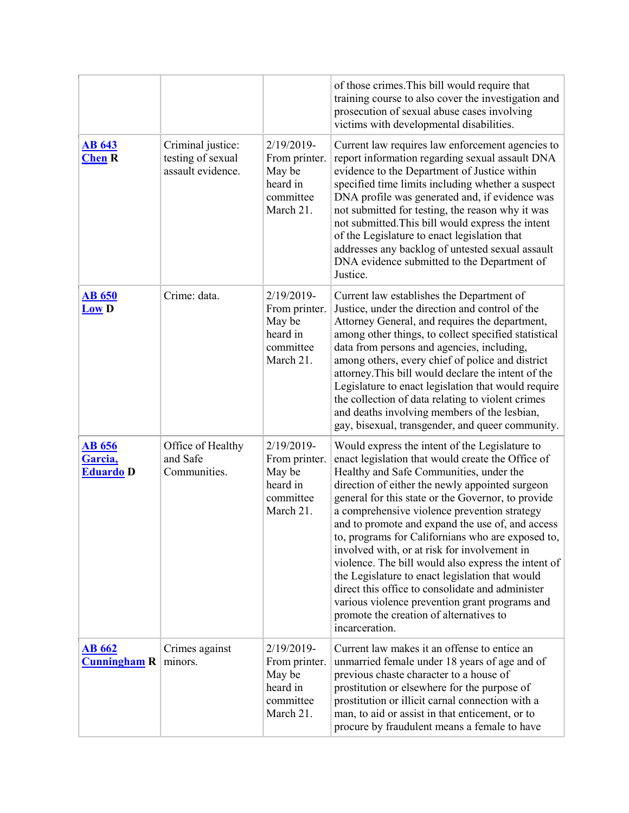|                                              |                                                             |                                                                                | of those crimes. This bill would require that<br>training course to also cover the investigation and<br>prosecution of sexual abuse cases involving<br>victims with developmental disabilities.                                                                                                                                                                                                                                                                                                                                                                                                                                                                                                                                               |
|----------------------------------------------|-------------------------------------------------------------|--------------------------------------------------------------------------------|-----------------------------------------------------------------------------------------------------------------------------------------------------------------------------------------------------------------------------------------------------------------------------------------------------------------------------------------------------------------------------------------------------------------------------------------------------------------------------------------------------------------------------------------------------------------------------------------------------------------------------------------------------------------------------------------------------------------------------------------------|
| <b>AB 643</b><br><b>Chen R</b>               | Criminal justice:<br>testing of sexual<br>assault evidence. | 2/19/2019-<br>From printer.<br>May be<br>heard in<br>committee<br>March 21.    | Current law requires law enforcement agencies to<br>report information regarding sexual assault DNA<br>evidence to the Department of Justice within<br>specified time limits including whether a suspect<br>DNA profile was generated and, if evidence was<br>not submitted for testing, the reason why it was<br>not submitted. This bill would express the intent<br>of the Legislature to enact legislation that<br>addresses any backlog of untested sexual assault<br>DNA evidence submitted to the Department of<br>Justice.                                                                                                                                                                                                            |
| <b>AB 650</b><br><b>Low D</b>                | Crime: data.                                                | 2/19/2019-<br>From printer.<br>May be<br>heard in<br>committee<br>March 21.    | Current law establishes the Department of<br>Justice, under the direction and control of the<br>Attorney General, and requires the department,<br>among other things, to collect specified statistical<br>data from persons and agencies, including,<br>among others, every chief of police and district<br>attorney. This bill would declare the intent of the<br>Legislature to enact legislation that would require<br>the collection of data relating to violent crimes<br>and deaths involving members of the lesbian,<br>gay, bisexual, transgender, and queer community.                                                                                                                                                               |
| <b>AB 656</b><br>Garcia,<br><b>Eduardo</b> D | Office of Healthy<br>and Safe<br>Communities.               | $2/19/2019$ -<br>From printer.<br>May be<br>heard in<br>committee<br>March 21. | Would express the intent of the Legislature to<br>enact legislation that would create the Office of<br>Healthy and Safe Communities, under the<br>direction of either the newly appointed surgeon<br>general for this state or the Governor, to provide<br>a comprehensive violence prevention strategy<br>and to promote and expand the use of, and access<br>to, programs for Californians who are exposed to,<br>involved with, or at risk for involvement in<br>violence. The bill would also express the intent of<br>the Legislature to enact legislation that would<br>direct this office to consolidate and administer<br>various violence prevention grant programs and<br>promote the creation of alternatives to<br>incarceration. |
| <b>AB 662</b><br><b>Cunningham R</b>         | Crimes against<br>minors.                                   | 2/19/2019-<br>From printer.<br>May be<br>heard in<br>committee<br>March 21.    | Current law makes it an offense to entice an<br>unmarried female under 18 years of age and of<br>previous chaste character to a house of<br>prostitution or elsewhere for the purpose of<br>prostitution or illicit carnal connection with a<br>man, to aid or assist in that enticement, or to<br>procure by fraudulent means a female to have                                                                                                                                                                                                                                                                                                                                                                                               |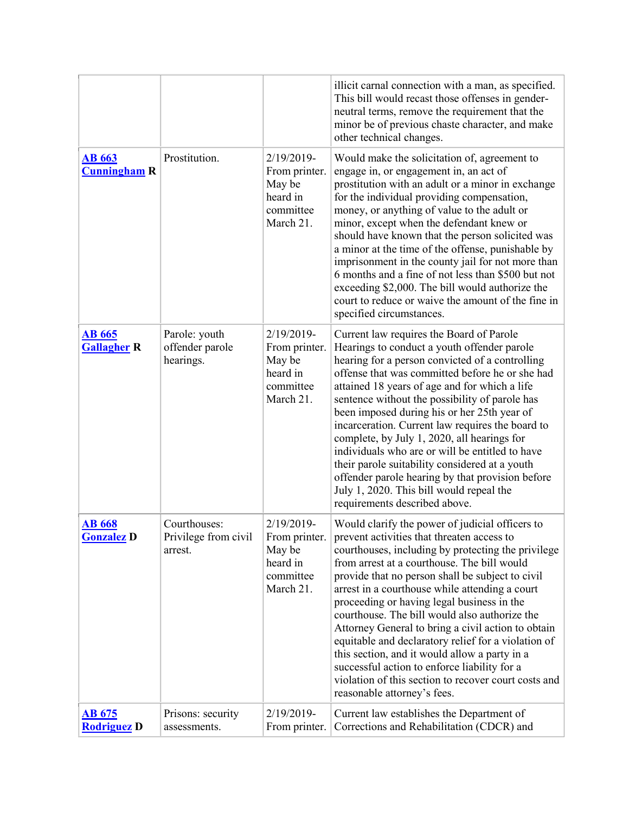|                                      |                                                 |                                                                                | illicit carnal connection with a man, as specified.<br>This bill would recast those offenses in gender-<br>neutral terms, remove the requirement that the<br>minor be of previous chaste character, and make<br>other technical changes.                                                                                                                                                                                                                                                                                                                                                                                                                                                                     |
|--------------------------------------|-------------------------------------------------|--------------------------------------------------------------------------------|--------------------------------------------------------------------------------------------------------------------------------------------------------------------------------------------------------------------------------------------------------------------------------------------------------------------------------------------------------------------------------------------------------------------------------------------------------------------------------------------------------------------------------------------------------------------------------------------------------------------------------------------------------------------------------------------------------------|
| <b>AB 663</b><br><b>Cunningham R</b> | Prostitution.                                   | 2/19/2019-<br>From printer.<br>May be<br>heard in<br>committee<br>March 21.    | Would make the solicitation of, agreement to<br>engage in, or engagement in, an act of<br>prostitution with an adult or a minor in exchange<br>for the individual providing compensation,<br>money, or anything of value to the adult or<br>minor, except when the defendant knew or<br>should have known that the person solicited was<br>a minor at the time of the offense, punishable by<br>imprisonment in the county jail for not more than<br>6 months and a fine of not less than \$500 but not<br>exceeding \$2,000. The bill would authorize the<br>court to reduce or waive the amount of the fine in<br>specified circumstances.                                                                 |
| <b>AB 665</b><br><b>Gallagher R</b>  | Parole: youth<br>offender parole<br>hearings.   | $2/19/2019$ -<br>From printer.<br>May be<br>heard in<br>committee<br>March 21. | Current law requires the Board of Parole<br>Hearings to conduct a youth offender parole<br>hearing for a person convicted of a controlling<br>offense that was committed before he or she had<br>attained 18 years of age and for which a life<br>sentence without the possibility of parole has<br>been imposed during his or her 25th year of<br>incarceration. Current law requires the board to<br>complete, by July 1, 2020, all hearings for<br>individuals who are or will be entitled to have<br>their parole suitability considered at a youth<br>offender parole hearing by that provision before<br>July 1, 2020. This bill would repeal the<br>requirements described above.                     |
| <b>AB 668</b><br><b>Gonzalez</b> D   | Courthouses:<br>Privilege from civil<br>arrest. | 2/19/2019-<br>From printer.<br>May be<br>heard in<br>committee<br>March 21.    | Would clarify the power of judicial officers to<br>prevent activities that threaten access to<br>courthouses, including by protecting the privilege<br>from arrest at a courthouse. The bill would<br>provide that no person shall be subject to civil<br>arrest in a courthouse while attending a court<br>proceeding or having legal business in the<br>courthouse. The bill would also authorize the<br>Attorney General to bring a civil action to obtain<br>equitable and declaratory relief for a violation of<br>this section, and it would allow a party in a<br>successful action to enforce liability for a<br>violation of this section to recover court costs and<br>reasonable attorney's fees. |
| <u>AB 675</u><br><b>Rodriguez D</b>  | Prisons: security<br>assessments.               | 2/19/2019-<br>From printer.                                                    | Current law establishes the Department of<br>Corrections and Rehabilitation (CDCR) and                                                                                                                                                                                                                                                                                                                                                                                                                                                                                                                                                                                                                       |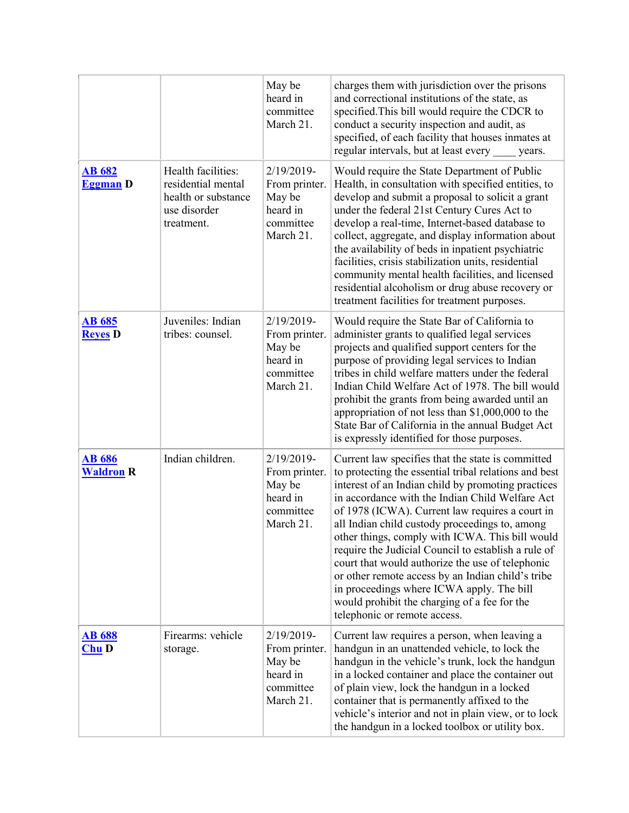|                                   |                                                                                               | May be<br>heard in<br>committee<br>March 21.                                | charges them with jurisdiction over the prisons<br>and correctional institutions of the state, as<br>specified. This bill would require the CDCR to<br>conduct a security inspection and audit, as<br>specified, of each facility that houses inmates at<br>regular intervals, but at least every<br>years.                                                                                                                                                                                                                                                                                                                                                              |
|-----------------------------------|-----------------------------------------------------------------------------------------------|-----------------------------------------------------------------------------|--------------------------------------------------------------------------------------------------------------------------------------------------------------------------------------------------------------------------------------------------------------------------------------------------------------------------------------------------------------------------------------------------------------------------------------------------------------------------------------------------------------------------------------------------------------------------------------------------------------------------------------------------------------------------|
| <b>AB 682</b><br><b>Eggman</b> D  | Health facilities:<br>residential mental<br>health or substance<br>use disorder<br>treatment. | 2/19/2019-<br>From printer.<br>May be<br>heard in<br>committee<br>March 21. | Would require the State Department of Public<br>Health, in consultation with specified entities, to<br>develop and submit a proposal to solicit a grant<br>under the federal 21st Century Cures Act to<br>develop a real-time, Internet-based database to<br>collect, aggregate, and display information about<br>the availability of beds in inpatient psychiatric<br>facilities, crisis stabilization units, residential<br>community mental health facilities, and licensed<br>residential alcoholism or drug abuse recovery or<br>treatment facilities for treatment purposes.                                                                                       |
| <b>AB</b> 685<br><b>Reyes D</b>   | Juveniles: Indian<br>tribes: counsel.                                                         | 2/19/2019-<br>From printer.<br>May be<br>heard in<br>committee<br>March 21. | Would require the State Bar of California to<br>administer grants to qualified legal services<br>projects and qualified support centers for the<br>purpose of providing legal services to Indian<br>tribes in child welfare matters under the federal<br>Indian Child Welfare Act of 1978. The bill would<br>prohibit the grants from being awarded until an<br>appropriation of not less than \$1,000,000 to the<br>State Bar of California in the annual Budget Act<br>is expressly identified for those purposes.                                                                                                                                                     |
| <b>AB 686</b><br><b>Waldron R</b> | Indian children.                                                                              | 2/19/2019-<br>From printer.<br>May be<br>heard in<br>committee<br>March 21. | Current law specifies that the state is committed<br>to protecting the essential tribal relations and best<br>interest of an Indian child by promoting practices<br>in accordance with the Indian Child Welfare Act<br>of 1978 (ICWA). Current law requires a court in<br>all Indian child custody proceedings to, among<br>other things, comply with ICWA. This bill would<br>require the Judicial Council to establish a rule of<br>court that would authorize the use of telephonic<br>or other remote access by an Indian child's tribe<br>in proceedings where ICWA apply. The bill<br>would prohibit the charging of a fee for the<br>telephonic or remote access. |
| <b>AB 688</b><br><b>Chu</b> D     | Firearms: vehicle<br>storage.                                                                 | 2/19/2019-<br>From printer.<br>May be<br>heard in<br>committee<br>March 21. | Current law requires a person, when leaving a<br>handgun in an unattended vehicle, to lock the<br>handgun in the vehicle's trunk, lock the handgun<br>in a locked container and place the container out<br>of plain view, lock the handgun in a locked<br>container that is permanently affixed to the<br>vehicle's interior and not in plain view, or to lock<br>the handgun in a locked toolbox or utility box.                                                                                                                                                                                                                                                        |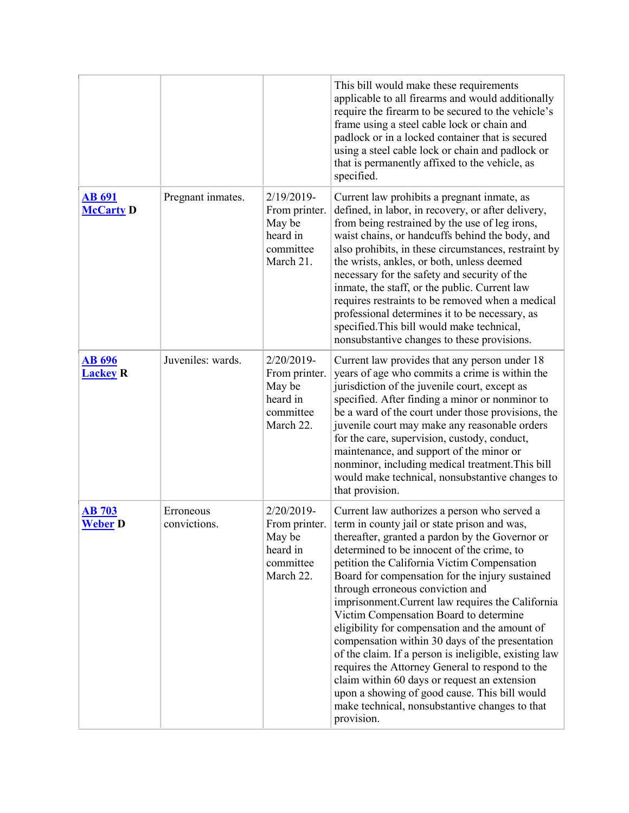|                                   |                           |                                                                                | This bill would make these requirements<br>applicable to all firearms and would additionally<br>require the firearm to be secured to the vehicle's<br>frame using a steel cable lock or chain and<br>padlock or in a locked container that is secured<br>using a steel cable lock or chain and padlock or<br>that is permanently affixed to the vehicle, as<br>specified.                                                                                                                                                                                                                                                                                                                                                                                                                                            |
|-----------------------------------|---------------------------|--------------------------------------------------------------------------------|----------------------------------------------------------------------------------------------------------------------------------------------------------------------------------------------------------------------------------------------------------------------------------------------------------------------------------------------------------------------------------------------------------------------------------------------------------------------------------------------------------------------------------------------------------------------------------------------------------------------------------------------------------------------------------------------------------------------------------------------------------------------------------------------------------------------|
| <b>AB 691</b><br><b>McCarty D</b> | Pregnant inmates.         | 2/19/2019-<br>From printer.<br>May be<br>heard in<br>committee<br>March 21.    | Current law prohibits a pregnant inmate, as<br>defined, in labor, in recovery, or after delivery,<br>from being restrained by the use of leg irons,<br>waist chains, or handcuffs behind the body, and<br>also prohibits, in these circumstances, restraint by<br>the wrists, ankles, or both, unless deemed<br>necessary for the safety and security of the<br>inmate, the staff, or the public. Current law<br>requires restraints to be removed when a medical<br>professional determines it to be necessary, as<br>specified. This bill would make technical,<br>nonsubstantive changes to these provisions.                                                                                                                                                                                                     |
| <b>AB 696</b><br><b>Lackey R</b>  | Juveniles: wards.         | 2/20/2019-<br>From printer.<br>May be<br>heard in<br>committee<br>March 22.    | Current law provides that any person under 18<br>years of age who commits a crime is within the<br>jurisdiction of the juvenile court, except as<br>specified. After finding a minor or nonminor to<br>be a ward of the court under those provisions, the<br>juvenile court may make any reasonable orders<br>for the care, supervision, custody, conduct,<br>maintenance, and support of the minor or<br>nonminor, including medical treatment. This bill<br>would make technical, nonsubstantive changes to<br>that provision.                                                                                                                                                                                                                                                                                     |
| <b>AB 703</b><br><b>Weber</b> D   | Erroneous<br>convictions. | $2/20/2019$ -<br>From printer.<br>May be<br>heard in<br>committee<br>March 22. | Current law authorizes a person who served a<br>term in county jail or state prison and was,<br>thereafter, granted a pardon by the Governor or<br>determined to be innocent of the crime, to<br>petition the California Victim Compensation<br>Board for compensation for the injury sustained<br>through erroneous conviction and<br>imprisonment. Current law requires the California<br>Victim Compensation Board to determine<br>eligibility for compensation and the amount of<br>compensation within 30 days of the presentation<br>of the claim. If a person is ineligible, existing law<br>requires the Attorney General to respond to the<br>claim within 60 days or request an extension<br>upon a showing of good cause. This bill would<br>make technical, nonsubstantive changes to that<br>provision. |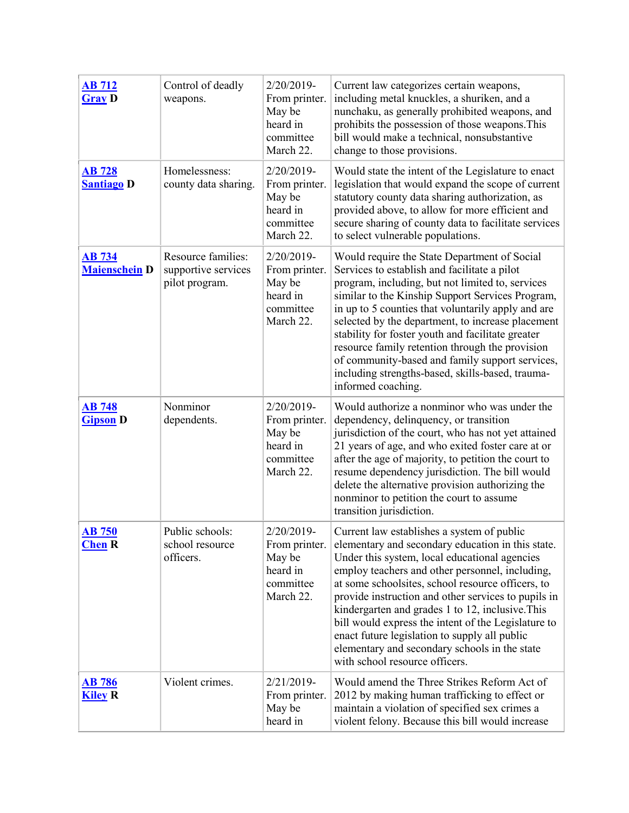| <b>AB 712</b><br><b>Gray D</b>        | Control of deadly<br>weapons.                               | 2/20/2019-<br>From printer.<br>May be<br>heard in<br>committee<br>March 22. | Current law categorizes certain weapons,<br>including metal knuckles, a shuriken, and a<br>nunchaku, as generally prohibited weapons, and<br>prohibits the possession of those weapons. This<br>bill would make a technical, nonsubstantive<br>change to those provisions.                                                                                                                                                                                                                                                                                     |
|---------------------------------------|-------------------------------------------------------------|-----------------------------------------------------------------------------|----------------------------------------------------------------------------------------------------------------------------------------------------------------------------------------------------------------------------------------------------------------------------------------------------------------------------------------------------------------------------------------------------------------------------------------------------------------------------------------------------------------------------------------------------------------|
| <b>AB</b> 728<br><b>Santiago D</b>    | Homelessness:<br>county data sharing.                       | 2/20/2019-<br>From printer.<br>May be<br>heard in<br>committee<br>March 22. | Would state the intent of the Legislature to enact<br>legislation that would expand the scope of current<br>statutory county data sharing authorization, as<br>provided above, to allow for more efficient and<br>secure sharing of county data to facilitate services<br>to select vulnerable populations.                                                                                                                                                                                                                                                    |
| <b>AB 734</b><br><b>Maienschein</b> D | Resource families:<br>supportive services<br>pilot program. | 2/20/2019-<br>From printer.<br>May be<br>heard in<br>committee<br>March 22. | Would require the State Department of Social<br>Services to establish and facilitate a pilot<br>program, including, but not limited to, services<br>similar to the Kinship Support Services Program,<br>in up to 5 counties that voluntarily apply and are<br>selected by the department, to increase placement<br>stability for foster youth and facilitate greater<br>resource family retention through the provision<br>of community-based and family support services,<br>including strengths-based, skills-based, trauma-<br>informed coaching.           |
| <b>AB</b> 748<br><b>Gipson D</b>      | Nonminor<br>dependents.                                     | 2/20/2019-<br>From printer.<br>May be<br>heard in<br>committee<br>March 22. | Would authorize a nonminor who was under the<br>dependency, delinquency, or transition<br>jurisdiction of the court, who has not yet attained<br>21 years of age, and who exited foster care at or<br>after the age of majority, to petition the court to<br>resume dependency jurisdiction. The bill would<br>delete the alternative provision authorizing the<br>nonminor to petition the court to assume<br>transition jurisdiction.                                                                                                                        |
| <b>AB 750</b><br><b>Chen</b> R        | Public schools:<br>school resource<br>officers.             | 2/20/2019-<br>From printer.<br>May be<br>heard in<br>committee<br>March 22. | Current law establishes a system of public<br>elementary and secondary education in this state.<br>Under this system, local educational agencies<br>employ teachers and other personnel, including,<br>at some schoolsites, school resource officers, to<br>provide instruction and other services to pupils in<br>kindergarten and grades 1 to 12, inclusive. This<br>bill would express the intent of the Legislature to<br>enact future legislation to supply all public<br>elementary and secondary schools in the state<br>with school resource officers. |
| <b>AB 786</b><br><b>Kiley R</b>       | Violent crimes.                                             | 2/21/2019-<br>From printer.<br>May be<br>heard in                           | Would amend the Three Strikes Reform Act of<br>2012 by making human trafficking to effect or<br>maintain a violation of specified sex crimes a<br>violent felony. Because this bill would increase                                                                                                                                                                                                                                                                                                                                                             |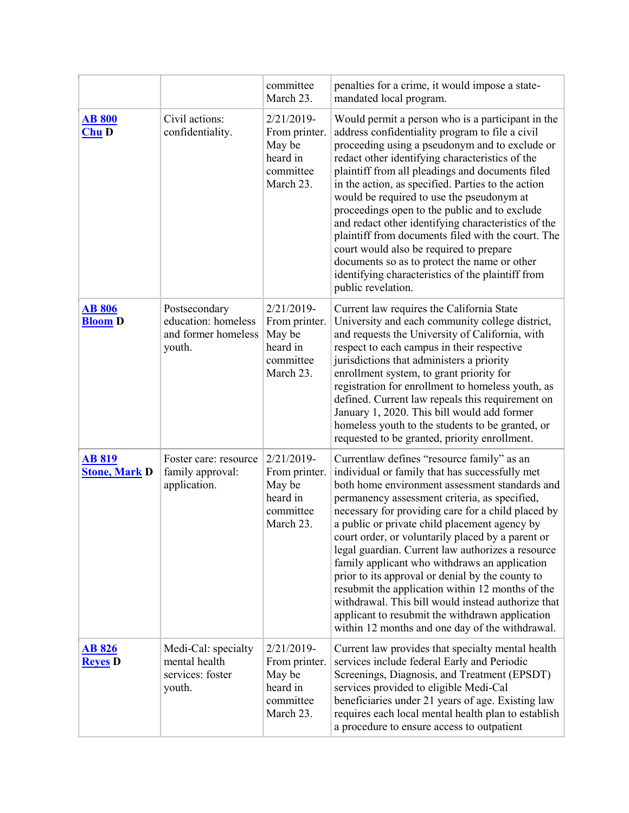|                                       |                                                                       | committee<br>March 23.                                                         | penalties for a crime, it would impose a state-<br>mandated local program.                                                                                                                                                                                                                                                                                                                                                                                                                                                                                                                                                                                                                                                            |
|---------------------------------------|-----------------------------------------------------------------------|--------------------------------------------------------------------------------|---------------------------------------------------------------------------------------------------------------------------------------------------------------------------------------------------------------------------------------------------------------------------------------------------------------------------------------------------------------------------------------------------------------------------------------------------------------------------------------------------------------------------------------------------------------------------------------------------------------------------------------------------------------------------------------------------------------------------------------|
| <b>AB 800</b><br>Chu D                | Civil actions:<br>confidentiality.                                    | 2/21/2019-<br>From printer.<br>May be<br>heard in<br>committee<br>March 23.    | Would permit a person who is a participant in the<br>address confidentiality program to file a civil<br>proceeding using a pseudonym and to exclude or<br>redact other identifying characteristics of the<br>plaintiff from all pleadings and documents filed<br>in the action, as specified. Parties to the action<br>would be required to use the pseudonym at<br>proceedings open to the public and to exclude<br>and redact other identifying characteristics of the<br>plaintiff from documents filed with the court. The<br>court would also be required to prepare<br>documents so as to protect the name or other<br>identifying characteristics of the plaintiff from<br>public revelation.                                  |
| <b>AB 806</b><br><b>Bloom</b> D       | Postsecondary<br>education: homeless<br>and former homeless<br>youth. | $2/21/2019$ -<br>From printer.<br>May be<br>heard in<br>committee<br>March 23. | Current law requires the California State<br>University and each community college district,<br>and requests the University of California, with<br>respect to each campus in their respective<br>jurisdictions that administers a priority<br>enrollment system, to grant priority for<br>registration for enrollment to homeless youth, as<br>defined. Current law repeals this requirement on<br>January 1, 2020. This bill would add former<br>homeless youth to the students to be granted, or<br>requested to be granted, priority enrollment.                                                                                                                                                                                   |
| <b>AB 819</b><br><b>Stone, Mark D</b> | Foster care: resource<br>family approval:<br>application.             | $2/21/2019$ -<br>From printer.<br>May be<br>heard in<br>committee<br>March 23. | Currentlaw defines "resource family" as an<br>individual or family that has successfully met<br>both home environment assessment standards and<br>permanency assessment criteria, as specified,<br>necessary for providing care for a child placed by<br>a public or private child placement agency by<br>court order, or voluntarily placed by a parent or<br>legal guardian. Current law authorizes a resource<br>family applicant who withdraws an application<br>prior to its approval or denial by the county to<br>resubmit the application within 12 months of the<br>withdrawal. This bill would instead authorize that<br>applicant to resubmit the withdrawn application<br>within 12 months and one day of the withdrawal. |
| <b>AB 826</b><br><b>Reyes</b> D       | Medi-Cal: specialty<br>mental health<br>services: foster<br>youth.    | $2/21/2019$ -<br>From printer.<br>May be<br>heard in<br>committee<br>March 23. | Current law provides that specialty mental health<br>services include federal Early and Periodic<br>Screenings, Diagnosis, and Treatment (EPSDT)<br>services provided to eligible Medi-Cal<br>beneficiaries under 21 years of age. Existing law<br>requires each local mental health plan to establish<br>a procedure to ensure access to outpatient                                                                                                                                                                                                                                                                                                                                                                                  |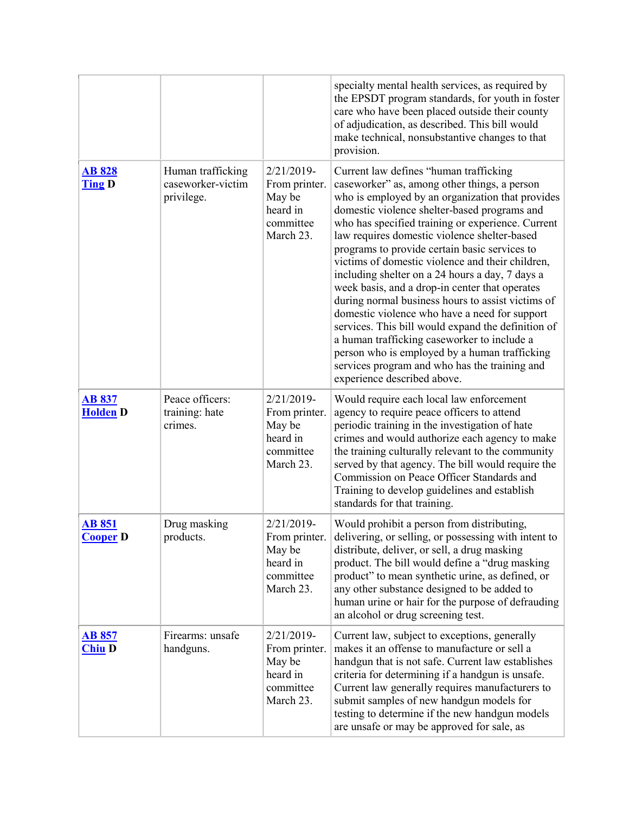|                                  |                                                      |                                                                                | specialty mental health services, as required by<br>the EPSDT program standards, for youth in foster<br>care who have been placed outside their county<br>of adjudication, as described. This bill would<br>make technical, nonsubstantive changes to that<br>provision.                                                                                                                                                                                                                                                                                                                                                                                                                                                                                                                                                                              |
|----------------------------------|------------------------------------------------------|--------------------------------------------------------------------------------|-------------------------------------------------------------------------------------------------------------------------------------------------------------------------------------------------------------------------------------------------------------------------------------------------------------------------------------------------------------------------------------------------------------------------------------------------------------------------------------------------------------------------------------------------------------------------------------------------------------------------------------------------------------------------------------------------------------------------------------------------------------------------------------------------------------------------------------------------------|
| <b>AB 828</b><br><b>Ting D</b>   | Human trafficking<br>caseworker-victim<br>privilege. | $2/21/2019$ -<br>From printer.<br>May be<br>heard in<br>committee<br>March 23. | Current law defines "human trafficking<br>caseworker" as, among other things, a person<br>who is employed by an organization that provides<br>domestic violence shelter-based programs and<br>who has specified training or experience. Current<br>law requires domestic violence shelter-based<br>programs to provide certain basic services to<br>victims of domestic violence and their children,<br>including shelter on a 24 hours a day, 7 days a<br>week basis, and a drop-in center that operates<br>during normal business hours to assist victims of<br>domestic violence who have a need for support<br>services. This bill would expand the definition of<br>a human trafficking caseworker to include a<br>person who is employed by a human trafficking<br>services program and who has the training and<br>experience described above. |
| <b>AB 837</b><br><b>Holden D</b> | Peace officers:<br>training: hate<br>crimes.         | $2/21/2019$ -<br>From printer.<br>May be<br>heard in<br>committee<br>March 23. | Would require each local law enforcement<br>agency to require peace officers to attend<br>periodic training in the investigation of hate<br>crimes and would authorize each agency to make<br>the training culturally relevant to the community<br>served by that agency. The bill would require the<br>Commission on Peace Officer Standards and<br>Training to develop guidelines and establish<br>standards for that training.                                                                                                                                                                                                                                                                                                                                                                                                                     |
| <b>AB 851</b><br><b>Cooper D</b> | Drug masking<br>products.                            | 2/21/2019-<br>From printer.<br>May be<br>heard in<br>committee<br>March 23.    | Would prohibit a person from distributing,<br>delivering, or selling, or possessing with intent to<br>distribute, deliver, or sell, a drug masking<br>product. The bill would define a "drug masking<br>product" to mean synthetic urine, as defined, or<br>any other substance designed to be added to<br>human urine or hair for the purpose of defrauding<br>an alcohol or drug screening test.                                                                                                                                                                                                                                                                                                                                                                                                                                                    |
| <b>AB 857</b><br><b>Chiu D</b>   | Firearms: unsafe<br>handguns.                        | 2/21/2019-<br>From printer.<br>May be<br>heard in<br>committee<br>March 23.    | Current law, subject to exceptions, generally<br>makes it an offense to manufacture or sell a<br>handgun that is not safe. Current law establishes<br>criteria for determining if a handgun is unsafe.<br>Current law generally requires manufacturers to<br>submit samples of new handgun models for<br>testing to determine if the new handgun models<br>are unsafe or may be approved for sale, as                                                                                                                                                                                                                                                                                                                                                                                                                                                 |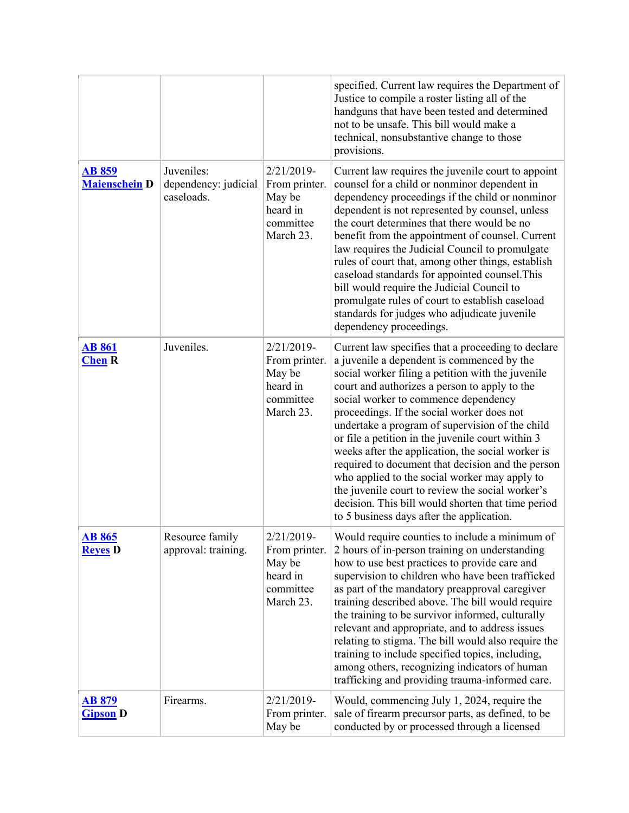|                                       |                                                  |                                                                                | specified. Current law requires the Department of<br>Justice to compile a roster listing all of the<br>handguns that have been tested and determined<br>not to be unsafe. This bill would make a<br>technical, nonsubstantive change to those<br>provisions.                                                                                                                                                                                                                                                                                                                                                                                                                                                           |
|---------------------------------------|--------------------------------------------------|--------------------------------------------------------------------------------|------------------------------------------------------------------------------------------------------------------------------------------------------------------------------------------------------------------------------------------------------------------------------------------------------------------------------------------------------------------------------------------------------------------------------------------------------------------------------------------------------------------------------------------------------------------------------------------------------------------------------------------------------------------------------------------------------------------------|
| <b>AB 859</b><br><b>Maienschein D</b> | Juveniles:<br>dependency: judicial<br>caseloads. | $2/21/2019-$<br>From printer.<br>May be<br>heard in<br>committee<br>March 23.  | Current law requires the juvenile court to appoint<br>counsel for a child or nonminor dependent in<br>dependency proceedings if the child or nonminor<br>dependent is not represented by counsel, unless<br>the court determines that there would be no<br>benefit from the appointment of counsel. Current<br>law requires the Judicial Council to promulgate<br>rules of court that, among other things, establish<br>caseload standards for appointed counsel. This<br>bill would require the Judicial Council to<br>promulgate rules of court to establish caseload<br>standards for judges who adjudicate juvenile<br>dependency proceedings.                                                                     |
| <b>AB 861</b><br><b>Chen R</b>        | Juveniles.                                       | $2/21/2019$ -<br>From printer.<br>May be<br>heard in<br>committee<br>March 23. | Current law specifies that a proceeding to declare<br>a juvenile a dependent is commenced by the<br>social worker filing a petition with the juvenile<br>court and authorizes a person to apply to the<br>social worker to commence dependency<br>proceedings. If the social worker does not<br>undertake a program of supervision of the child<br>or file a petition in the juvenile court within 3<br>weeks after the application, the social worker is<br>required to document that decision and the person<br>who applied to the social worker may apply to<br>the juvenile court to review the social worker's<br>decision. This bill would shorten that time period<br>to 5 business days after the application. |
| <b>AB 865</b><br><b>Reyes</b> D       | Resource family<br>approval: training.           | 2/21/2019-<br>From printer.<br>May be<br>heard in<br>committee<br>March 23.    | Would require counties to include a minimum of<br>2 hours of in-person training on understanding<br>how to use best practices to provide care and<br>supervision to children who have been trafficked<br>as part of the mandatory preapproval caregiver<br>training described above. The bill would require<br>the training to be survivor informed, culturally<br>relevant and appropriate, and to address issues<br>relating to stigma. The bill would also require the<br>training to include specified topics, including,<br>among others, recognizing indicators of human<br>trafficking and providing trauma-informed care.                                                                                      |
| <b>AB 879</b><br><b>Gipson D</b>      | Firearms.                                        | 2/21/2019-<br>From printer.<br>May be                                          | Would, commencing July 1, 2024, require the<br>sale of firearm precursor parts, as defined, to be<br>conducted by or processed through a licensed                                                                                                                                                                                                                                                                                                                                                                                                                                                                                                                                                                      |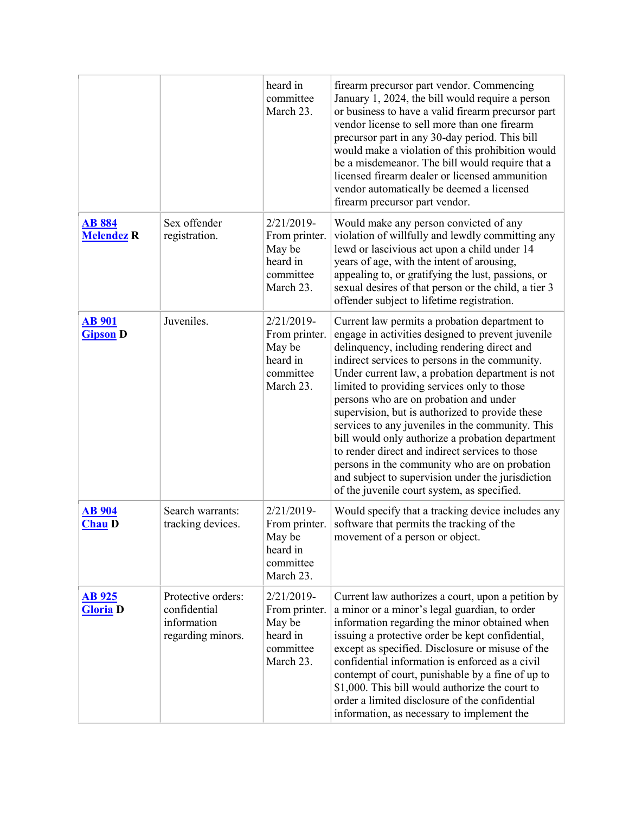|                                    |                                                                        | heard in<br>committee<br>March 23.                                             | firearm precursor part vendor. Commencing<br>January 1, 2024, the bill would require a person<br>or business to have a valid firearm precursor part<br>vendor license to sell more than one firearm<br>precursor part in any 30-day period. This bill<br>would make a violation of this prohibition would<br>be a misdemeanor. The bill would require that a<br>licensed firearm dealer or licensed ammunition<br>vendor automatically be deemed a licensed<br>firearm precursor part vendor.                                                                                                                                                                                                                       |
|------------------------------------|------------------------------------------------------------------------|--------------------------------------------------------------------------------|---------------------------------------------------------------------------------------------------------------------------------------------------------------------------------------------------------------------------------------------------------------------------------------------------------------------------------------------------------------------------------------------------------------------------------------------------------------------------------------------------------------------------------------------------------------------------------------------------------------------------------------------------------------------------------------------------------------------|
| <b>AB 884</b><br><b>Melendez R</b> | Sex offender<br>registration.                                          | 2/21/2019-<br>From printer.<br>May be<br>heard in<br>committee<br>March 23.    | Would make any person convicted of any<br>violation of willfully and lewdly committing any<br>lewd or lascivious act upon a child under 14<br>years of age, with the intent of arousing,<br>appealing to, or gratifying the lust, passions, or<br>sexual desires of that person or the child, a tier 3<br>offender subject to lifetime registration.                                                                                                                                                                                                                                                                                                                                                                |
| <b>AB</b> 901<br><b>Gipson D</b>   | Juveniles.                                                             | 2/21/2019-<br>From printer.<br>May be<br>heard in<br>committee<br>March 23.    | Current law permits a probation department to<br>engage in activities designed to prevent juvenile<br>delinquency, including rendering direct and<br>indirect services to persons in the community.<br>Under current law, a probation department is not<br>limited to providing services only to those<br>persons who are on probation and under<br>supervision, but is authorized to provide these<br>services to any juveniles in the community. This<br>bill would only authorize a probation department<br>to render direct and indirect services to those<br>persons in the community who are on probation<br>and subject to supervision under the jurisdiction<br>of the juvenile court system, as specified. |
| <b>AB 904</b><br><b>Chau D</b>     | Search warrants:<br>tracking devices.                                  | $2/21/2019$ -<br>From printer.<br>May be<br>heard in<br>committee<br>March 23. | Would specify that a tracking device includes any<br>software that permits the tracking of the<br>movement of a person or object.                                                                                                                                                                                                                                                                                                                                                                                                                                                                                                                                                                                   |
| <b>AB 925</b><br><b>Gloria</b> D   | Protective orders:<br>confidential<br>information<br>regarding minors. | $2/21/2019$ -<br>From printer.<br>May be<br>heard in<br>committee<br>March 23. | Current law authorizes a court, upon a petition by<br>a minor or a minor's legal guardian, to order<br>information regarding the minor obtained when<br>issuing a protective order be kept confidential,<br>except as specified. Disclosure or misuse of the<br>confidential information is enforced as a civil<br>contempt of court, punishable by a fine of up to<br>\$1,000. This bill would authorize the court to<br>order a limited disclosure of the confidential<br>information, as necessary to implement the                                                                                                                                                                                              |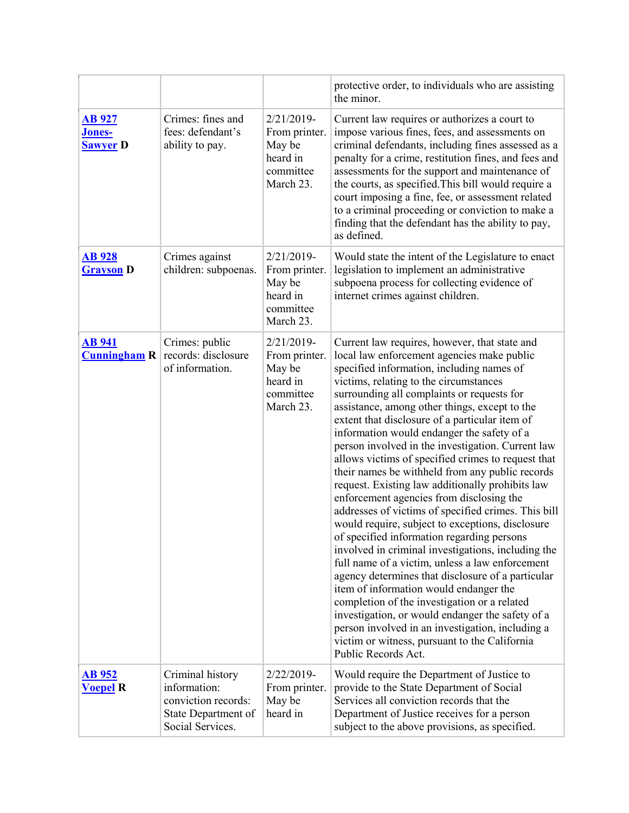|                                              |                                                                                                    |                                                                             | protective order, to individuals who are assisting<br>the minor.                                                                                                                                                                                                                                                                                                                                                                                                                                                                                                                                                                                                                                                                                                                                                                                                                                                                                                                                                                                                                                                                                                                                                                                 |
|----------------------------------------------|----------------------------------------------------------------------------------------------------|-----------------------------------------------------------------------------|--------------------------------------------------------------------------------------------------------------------------------------------------------------------------------------------------------------------------------------------------------------------------------------------------------------------------------------------------------------------------------------------------------------------------------------------------------------------------------------------------------------------------------------------------------------------------------------------------------------------------------------------------------------------------------------------------------------------------------------------------------------------------------------------------------------------------------------------------------------------------------------------------------------------------------------------------------------------------------------------------------------------------------------------------------------------------------------------------------------------------------------------------------------------------------------------------------------------------------------------------|
| <b>AB 927</b><br>Jones-<br><b>Sawyer D</b>   | Crimes: fines and<br>fees: defendant's<br>ability to pay.                                          | 2/21/2019-<br>From printer.<br>May be<br>heard in<br>committee<br>March 23. | Current law requires or authorizes a court to<br>impose various fines, fees, and assessments on<br>criminal defendants, including fines assessed as a<br>penalty for a crime, restitution fines, and fees and<br>assessments for the support and maintenance of<br>the courts, as specified. This bill would require a<br>court imposing a fine, fee, or assessment related<br>to a criminal proceeding or conviction to make a<br>finding that the defendant has the ability to pay,<br>as defined.                                                                                                                                                                                                                                                                                                                                                                                                                                                                                                                                                                                                                                                                                                                                             |
| <b>AB</b> <sub>928</sub><br><b>Grayson</b> D | Crimes against<br>children: subpoenas.                                                             | 2/21/2019-<br>From printer.<br>May be<br>heard in<br>committee<br>March 23. | Would state the intent of the Legislature to enact<br>legislation to implement an administrative<br>subpoena process for collecting evidence of<br>internet crimes against children.                                                                                                                                                                                                                                                                                                                                                                                                                                                                                                                                                                                                                                                                                                                                                                                                                                                                                                                                                                                                                                                             |
| <b>AB</b> 941<br>Cunningham R                | Crimes: public<br>records: disclosure<br>of information.                                           | 2/21/2019-<br>From printer.<br>May be<br>heard in<br>committee<br>March 23. | Current law requires, however, that state and<br>local law enforcement agencies make public<br>specified information, including names of<br>victims, relating to the circumstances<br>surrounding all complaints or requests for<br>assistance, among other things, except to the<br>extent that disclosure of a particular item of<br>information would endanger the safety of a<br>person involved in the investigation. Current law<br>allows victims of specified crimes to request that<br>their names be withheld from any public records<br>request. Existing law additionally prohibits law<br>enforcement agencies from disclosing the<br>addresses of victims of specified crimes. This bill<br>would require, subject to exceptions, disclosure<br>of specified information regarding persons<br>involved in criminal investigations, including the<br>full name of a victim, unless a law enforcement<br>agency determines that disclosure of a particular<br>item of information would endanger the<br>completion of the investigation or a related<br>investigation, or would endanger the safety of a<br>person involved in an investigation, including a<br>victim or witness, pursuant to the California<br>Public Records Act. |
| <b>AB 952</b><br><b>Voepel R</b>             | Criminal history<br>information:<br>conviction records:<br>State Department of<br>Social Services. | 2/22/2019-<br>From printer.<br>May be<br>heard in                           | Would require the Department of Justice to<br>provide to the State Department of Social<br>Services all conviction records that the<br>Department of Justice receives for a person<br>subject to the above provisions, as specified.                                                                                                                                                                                                                                                                                                                                                                                                                                                                                                                                                                                                                                                                                                                                                                                                                                                                                                                                                                                                             |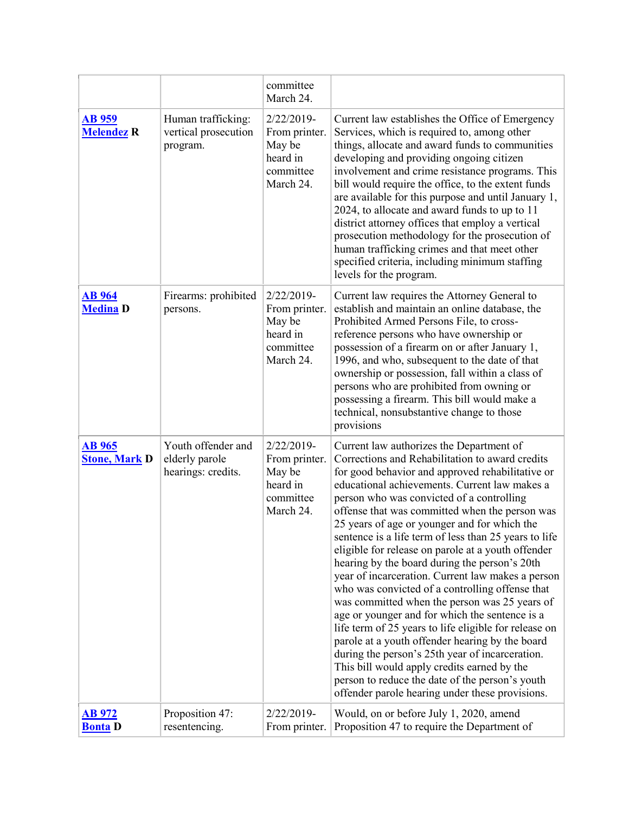|                                       |                                                            | committee<br>March 24.                                                      |                                                                                                                                                                                                                                                                                                                                                                                                                                                                                                                                                                                                                                                                                                                                                                                                                                                                                                                                                                                                                                                |
|---------------------------------------|------------------------------------------------------------|-----------------------------------------------------------------------------|------------------------------------------------------------------------------------------------------------------------------------------------------------------------------------------------------------------------------------------------------------------------------------------------------------------------------------------------------------------------------------------------------------------------------------------------------------------------------------------------------------------------------------------------------------------------------------------------------------------------------------------------------------------------------------------------------------------------------------------------------------------------------------------------------------------------------------------------------------------------------------------------------------------------------------------------------------------------------------------------------------------------------------------------|
| <b>AB</b> 959<br><b>Melendez R</b>    | Human trafficking:<br>vertical prosecution<br>program.     | 2/22/2019-<br>From printer.<br>May be<br>heard in<br>committee<br>March 24. | Current law establishes the Office of Emergency<br>Services, which is required to, among other<br>things, allocate and award funds to communities<br>developing and providing ongoing citizen<br>involvement and crime resistance programs. This<br>bill would require the office, to the extent funds<br>are available for this purpose and until January 1,<br>2024, to allocate and award funds to up to 11<br>district attorney offices that employ a vertical<br>prosecution methodology for the prosecution of<br>human trafficking crimes and that meet other<br>specified criteria, including minimum staffing<br>levels for the program.                                                                                                                                                                                                                                                                                                                                                                                              |
| <b>AB</b> 964<br><b>Medina D</b>      | Firearms: prohibited<br>persons.                           | 2/22/2019-<br>From printer.<br>May be<br>heard in<br>committee<br>March 24. | Current law requires the Attorney General to<br>establish and maintain an online database, the<br>Prohibited Armed Persons File, to cross-<br>reference persons who have ownership or<br>possession of a firearm on or after January 1,<br>1996, and who, subsequent to the date of that<br>ownership or possession, fall within a class of<br>persons who are prohibited from owning or<br>possessing a firearm. This bill would make a<br>technical, nonsubstantive change to those<br>provisions                                                                                                                                                                                                                                                                                                                                                                                                                                                                                                                                            |
| <b>AB</b> 965<br><b>Stone, Mark D</b> | Youth offender and<br>elderly parole<br>hearings: credits. | 2/22/2019-<br>From printer.<br>May be<br>heard in<br>committee<br>March 24. | Current law authorizes the Department of<br>Corrections and Rehabilitation to award credits<br>for good behavior and approved rehabilitative or<br>educational achievements. Current law makes a<br>person who was convicted of a controlling<br>offense that was committed when the person was<br>25 years of age or younger and for which the<br>sentence is a life term of less than 25 years to life<br>eligible for release on parole at a youth offender<br>hearing by the board during the person's 20th<br>year of incarceration. Current law makes a person<br>who was convicted of a controlling offense that<br>was committed when the person was 25 years of<br>age or younger and for which the sentence is a<br>life term of 25 years to life eligible for release on<br>parole at a youth offender hearing by the board<br>during the person's 25th year of incarceration.<br>This bill would apply credits earned by the<br>person to reduce the date of the person's youth<br>offender parole hearing under these provisions. |
| <u>AB 972</u><br><b>Bonta</b> D       | Proposition 47:<br>resentencing.                           | 2/22/2019-<br>From printer.                                                 | Would, on or before July 1, 2020, amend<br>Proposition 47 to require the Department of                                                                                                                                                                                                                                                                                                                                                                                                                                                                                                                                                                                                                                                                                                                                                                                                                                                                                                                                                         |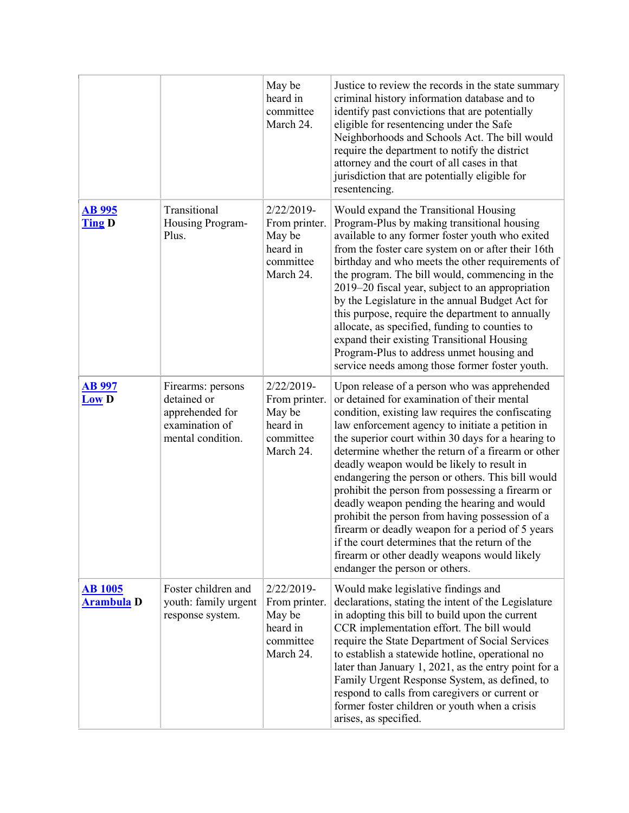|                                     |                                                                                            | May be<br>heard in<br>committee<br>March 24.                                   | Justice to review the records in the state summary<br>criminal history information database and to<br>identify past convictions that are potentially<br>eligible for resentencing under the Safe<br>Neighborhoods and Schools Act. The bill would<br>require the department to notify the district<br>attorney and the court of all cases in that<br>jurisdiction that are potentially eligible for<br>resentencing.                                                                                                                                                                                                                                                                                                                                              |
|-------------------------------------|--------------------------------------------------------------------------------------------|--------------------------------------------------------------------------------|-------------------------------------------------------------------------------------------------------------------------------------------------------------------------------------------------------------------------------------------------------------------------------------------------------------------------------------------------------------------------------------------------------------------------------------------------------------------------------------------------------------------------------------------------------------------------------------------------------------------------------------------------------------------------------------------------------------------------------------------------------------------|
| <b>AB 995</b><br><b>Ting D</b>      | Transitional<br>Housing Program-<br>Plus.                                                  | 2/22/2019-<br>From printer.<br>May be<br>heard in<br>committee<br>March 24.    | Would expand the Transitional Housing<br>Program-Plus by making transitional housing<br>available to any former foster youth who exited<br>from the foster care system on or after their 16th<br>birthday and who meets the other requirements of<br>the program. The bill would, commencing in the<br>2019–20 fiscal year, subject to an appropriation<br>by the Legislature in the annual Budget Act for<br>this purpose, require the department to annually<br>allocate, as specified, funding to counties to<br>expand their existing Transitional Housing<br>Program-Plus to address unmet housing and<br>service needs among those former foster youth.                                                                                                     |
| <u>AB 997</u><br><b>Low D</b>       | Firearms: persons<br>detained or<br>apprehended for<br>examination of<br>mental condition. | 2/22/2019-<br>From printer.<br>May be<br>heard in<br>committee<br>March 24.    | Upon release of a person who was apprehended<br>or detained for examination of their mental<br>condition, existing law requires the confiscating<br>law enforcement agency to initiate a petition in<br>the superior court within 30 days for a hearing to<br>determine whether the return of a firearm or other<br>deadly weapon would be likely to result in<br>endangering the person or others. This bill would<br>prohibit the person from possessing a firearm or<br>deadly weapon pending the hearing and would<br>prohibit the person from having possession of a<br>firearm or deadly weapon for a period of 5 years<br>if the court determines that the return of the<br>firearm or other deadly weapons would likely<br>endanger the person or others. |
| <b>AB</b> 1005<br><b>Arambula D</b> | Foster children and<br>youth: family urgent<br>response system.                            | $2/22/2019$ -<br>From printer.<br>May be<br>heard in<br>committee<br>March 24. | Would make legislative findings and<br>declarations, stating the intent of the Legislature<br>in adopting this bill to build upon the current<br>CCR implementation effort. The bill would<br>require the State Department of Social Services<br>to establish a statewide hotline, operational no<br>later than January 1, 2021, as the entry point for a<br>Family Urgent Response System, as defined, to<br>respond to calls from caregivers or current or<br>former foster children or youth when a crisis<br>arises, as specified.                                                                                                                                                                                                                            |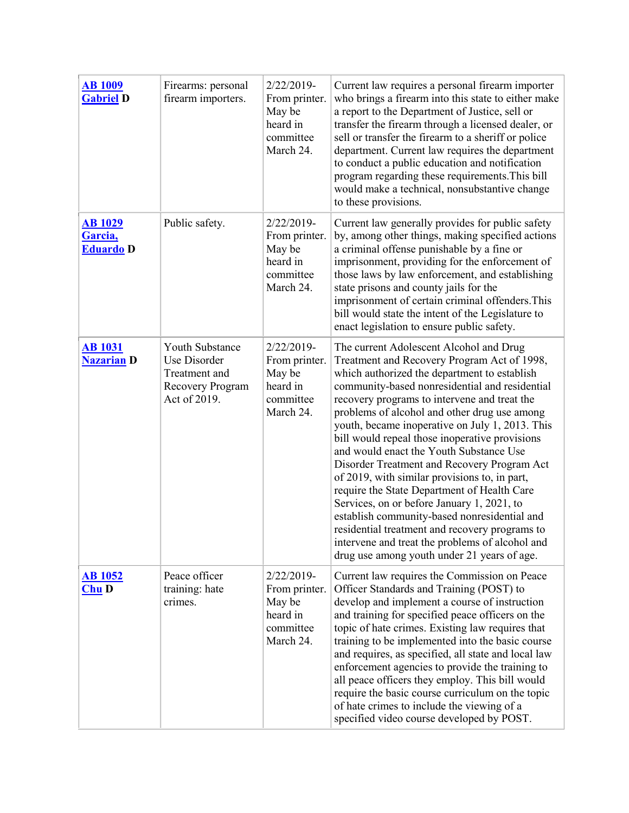| <b>AB 1009</b><br><b>Gabriel D</b>            | Firearms: personal<br>firearm importers.                                             | $2/22/2019$ -<br>From printer.<br>May be<br>heard in<br>committee<br>March 24. | Current law requires a personal firearm importer<br>who brings a firearm into this state to either make<br>a report to the Department of Justice, sell or<br>transfer the firearm through a licensed dealer, or<br>sell or transfer the firearm to a sheriff or police<br>department. Current law requires the department<br>to conduct a public education and notification<br>program regarding these requirements. This bill<br>would make a technical, nonsubstantive change<br>to these provisions.                                                                                                                                                                                                                                                                                                                                   |
|-----------------------------------------------|--------------------------------------------------------------------------------------|--------------------------------------------------------------------------------|-------------------------------------------------------------------------------------------------------------------------------------------------------------------------------------------------------------------------------------------------------------------------------------------------------------------------------------------------------------------------------------------------------------------------------------------------------------------------------------------------------------------------------------------------------------------------------------------------------------------------------------------------------------------------------------------------------------------------------------------------------------------------------------------------------------------------------------------|
| <b>AB 1029</b><br>Garcia,<br><b>Eduardo</b> D | Public safety.                                                                       | 2/22/2019-<br>From printer.<br>May be<br>heard in<br>committee<br>March 24.    | Current law generally provides for public safety<br>by, among other things, making specified actions<br>a criminal offense punishable by a fine or<br>imprisonment, providing for the enforcement of<br>those laws by law enforcement, and establishing<br>state prisons and county jails for the<br>imprisonment of certain criminal offenders. This<br>bill would state the intent of the Legislature to<br>enact legislation to ensure public safety.                                                                                                                                                                                                                                                                                                                                                                                  |
| <b>AB 1031</b><br><b>Nazarian D</b>           | Youth Substance<br>Use Disorder<br>Treatment and<br>Recovery Program<br>Act of 2019. | $2/22/2019$ -<br>From printer.<br>May be<br>heard in<br>committee<br>March 24. | The current Adolescent Alcohol and Drug<br>Treatment and Recovery Program Act of 1998,<br>which authorized the department to establish<br>community-based nonresidential and residential<br>recovery programs to intervene and treat the<br>problems of alcohol and other drug use among<br>youth, became inoperative on July 1, 2013. This<br>bill would repeal those inoperative provisions<br>and would enact the Youth Substance Use<br>Disorder Treatment and Recovery Program Act<br>of 2019, with similar provisions to, in part,<br>require the State Department of Health Care<br>Services, on or before January 1, 2021, to<br>establish community-based nonresidential and<br>residential treatment and recovery programs to<br>intervene and treat the problems of alcohol and<br>drug use among youth under 21 years of age. |
| <b>AB 1052</b><br><b>Chu D</b>                | Peace officer<br>training: hate<br>crimes.                                           | 2/22/2019-<br>From printer.<br>May be<br>heard in<br>committee<br>March 24.    | Current law requires the Commission on Peace<br>Officer Standards and Training (POST) to<br>develop and implement a course of instruction<br>and training for specified peace officers on the<br>topic of hate crimes. Existing law requires that<br>training to be implemented into the basic course<br>and requires, as specified, all state and local law<br>enforcement agencies to provide the training to<br>all peace officers they employ. This bill would<br>require the basic course curriculum on the topic<br>of hate crimes to include the viewing of a<br>specified video course developed by POST.                                                                                                                                                                                                                         |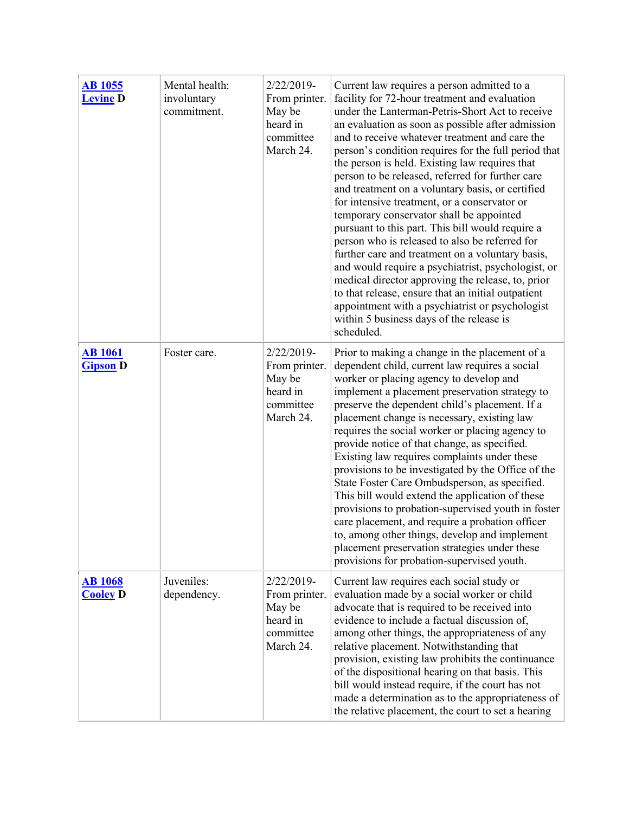| <b>AB 1055</b><br><b>Levine D</b> | Mental health:<br>involuntary<br>commitment. | $2/22/2019$ -<br>From printer.<br>May be<br>heard in<br>committee<br>March 24. | Current law requires a person admitted to a<br>facility for 72-hour treatment and evaluation<br>under the Lanterman-Petris-Short Act to receive<br>an evaluation as soon as possible after admission<br>and to receive whatever treatment and care the<br>person's condition requires for the full period that<br>the person is held. Existing law requires that<br>person to be released, referred for further care<br>and treatment on a voluntary basis, or certified<br>for intensive treatment, or a conservator or<br>temporary conservator shall be appointed<br>pursuant to this part. This bill would require a<br>person who is released to also be referred for<br>further care and treatment on a voluntary basis,<br>and would require a psychiatrist, psychologist, or<br>medical director approving the release, to, prior<br>to that release, ensure that an initial outpatient<br>appointment with a psychiatrist or psychologist<br>within 5 business days of the release is<br>scheduled. |
|-----------------------------------|----------------------------------------------|--------------------------------------------------------------------------------|--------------------------------------------------------------------------------------------------------------------------------------------------------------------------------------------------------------------------------------------------------------------------------------------------------------------------------------------------------------------------------------------------------------------------------------------------------------------------------------------------------------------------------------------------------------------------------------------------------------------------------------------------------------------------------------------------------------------------------------------------------------------------------------------------------------------------------------------------------------------------------------------------------------------------------------------------------------------------------------------------------------|
| <b>AB</b> 1061<br><b>Gipson D</b> | Foster care.                                 | $2/22/2019$ -<br>From printer.<br>May be<br>heard in<br>committee<br>March 24. | Prior to making a change in the placement of a<br>dependent child, current law requires a social<br>worker or placing agency to develop and<br>implement a placement preservation strategy to<br>preserve the dependent child's placement. If a<br>placement change is necessary, existing law<br>requires the social worker or placing agency to<br>provide notice of that change, as specified.<br>Existing law requires complaints under these<br>provisions to be investigated by the Office of the<br>State Foster Care Ombudsperson, as specified.<br>This bill would extend the application of these<br>provisions to probation-supervised youth in foster<br>care placement, and require a probation officer<br>to, among other things, develop and implement<br>placement preservation strategies under these<br>provisions for probation-supervised youth.                                                                                                                                         |
| <b>AB</b> 1068<br><b>Cooley D</b> | Juveniles:<br>dependency.                    | $2/22/2019$ -<br>From printer.<br>May be<br>heard in<br>committee<br>March 24. | Current law requires each social study or<br>evaluation made by a social worker or child<br>advocate that is required to be received into<br>evidence to include a factual discussion of,<br>among other things, the appropriateness of any<br>relative placement. Notwithstanding that<br>provision, existing law prohibits the continuance<br>of the dispositional hearing on that basis. This<br>bill would instead require, if the court has not<br>made a determination as to the appropriateness of<br>the relative placement, the court to set a hearing                                                                                                                                                                                                                                                                                                                                                                                                                                              |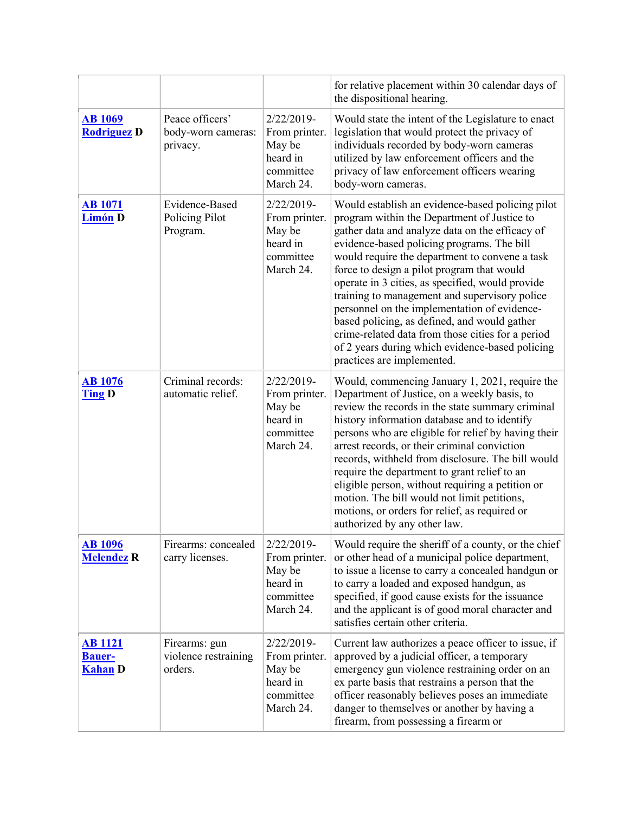|                                                   |                                                   |                                                                                | for relative placement within 30 calendar days of<br>the dispositional hearing.                                                                                                                                                                                                                                                                                                                                                                                                                                                                                                                                                             |
|---------------------------------------------------|---------------------------------------------------|--------------------------------------------------------------------------------|---------------------------------------------------------------------------------------------------------------------------------------------------------------------------------------------------------------------------------------------------------------------------------------------------------------------------------------------------------------------------------------------------------------------------------------------------------------------------------------------------------------------------------------------------------------------------------------------------------------------------------------------|
| <b>AB 1069</b><br><b>Rodriguez D</b>              | Peace officers'<br>body-worn cameras:<br>privacy. | 2/22/2019-<br>From printer.<br>May be<br>heard in<br>committee<br>March 24.    | Would state the intent of the Legislature to enact<br>legislation that would protect the privacy of<br>individuals recorded by body-worn cameras<br>utilized by law enforcement officers and the<br>privacy of law enforcement officers wearing<br>body-worn cameras.                                                                                                                                                                                                                                                                                                                                                                       |
| <b>AB</b> 1071<br><b>Limón D</b>                  | Evidence-Based<br>Policing Pilot<br>Program.      | 2/22/2019-<br>From printer.<br>May be<br>heard in<br>committee<br>March 24.    | Would establish an evidence-based policing pilot<br>program within the Department of Justice to<br>gather data and analyze data on the efficacy of<br>evidence-based policing programs. The bill<br>would require the department to convene a task<br>force to design a pilot program that would<br>operate in 3 cities, as specified, would provide<br>training to management and supervisory police<br>personnel on the implementation of evidence-<br>based policing, as defined, and would gather<br>crime-related data from those cities for a period<br>of 2 years during which evidence-based policing<br>practices are implemented. |
| <b>AB</b> 1076<br><b>Ting D</b>                   | Criminal records:<br>automatic relief.            | 2/22/2019-<br>From printer.<br>May be<br>heard in<br>committee<br>March 24.    | Would, commencing January 1, 2021, require the<br>Department of Justice, on a weekly basis, to<br>review the records in the state summary criminal<br>history information database and to identify<br>persons who are eligible for relief by having their<br>arrest records, or their criminal conviction<br>records, withheld from disclosure. The bill would<br>require the department to grant relief to an<br>eligible person, without requiring a petition or<br>motion. The bill would not limit petitions,<br>motions, or orders for relief, as required or<br>authorized by any other law.                                          |
| <b>AB 1096</b><br><b>Melendez R</b>               | Firearms: concealed<br>carry licenses.            | 2/22/2019-<br>From printer.<br>May be<br>heard in<br>committee<br>March 24.    | Would require the sheriff of a county, or the chief<br>or other head of a municipal police department,<br>to issue a license to carry a concealed handgun or<br>to carry a loaded and exposed handgun, as<br>specified, if good cause exists for the issuance<br>and the applicant is of good moral character and<br>satisfies certain other criteria.                                                                                                                                                                                                                                                                                      |
| <b>AB 1121</b><br><b>Bauer-</b><br><b>Kahan</b> D | Firearms: gun<br>violence restraining<br>orders.  | $2/22/2019$ -<br>From printer.<br>May be<br>heard in<br>committee<br>March 24. | Current law authorizes a peace officer to issue, if<br>approved by a judicial officer, a temporary<br>emergency gun violence restraining order on an<br>ex parte basis that restrains a person that the<br>officer reasonably believes poses an immediate<br>danger to themselves or another by having a<br>firearm, from possessing a firearm or                                                                                                                                                                                                                                                                                           |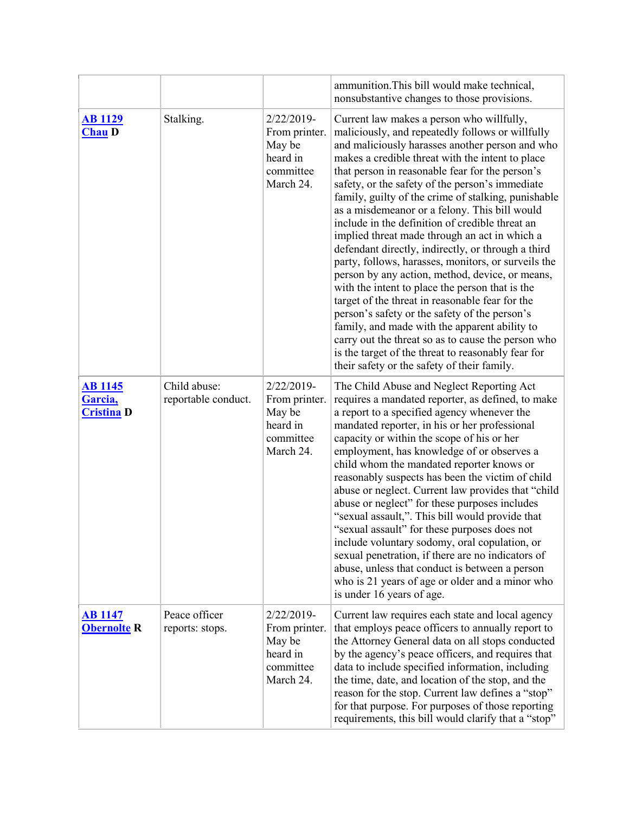|                                                |                                     |                                                                                | ammunition. This bill would make technical,<br>nonsubstantive changes to those provisions.                                                                                                                                                                                                                                                                                                                                                                                                                                                                                                                                                                                                                                                                                                                                                                                                                                                                                                                                                                |
|------------------------------------------------|-------------------------------------|--------------------------------------------------------------------------------|-----------------------------------------------------------------------------------------------------------------------------------------------------------------------------------------------------------------------------------------------------------------------------------------------------------------------------------------------------------------------------------------------------------------------------------------------------------------------------------------------------------------------------------------------------------------------------------------------------------------------------------------------------------------------------------------------------------------------------------------------------------------------------------------------------------------------------------------------------------------------------------------------------------------------------------------------------------------------------------------------------------------------------------------------------------|
| <b>AB 1129</b><br><b>Chau D</b>                | Stalking.                           | 2/22/2019-<br>From printer.<br>May be<br>heard in<br>committee<br>March 24.    | Current law makes a person who willfully,<br>maliciously, and repeatedly follows or willfully<br>and maliciously harasses another person and who<br>makes a credible threat with the intent to place<br>that person in reasonable fear for the person's<br>safety, or the safety of the person's immediate<br>family, guilty of the crime of stalking, punishable<br>as a misdemeanor or a felony. This bill would<br>include in the definition of credible threat an<br>implied threat made through an act in which a<br>defendant directly, indirectly, or through a third<br>party, follows, harasses, monitors, or surveils the<br>person by any action, method, device, or means,<br>with the intent to place the person that is the<br>target of the threat in reasonable fear for the<br>person's safety or the safety of the person's<br>family, and made with the apparent ability to<br>carry out the threat so as to cause the person who<br>is the target of the threat to reasonably fear for<br>their safety or the safety of their family. |
| <b>AB 1145</b><br>Garcia,<br><b>Cristina D</b> | Child abuse:<br>reportable conduct. | 2/22/2019-<br>From printer.<br>May be<br>heard in<br>committee<br>March 24.    | The Child Abuse and Neglect Reporting Act<br>requires a mandated reporter, as defined, to make<br>a report to a specified agency whenever the<br>mandated reporter, in his or her professional<br>capacity or within the scope of his or her<br>employment, has knowledge of or observes a<br>child whom the mandated reporter knows or<br>reasonably suspects has been the victim of child<br>abuse or neglect. Current law provides that "child<br>abuse or neglect" for these purposes includes<br>"sexual assault,". This bill would provide that<br>"sexual assault" for these purposes does not<br>include voluntary sodomy, oral copulation, or<br>sexual penetration, if there are no indicators of<br>abuse, unless that conduct is between a person<br>who is 21 years of age or older and a minor who<br>is under 16 years of age.                                                                                                                                                                                                             |
| <b>AB 1147</b><br><b>Obernolte R</b>           | Peace officer<br>reports: stops.    | $2/22/2019$ -<br>From printer.<br>May be<br>heard in<br>committee<br>March 24. | Current law requires each state and local agency<br>that employs peace officers to annually report to<br>the Attorney General data on all stops conducted<br>by the agency's peace officers, and requires that<br>data to include specified information, including<br>the time, date, and location of the stop, and the<br>reason for the stop. Current law defines a "stop"<br>for that purpose. For purposes of those reporting<br>requirements, this bill would clarify that a "stop"                                                                                                                                                                                                                                                                                                                                                                                                                                                                                                                                                                  |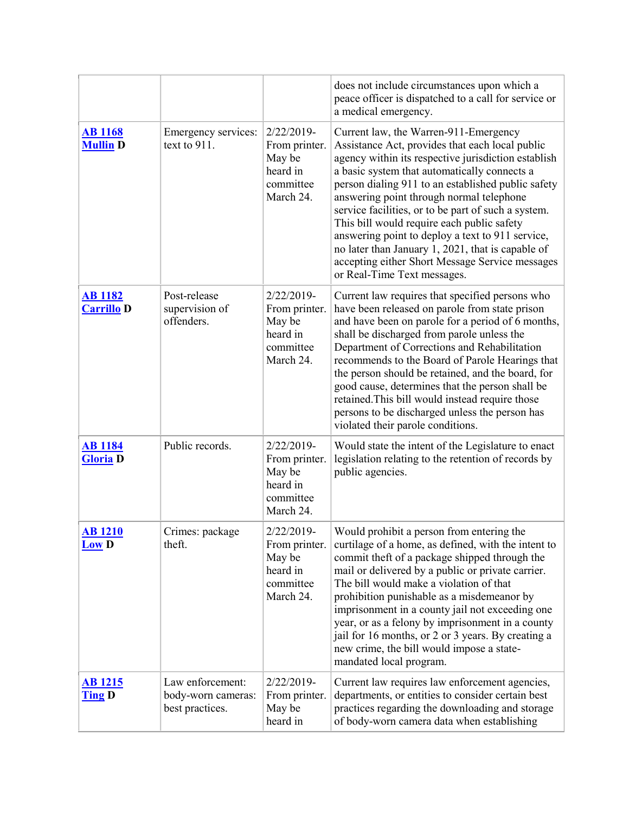|                                     |                                                           |                                                                                | does not include circumstances upon which a<br>peace officer is dispatched to a call for service or<br>a medical emergency.                                                                                                                                                                                                                                                                                                                                                                                                                                                                       |
|-------------------------------------|-----------------------------------------------------------|--------------------------------------------------------------------------------|---------------------------------------------------------------------------------------------------------------------------------------------------------------------------------------------------------------------------------------------------------------------------------------------------------------------------------------------------------------------------------------------------------------------------------------------------------------------------------------------------------------------------------------------------------------------------------------------------|
| <b>AB</b> 1168<br><b>Mullin D</b>   | Emergency services:<br>text to 911.                       | $2/22/2019$ -<br>From printer.<br>May be<br>heard in<br>committee<br>March 24. | Current law, the Warren-911-Emergency<br>Assistance Act, provides that each local public<br>agency within its respective jurisdiction establish<br>a basic system that automatically connects a<br>person dialing 911 to an established public safety<br>answering point through normal telephone<br>service facilities, or to be part of such a system.<br>This bill would require each public safety<br>answering point to deploy a text to 911 service,<br>no later than January 1, 2021, that is capable of<br>accepting either Short Message Service messages<br>or Real-Time Text messages. |
| <b>AB</b> 1182<br><b>Carrillo D</b> | Post-release<br>supervision of<br>offenders.              | 2/22/2019-<br>From printer.<br>May be<br>heard in<br>committee<br>March 24.    | Current law requires that specified persons who<br>have been released on parole from state prison<br>and have been on parole for a period of 6 months,<br>shall be discharged from parole unless the<br>Department of Corrections and Rehabilitation<br>recommends to the Board of Parole Hearings that<br>the person should be retained, and the board, for<br>good cause, determines that the person shall be<br>retained. This bill would instead require those<br>persons to be discharged unless the person has<br>violated their parole conditions.                                         |
| <b>AB</b> 1184<br><b>Gloria D</b>   | Public records.                                           | 2/22/2019-<br>From printer.<br>May be<br>heard in<br>committee<br>March 24.    | Would state the intent of the Legislature to enact<br>legislation relating to the retention of records by<br>public agencies.                                                                                                                                                                                                                                                                                                                                                                                                                                                                     |
| <u>AB 1210</u><br><b>Low D</b>      | Crimes: package<br>theft.                                 | 2/22/2019-<br>From printer.<br>May be<br>heard in<br>committee<br>March 24.    | Would prohibit a person from entering the<br>curtilage of a home, as defined, with the intent to<br>commit theft of a package shipped through the<br>mail or delivered by a public or private carrier.<br>The bill would make a violation of that<br>prohibition punishable as a misdemeanor by<br>imprisonment in a county jail not exceeding one<br>year, or as a felony by imprisonment in a county<br>jail for 16 months, or 2 or 3 years. By creating a<br>new crime, the bill would impose a state-<br>mandated local program.                                                              |
| <b>AB</b> 1215<br><b>Ting D</b>     | Law enforcement:<br>body-worn cameras:<br>best practices. | 2/22/2019-<br>From printer.<br>May be<br>heard in                              | Current law requires law enforcement agencies,<br>departments, or entities to consider certain best<br>practices regarding the downloading and storage<br>of body-worn camera data when establishing                                                                                                                                                                                                                                                                                                                                                                                              |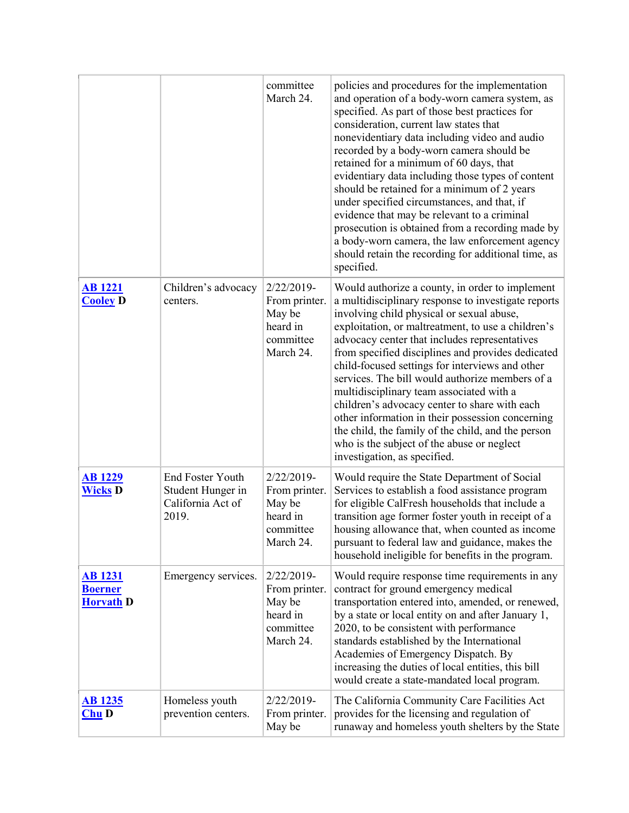|                                                      |                                                                            | committee<br>March 24.                                                      | policies and procedures for the implementation<br>and operation of a body-worn camera system, as<br>specified. As part of those best practices for<br>consideration, current law states that<br>nonevidentiary data including video and audio<br>recorded by a body-worn camera should be<br>retained for a minimum of 60 days, that<br>evidentiary data including those types of content<br>should be retained for a minimum of 2 years<br>under specified circumstances, and that, if<br>evidence that may be relevant to a criminal<br>prosecution is obtained from a recording made by<br>a body-worn camera, the law enforcement agency<br>should retain the recording for additional time, as<br>specified. |
|------------------------------------------------------|----------------------------------------------------------------------------|-----------------------------------------------------------------------------|-------------------------------------------------------------------------------------------------------------------------------------------------------------------------------------------------------------------------------------------------------------------------------------------------------------------------------------------------------------------------------------------------------------------------------------------------------------------------------------------------------------------------------------------------------------------------------------------------------------------------------------------------------------------------------------------------------------------|
| <b>AB</b> 1221<br><b>Cooley D</b>                    | Children's advocacy<br>centers.                                            | 2/22/2019-<br>From printer.<br>May be<br>heard in<br>committee<br>March 24. | Would authorize a county, in order to implement<br>a multidisciplinary response to investigate reports<br>involving child physical or sexual abuse,<br>exploitation, or maltreatment, to use a children's<br>advocacy center that includes representatives<br>from specified disciplines and provides dedicated<br>child-focused settings for interviews and other<br>services. The bill would authorize members of a<br>multidisciplinary team associated with a<br>children's advocacy center to share with each<br>other information in their possession concerning<br>the child, the family of the child, and the person<br>who is the subject of the abuse or neglect<br>investigation, as specified.        |
| <b>AB</b> 1229<br><b>Wicks D</b>                     | <b>End Foster Youth</b><br>Student Hunger in<br>California Act of<br>2019. | 2/22/2019-<br>From printer.<br>May be<br>heard in<br>committee<br>March 24. | Would require the State Department of Social<br>Services to establish a food assistance program<br>for eligible CalFresh households that include a<br>transition age former foster youth in receipt of a<br>housing allowance that, when counted as income<br>pursuant to federal law and guidance, makes the<br>household ineligible for benefits in the program.                                                                                                                                                                                                                                                                                                                                                |
| <b>AB</b> 1231<br><b>Boerner</b><br><b>Horvath D</b> | Emergency services.                                                        | 2/22/2019-<br>From printer.<br>May be<br>heard in<br>committee<br>March 24. | Would require response time requirements in any<br>contract for ground emergency medical<br>transportation entered into, amended, or renewed,<br>by a state or local entity on and after January 1,<br>2020, to be consistent with performance<br>standards established by the International<br>Academies of Emergency Dispatch. By<br>increasing the duties of local entities, this bill<br>would create a state-mandated local program.                                                                                                                                                                                                                                                                         |
| <b>AB 1235</b><br>$Chu$ D                            | Homeless youth<br>prevention centers.                                      | 2/22/2019-<br>From printer.<br>May be                                       | The California Community Care Facilities Act<br>provides for the licensing and regulation of<br>runaway and homeless youth shelters by the State                                                                                                                                                                                                                                                                                                                                                                                                                                                                                                                                                                  |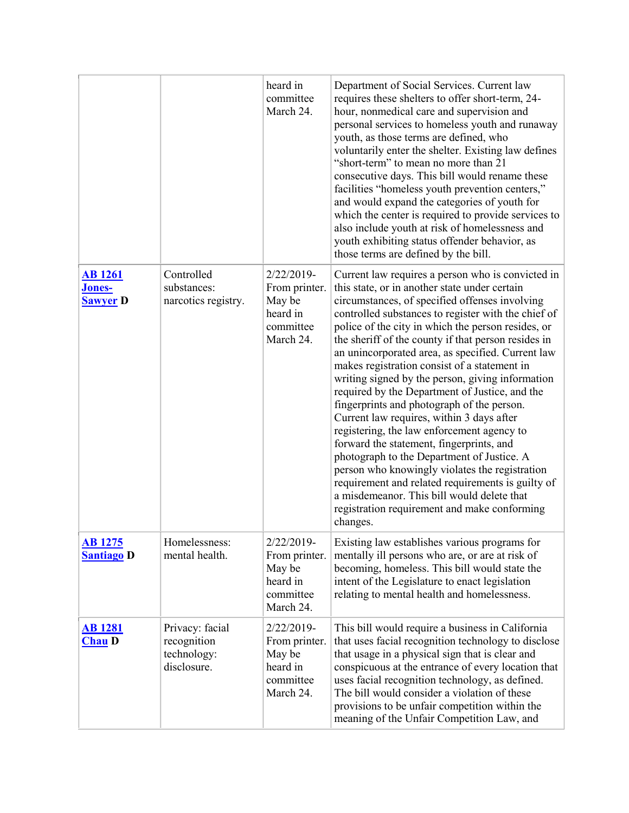|                                             |                                                              | heard in<br>committee<br>March 24.                                          | Department of Social Services. Current law<br>requires these shelters to offer short-term, 24-<br>hour, nonmedical care and supervision and<br>personal services to homeless youth and runaway<br>youth, as those terms are defined, who<br>voluntarily enter the shelter. Existing law defines<br>"short-term" to mean no more than 21<br>consecutive days. This bill would rename these<br>facilities "homeless youth prevention centers,"<br>and would expand the categories of youth for<br>which the center is required to provide services to<br>also include youth at risk of homelessness and<br>youth exhibiting status offender behavior, as<br>those terms are defined by the bill.                                                                                                                                                                                                                                                                                          |
|---------------------------------------------|--------------------------------------------------------------|-----------------------------------------------------------------------------|-----------------------------------------------------------------------------------------------------------------------------------------------------------------------------------------------------------------------------------------------------------------------------------------------------------------------------------------------------------------------------------------------------------------------------------------------------------------------------------------------------------------------------------------------------------------------------------------------------------------------------------------------------------------------------------------------------------------------------------------------------------------------------------------------------------------------------------------------------------------------------------------------------------------------------------------------------------------------------------------|
| <b>AB</b> 1261<br>Jones-<br><b>Sawyer D</b> | Controlled<br>substances:<br>narcotics registry.             | 2/22/2019-<br>From printer.<br>May be<br>heard in<br>committee<br>March 24. | Current law requires a person who is convicted in<br>this state, or in another state under certain<br>circumstances, of specified offenses involving<br>controlled substances to register with the chief of<br>police of the city in which the person resides, or<br>the sheriff of the county if that person resides in<br>an unincorporated area, as specified. Current law<br>makes registration consist of a statement in<br>writing signed by the person, giving information<br>required by the Department of Justice, and the<br>fingerprints and photograph of the person.<br>Current law requires, within 3 days after<br>registering, the law enforcement agency to<br>forward the statement, fingerprints, and<br>photograph to the Department of Justice. A<br>person who knowingly violates the registration<br>requirement and related requirements is guilty of<br>a misdemeanor. This bill would delete that<br>registration requirement and make conforming<br>changes. |
| <b>AB</b> 1275<br><b>Santiago D</b>         | Homelessness:<br>mental health.                              | 2/22/2019-<br>From printer.<br>May be<br>heard in<br>committee<br>March 24. | Existing law establishes various programs for<br>mentally ill persons who are, or are at risk of<br>becoming, homeless. This bill would state the<br>intent of the Legislature to enact legislation<br>relating to mental health and homelessness.                                                                                                                                                                                                                                                                                                                                                                                                                                                                                                                                                                                                                                                                                                                                      |
| <u>AB 1281</u><br><b>Chau D</b>             | Privacy: facial<br>recognition<br>technology:<br>disclosure. | 2/22/2019-<br>From printer.<br>May be<br>heard in<br>committee<br>March 24. | This bill would require a business in California<br>that uses facial recognition technology to disclose<br>that usage in a physical sign that is clear and<br>conspicuous at the entrance of every location that<br>uses facial recognition technology, as defined.<br>The bill would consider a violation of these<br>provisions to be unfair competition within the<br>meaning of the Unfair Competition Law, and                                                                                                                                                                                                                                                                                                                                                                                                                                                                                                                                                                     |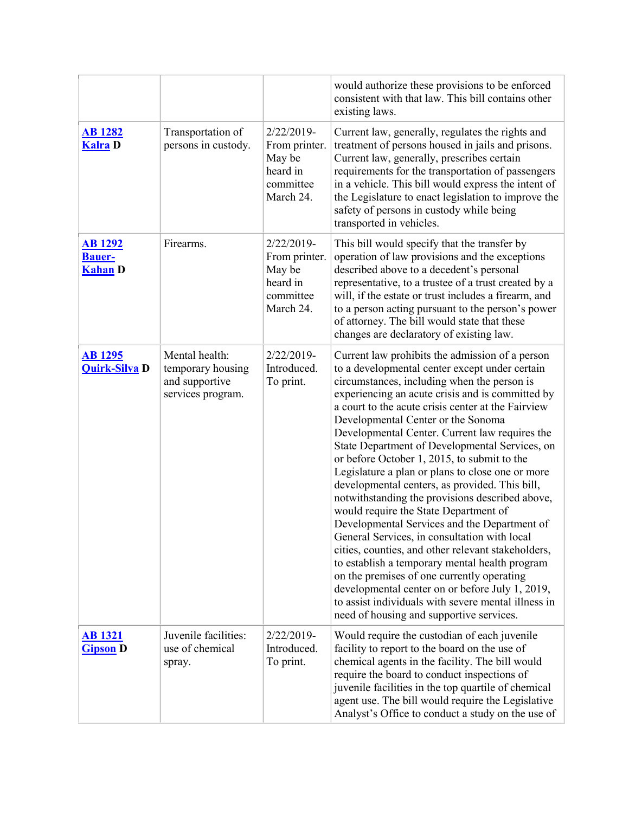|                                                   |                                                                            |                                                                             | would authorize these provisions to be enforced<br>consistent with that law. This bill contains other<br>existing laws.                                                                                                                                                                                                                                                                                                                                                                                                                                                                                                                                                                                                                                                                                                                                                                                                                                                                                                                                           |
|---------------------------------------------------|----------------------------------------------------------------------------|-----------------------------------------------------------------------------|-------------------------------------------------------------------------------------------------------------------------------------------------------------------------------------------------------------------------------------------------------------------------------------------------------------------------------------------------------------------------------------------------------------------------------------------------------------------------------------------------------------------------------------------------------------------------------------------------------------------------------------------------------------------------------------------------------------------------------------------------------------------------------------------------------------------------------------------------------------------------------------------------------------------------------------------------------------------------------------------------------------------------------------------------------------------|
| <b>AB</b> 1282<br><b>Kalra D</b>                  | Transportation of<br>persons in custody.                                   | 2/22/2019-<br>From printer.<br>May be<br>heard in<br>committee<br>March 24. | Current law, generally, regulates the rights and<br>treatment of persons housed in jails and prisons.<br>Current law, generally, prescribes certain<br>requirements for the transportation of passengers<br>in a vehicle. This bill would express the intent of<br>the Legislature to enact legislation to improve the<br>safety of persons in custody while being<br>transported in vehicles.                                                                                                                                                                                                                                                                                                                                                                                                                                                                                                                                                                                                                                                                    |
| <b>AB</b> 1292<br><b>Bauer-</b><br><b>Kahan D</b> | Firearms.                                                                  | 2/22/2019-<br>From printer.<br>May be<br>heard in<br>committee<br>March 24. | This bill would specify that the transfer by<br>operation of law provisions and the exceptions<br>described above to a decedent's personal<br>representative, to a trustee of a trust created by a<br>will, if the estate or trust includes a firearm, and<br>to a person acting pursuant to the person's power<br>of attorney. The bill would state that these<br>changes are declaratory of existing law.                                                                                                                                                                                                                                                                                                                                                                                                                                                                                                                                                                                                                                                       |
| <b>AB</b> 1295<br><b>Quirk-Silva D</b>            | Mental health:<br>temporary housing<br>and supportive<br>services program. | 2/22/2019-<br>Introduced.<br>To print.                                      | Current law prohibits the admission of a person<br>to a developmental center except under certain<br>circumstances, including when the person is<br>experiencing an acute crisis and is committed by<br>a court to the acute crisis center at the Fairview<br>Developmental Center or the Sonoma<br>Developmental Center. Current law requires the<br>State Department of Developmental Services, on<br>or before October 1, 2015, to submit to the<br>Legislature a plan or plans to close one or more<br>developmental centers, as provided. This bill,<br>notwithstanding the provisions described above,<br>would require the State Department of<br>Developmental Services and the Department of<br>General Services, in consultation with local<br>cities, counties, and other relevant stakeholders,<br>to establish a temporary mental health program<br>on the premises of one currently operating<br>developmental center on or before July 1, 2019,<br>to assist individuals with severe mental illness in<br>need of housing and supportive services. |
| <b>AB</b> 1321<br><b>Gipson D</b>                 | Juvenile facilities:<br>use of chemical<br>spray.                          | 2/22/2019-<br>Introduced.<br>To print.                                      | Would require the custodian of each juvenile<br>facility to report to the board on the use of<br>chemical agents in the facility. The bill would<br>require the board to conduct inspections of<br>juvenile facilities in the top quartile of chemical<br>agent use. The bill would require the Legislative<br>Analyst's Office to conduct a study on the use of                                                                                                                                                                                                                                                                                                                                                                                                                                                                                                                                                                                                                                                                                                  |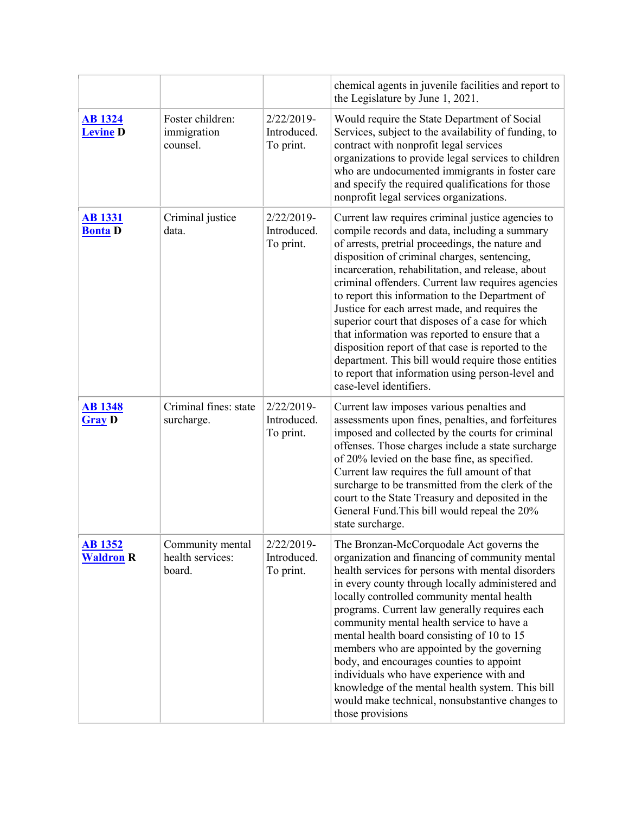|                                    |                                                |                                        | chemical agents in juvenile facilities and report to<br>the Legislature by June 1, 2021.                                                                                                                                                                                                                                                                                                                                                                                                                                                                                                                                                                                                                                |
|------------------------------------|------------------------------------------------|----------------------------------------|-------------------------------------------------------------------------------------------------------------------------------------------------------------------------------------------------------------------------------------------------------------------------------------------------------------------------------------------------------------------------------------------------------------------------------------------------------------------------------------------------------------------------------------------------------------------------------------------------------------------------------------------------------------------------------------------------------------------------|
| <b>AB</b> 1324<br><b>Levine D</b>  | Foster children:<br>immigration<br>counsel.    | 2/22/2019-<br>Introduced.<br>To print. | Would require the State Department of Social<br>Services, subject to the availability of funding, to<br>contract with nonprofit legal services<br>organizations to provide legal services to children<br>who are undocumented immigrants in foster care<br>and specify the required qualifications for those<br>nonprofit legal services organizations.                                                                                                                                                                                                                                                                                                                                                                 |
| <b>AB 1331</b><br><b>Bonta</b> D   | Criminal justice<br>data.                      | 2/22/2019-<br>Introduced.<br>To print. | Current law requires criminal justice agencies to<br>compile records and data, including a summary<br>of arrests, pretrial proceedings, the nature and<br>disposition of criminal charges, sentencing,<br>incarceration, rehabilitation, and release, about<br>criminal offenders. Current law requires agencies<br>to report this information to the Department of<br>Justice for each arrest made, and requires the<br>superior court that disposes of a case for which<br>that information was reported to ensure that a<br>disposition report of that case is reported to the<br>department. This bill would require those entities<br>to report that information using person-level and<br>case-level identifiers. |
| <b>AB</b> 1348<br><b>Gray D</b>    | Criminal fines: state<br>surcharge.            | 2/22/2019-<br>Introduced.<br>To print. | Current law imposes various penalties and<br>assessments upon fines, penalties, and forfeitures<br>imposed and collected by the courts for criminal<br>offenses. Those charges include a state surcharge<br>of 20% levied on the base fine, as specified.<br>Current law requires the full amount of that<br>surcharge to be transmitted from the clerk of the<br>court to the State Treasury and deposited in the<br>General Fund. This bill would repeal the 20%<br>state surcharge.                                                                                                                                                                                                                                  |
| <b>AB 1352</b><br><b>Waldron R</b> | Community mental<br>health services:<br>board. | 2/22/2019-<br>Introduced.<br>To print. | The Bronzan-McCorquodale Act governs the<br>organization and financing of community mental<br>health services for persons with mental disorders<br>in every county through locally administered and<br>locally controlled community mental health<br>programs. Current law generally requires each<br>community mental health service to have a<br>mental health board consisting of 10 to 15<br>members who are appointed by the governing<br>body, and encourages counties to appoint<br>individuals who have experience with and<br>knowledge of the mental health system. This bill<br>would make technical, nonsubstantive changes to<br>those provisions                                                          |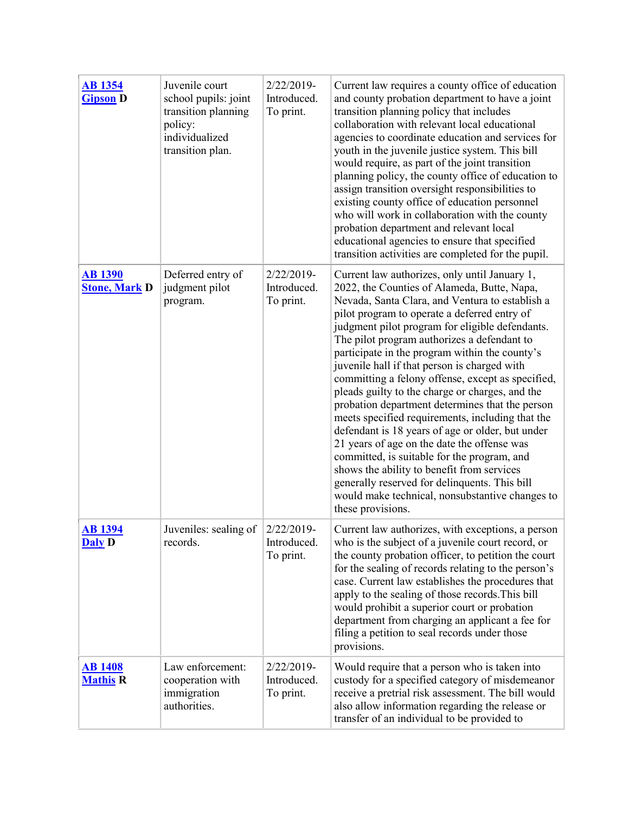| <b>AB</b> 1354<br><b>Gipson D</b>      | Juvenile court<br>school pupils: joint<br>transition planning<br>policy:<br>individualized<br>transition plan. | 2/22/2019-<br>Introduced.<br>To print.    | Current law requires a county office of education<br>and county probation department to have a joint<br>transition planning policy that includes<br>collaboration with relevant local educational<br>agencies to coordinate education and services for<br>youth in the juvenile justice system. This bill<br>would require, as part of the joint transition<br>planning policy, the county office of education to<br>assign transition oversight responsibilities to<br>existing county office of education personnel<br>who will work in collaboration with the county<br>probation department and relevant local<br>educational agencies to ensure that specified<br>transition activities are completed for the pupil.                                                                                                                                                                                                                   |
|----------------------------------------|----------------------------------------------------------------------------------------------------------------|-------------------------------------------|---------------------------------------------------------------------------------------------------------------------------------------------------------------------------------------------------------------------------------------------------------------------------------------------------------------------------------------------------------------------------------------------------------------------------------------------------------------------------------------------------------------------------------------------------------------------------------------------------------------------------------------------------------------------------------------------------------------------------------------------------------------------------------------------------------------------------------------------------------------------------------------------------------------------------------------------|
| <b>AB 1390</b><br><b>Stone, Mark D</b> | Deferred entry of<br>judgment pilot<br>program.                                                                | $2/22/2019$ -<br>Introduced.<br>To print. | Current law authorizes, only until January 1,<br>2022, the Counties of Alameda, Butte, Napa,<br>Nevada, Santa Clara, and Ventura to establish a<br>pilot program to operate a deferred entry of<br>judgment pilot program for eligible defendants.<br>The pilot program authorizes a defendant to<br>participate in the program within the county's<br>juvenile hall if that person is charged with<br>committing a felony offense, except as specified,<br>pleads guilty to the charge or charges, and the<br>probation department determines that the person<br>meets specified requirements, including that the<br>defendant is 18 years of age or older, but under<br>21 years of age on the date the offense was<br>committed, is suitable for the program, and<br>shows the ability to benefit from services<br>generally reserved for delinquents. This bill<br>would make technical, nonsubstantive changes to<br>these provisions. |
| <b>AB 1394</b><br><b>Daly</b> D        | Juveniles: sealing of $ 2/22/2019$ -<br>records.                                                               | Introduced.<br>To print.                  | Current law authorizes, with exceptions, a person<br>who is the subject of a juvenile court record, or<br>the county probation officer, to petition the court<br>for the sealing of records relating to the person's<br>case. Current law establishes the procedures that<br>apply to the sealing of those records. This bill<br>would prohibit a superior court or probation<br>department from charging an applicant a fee for<br>filing a petition to seal records under those<br>provisions.                                                                                                                                                                                                                                                                                                                                                                                                                                            |
| <b>AB</b> 1408<br><b>Mathis R</b>      | Law enforcement:<br>cooperation with<br>immigration<br>authorities.                                            | 2/22/2019-<br>Introduced.<br>To print.    | Would require that a person who is taken into<br>custody for a specified category of misdemeanor<br>receive a pretrial risk assessment. The bill would<br>also allow information regarding the release or<br>transfer of an individual to be provided to                                                                                                                                                                                                                                                                                                                                                                                                                                                                                                                                                                                                                                                                                    |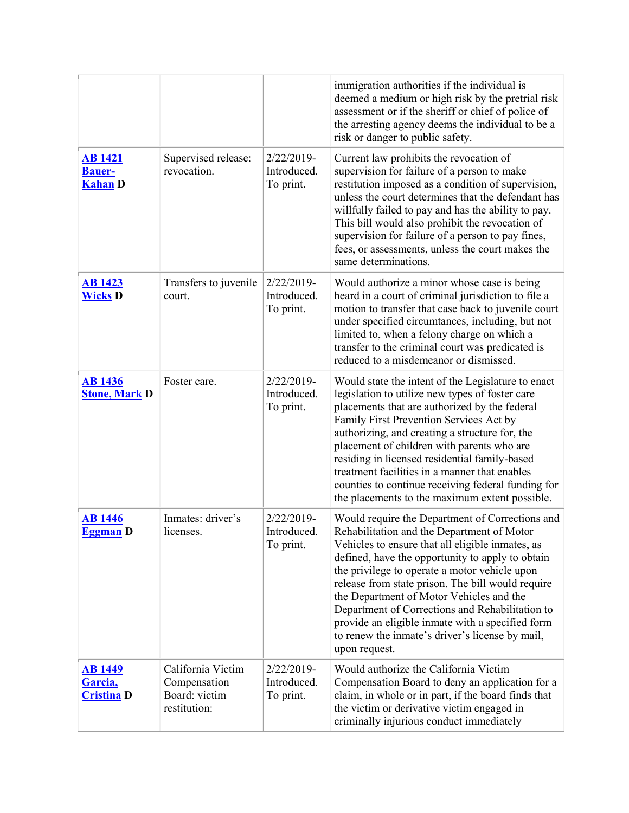|                                                   |                                                                    |                                           | immigration authorities if the individual is<br>deemed a medium or high risk by the pretrial risk<br>assessment or if the sheriff or chief of police of<br>the arresting agency deems the individual to be a<br>risk or danger to public safety.                                                                                                                                                                                                                                                                                   |
|---------------------------------------------------|--------------------------------------------------------------------|-------------------------------------------|------------------------------------------------------------------------------------------------------------------------------------------------------------------------------------------------------------------------------------------------------------------------------------------------------------------------------------------------------------------------------------------------------------------------------------------------------------------------------------------------------------------------------------|
| <b>AB</b> 1421<br><b>Bauer-</b><br><b>Kahan</b> D | Supervised release:<br>revocation.                                 | 2/22/2019-<br>Introduced.<br>To print.    | Current law prohibits the revocation of<br>supervision for failure of a person to make<br>restitution imposed as a condition of supervision,<br>unless the court determines that the defendant has<br>willfully failed to pay and has the ability to pay.<br>This bill would also prohibit the revocation of<br>supervision for failure of a person to pay fines,<br>fees, or assessments, unless the court makes the<br>same determinations.                                                                                      |
| <b>AB</b> 1423<br><b>Wicks D</b>                  | Transfers to juvenile<br>court.                                    | $2/22/2019$ -<br>Introduced.<br>To print. | Would authorize a minor whose case is being<br>heard in a court of criminal jurisdiction to file a<br>motion to transfer that case back to juvenile court<br>under specified circumtances, including, but not<br>limited to, when a felony charge on which a<br>transfer to the criminal court was predicated is<br>reduced to a misdemeanor or dismissed.                                                                                                                                                                         |
| <b>AB</b> 1436<br><b>Stone, Mark D</b>            | Foster care.                                                       | 2/22/2019-<br>Introduced.<br>To print.    | Would state the intent of the Legislature to enact<br>legislation to utilize new types of foster care<br>placements that are authorized by the federal<br>Family First Prevention Services Act by<br>authorizing, and creating a structure for, the<br>placement of children with parents who are<br>residing in licensed residential family-based<br>treatment facilities in a manner that enables<br>counties to continue receiving federal funding for<br>the placements to the maximum extent possible.                        |
| <b>AB</b> 1446<br><b>Eggman</b> D                 | Inmates: driver's<br>licenses                                      | 2/22/2019-<br>Introduced.<br>To print.    | Would require the Department of Corrections and<br>Rehabilitation and the Department of Motor<br>Vehicles to ensure that all eligible inmates, as<br>defined, have the opportunity to apply to obtain<br>the privilege to operate a motor vehicle upon<br>release from state prison. The bill would require<br>the Department of Motor Vehicles and the<br>Department of Corrections and Rehabilitation to<br>provide an eligible inmate with a specified form<br>to renew the inmate's driver's license by mail,<br>upon request. |
| <b>AB</b> 1449<br>Garcia,<br><b>Cristina D</b>    | California Victim<br>Compensation<br>Board: victim<br>restitution: | 2/22/2019-<br>Introduced.<br>To print.    | Would authorize the California Victim<br>Compensation Board to deny an application for a<br>claim, in whole or in part, if the board finds that<br>the victim or derivative victim engaged in<br>criminally injurious conduct immediately                                                                                                                                                                                                                                                                                          |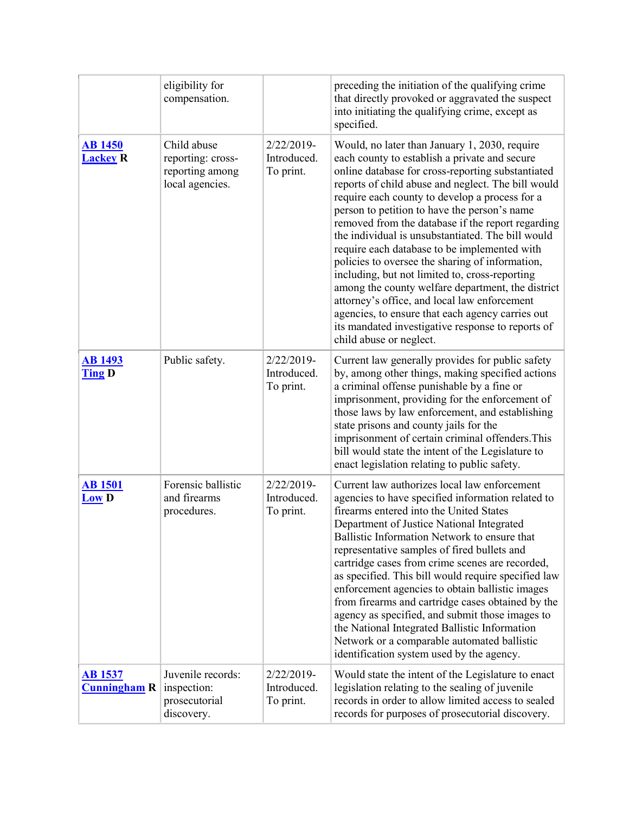|                                       | eligibility for<br>compensation.                                       |                                        | preceding the initiation of the qualifying crime<br>that directly provoked or aggravated the suspect<br>into initiating the qualifying crime, except as<br>specified.                                                                                                                                                                                                                                                                                                                                                                                                                                                                                                                                                                                                                                               |
|---------------------------------------|------------------------------------------------------------------------|----------------------------------------|---------------------------------------------------------------------------------------------------------------------------------------------------------------------------------------------------------------------------------------------------------------------------------------------------------------------------------------------------------------------------------------------------------------------------------------------------------------------------------------------------------------------------------------------------------------------------------------------------------------------------------------------------------------------------------------------------------------------------------------------------------------------------------------------------------------------|
| <b>AB 1450</b><br><b>Lackey R</b>     | Child abuse<br>reporting: cross-<br>reporting among<br>local agencies. | 2/22/2019-<br>Introduced.<br>To print. | Would, no later than January 1, 2030, require<br>each county to establish a private and secure<br>online database for cross-reporting substantiated<br>reports of child abuse and neglect. The bill would<br>require each county to develop a process for a<br>person to petition to have the person's name<br>removed from the database if the report regarding<br>the individual is unsubstantiated. The bill would<br>require each database to be implemented with<br>policies to oversee the sharing of information,<br>including, but not limited to, cross-reporting<br>among the county welfare department, the district<br>attorney's office, and local law enforcement<br>agencies, to ensure that each agency carries out<br>its mandated investigative response to reports of<br>child abuse or neglect. |
| <b>AB</b> 1493<br><b>Ting D</b>       | Public safety.                                                         | 2/22/2019-<br>Introduced.<br>To print. | Current law generally provides for public safety<br>by, among other things, making specified actions<br>a criminal offense punishable by a fine or<br>imprisonment, providing for the enforcement of<br>those laws by law enforcement, and establishing<br>state prisons and county jails for the<br>imprisonment of certain criminal offenders. This<br>bill would state the intent of the Legislature to<br>enact legislation relating to public safety.                                                                                                                                                                                                                                                                                                                                                          |
| <b>AB</b> 1501<br>$LOW$ D             | Forensic ballistic<br>and firearms<br>procedures.                      | 2/22/2019-<br>Introduced.<br>To print. | Current law authorizes local law enforcement<br>agencies to have specified information related to<br>firearms entered into the United States<br>Department of Justice National Integrated<br>Ballistic Information Network to ensure that<br>representative samples of fired bullets and<br>cartridge cases from crime scenes are recorded,<br>as specified. This bill would require specified law<br>enforcement agencies to obtain ballistic images<br>from firearms and cartridge cases obtained by the<br>agency as specified, and submit those images to<br>the National Integrated Ballistic Information<br>Network or a comparable automated ballistic<br>identification system used by the agency.                                                                                                          |
| <u>AB 1537</u><br><b>Cunningham R</b> | Juvenile records:<br>inspection:<br>prosecutorial<br>discovery.        | 2/22/2019-<br>Introduced.<br>To print. | Would state the intent of the Legislature to enact<br>legislation relating to the sealing of juvenile<br>records in order to allow limited access to sealed<br>records for purposes of prosecutorial discovery.                                                                                                                                                                                                                                                                                                                                                                                                                                                                                                                                                                                                     |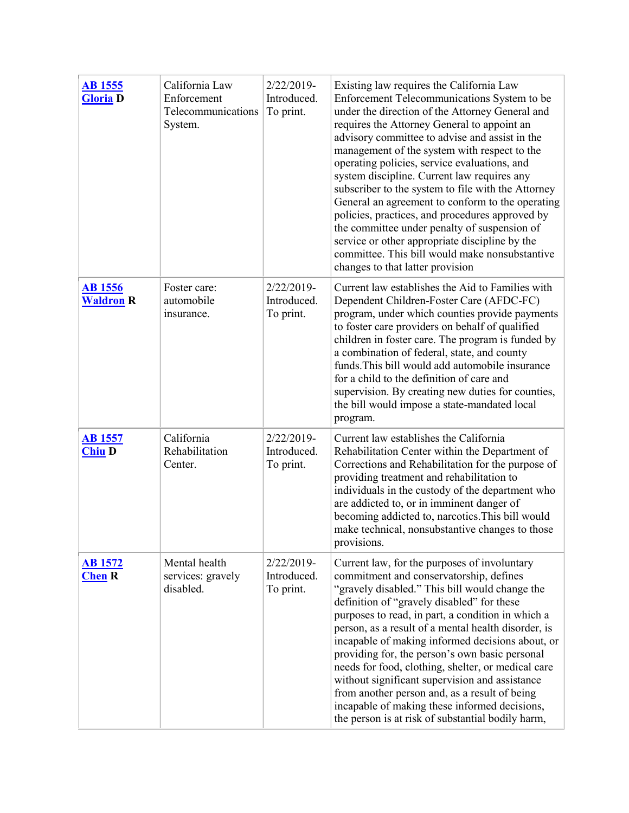| <b>AB</b> 1555<br><b>Gloria D</b>  | California Law<br>Enforcement<br>Telecommunications<br>System. | 2/22/2019-<br>Introduced.<br>To print.    | Existing law requires the California Law<br>Enforcement Telecommunications System to be<br>under the direction of the Attorney General and<br>requires the Attorney General to appoint an<br>advisory committee to advise and assist in the<br>management of the system with respect to the<br>operating policies, service evaluations, and<br>system discipline. Current law requires any<br>subscriber to the system to file with the Attorney<br>General an agreement to conform to the operating<br>policies, practices, and procedures approved by<br>the committee under penalty of suspension of<br>service or other appropriate discipline by the<br>committee. This bill would make nonsubstantive<br>changes to that latter provision |
|------------------------------------|----------------------------------------------------------------|-------------------------------------------|-------------------------------------------------------------------------------------------------------------------------------------------------------------------------------------------------------------------------------------------------------------------------------------------------------------------------------------------------------------------------------------------------------------------------------------------------------------------------------------------------------------------------------------------------------------------------------------------------------------------------------------------------------------------------------------------------------------------------------------------------|
| <b>AB</b> 1556<br><b>Waldron R</b> | Foster care:<br>automobile<br>insurance.                       | $2/22/2019$ -<br>Introduced.<br>To print. | Current law establishes the Aid to Families with<br>Dependent Children-Foster Care (AFDC-FC)<br>program, under which counties provide payments<br>to foster care providers on behalf of qualified<br>children in foster care. The program is funded by<br>a combination of federal, state, and county<br>funds. This bill would add automobile insurance<br>for a child to the definition of care and<br>supervision. By creating new duties for counties,<br>the bill would impose a state-mandated local<br>program.                                                                                                                                                                                                                          |
| <b>AB</b> 1557<br><b>Chiu D</b>    | California<br>Rehabilitation<br>Center.                        | 2/22/2019-<br>Introduced.<br>To print.    | Current law establishes the California<br>Rehabilitation Center within the Department of<br>Corrections and Rehabilitation for the purpose of<br>providing treatment and rehabilitation to<br>individuals in the custody of the department who<br>are addicted to, or in imminent danger of<br>becoming addicted to, narcotics. This bill would<br>make technical, nonsubstantive changes to those<br>provisions.                                                                                                                                                                                                                                                                                                                               |
| <b>AB</b> 1572<br><b>Chen R</b>    | Mental health<br>services: gravely<br>disabled.                | 2/22/2019-<br>Introduced.<br>To print.    | Current law, for the purposes of involuntary<br>commitment and conservatorship, defines<br>"gravely disabled." This bill would change the<br>definition of "gravely disabled" for these<br>purposes to read, in part, a condition in which a<br>person, as a result of a mental health disorder, is<br>incapable of making informed decisions about, or<br>providing for, the person's own basic personal<br>needs for food, clothing, shelter, or medical care<br>without significant supervision and assistance<br>from another person and, as a result of being<br>incapable of making these informed decisions,<br>the person is at risk of substantial bodily harm,                                                                        |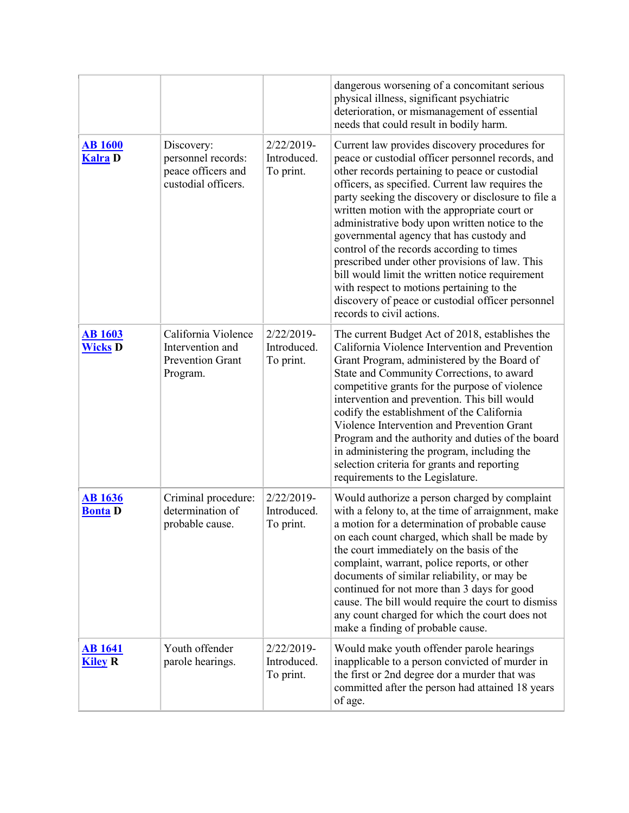|                                  |                                                                                |                                           | dangerous worsening of a concomitant serious<br>physical illness, significant psychiatric<br>deterioration, or mismanagement of essential<br>needs that could result in bodily harm.                                                                                                                                                                                                                                                                                                                                                                                                                                                                                                           |
|----------------------------------|--------------------------------------------------------------------------------|-------------------------------------------|------------------------------------------------------------------------------------------------------------------------------------------------------------------------------------------------------------------------------------------------------------------------------------------------------------------------------------------------------------------------------------------------------------------------------------------------------------------------------------------------------------------------------------------------------------------------------------------------------------------------------------------------------------------------------------------------|
| <b>AB 1600</b><br><b>Kalra</b> D | Discovery:<br>personnel records:<br>peace officers and<br>custodial officers.  | 2/22/2019-<br>Introduced.<br>To print.    | Current law provides discovery procedures for<br>peace or custodial officer personnel records, and<br>other records pertaining to peace or custodial<br>officers, as specified. Current law requires the<br>party seeking the discovery or disclosure to file a<br>written motion with the appropriate court or<br>administrative body upon written notice to the<br>governmental agency that has custody and<br>control of the records according to times<br>prescribed under other provisions of law. This<br>bill would limit the written notice requirement<br>with respect to motions pertaining to the<br>discovery of peace or custodial officer personnel<br>records to civil actions. |
| <b>AB</b> 1603<br><b>Wicks D</b> | California Violence<br>Intervention and<br><b>Prevention Grant</b><br>Program. | $2/22/2019$ -<br>Introduced.<br>To print. | The current Budget Act of 2018, establishes the<br>California Violence Intervention and Prevention<br>Grant Program, administered by the Board of<br>State and Community Corrections, to award<br>competitive grants for the purpose of violence<br>intervention and prevention. This bill would<br>codify the establishment of the California<br>Violence Intervention and Prevention Grant<br>Program and the authority and duties of the board<br>in administering the program, including the<br>selection criteria for grants and reporting<br>requirements to the Legislature.                                                                                                            |
| <b>AB</b> 1636<br><b>Bonta D</b> | Criminal procedure:<br>determination of<br>probable cause.                     | $2/22/2019$ -<br>Introduced.<br>To print. | Would authorize a person charged by complaint<br>with a felony to, at the time of arraignment, make<br>a motion for a determination of probable cause<br>on each count charged, which shall be made by<br>the court immediately on the basis of the<br>complaint, warrant, police reports, or other<br>documents of similar reliability, or may be<br>continued for not more than 3 days for good<br>cause. The bill would require the court to dismiss<br>any count charged for which the court does not<br>make a finding of probable cause.                                                                                                                                                 |
| <b>AB</b> 1641<br><b>Kiley R</b> | Youth offender<br>parole hearings.                                             | 2/22/2019-<br>Introduced.<br>To print.    | Would make youth offender parole hearings<br>inapplicable to a person convicted of murder in<br>the first or 2nd degree dor a murder that was<br>committed after the person had attained 18 years<br>of age.                                                                                                                                                                                                                                                                                                                                                                                                                                                                                   |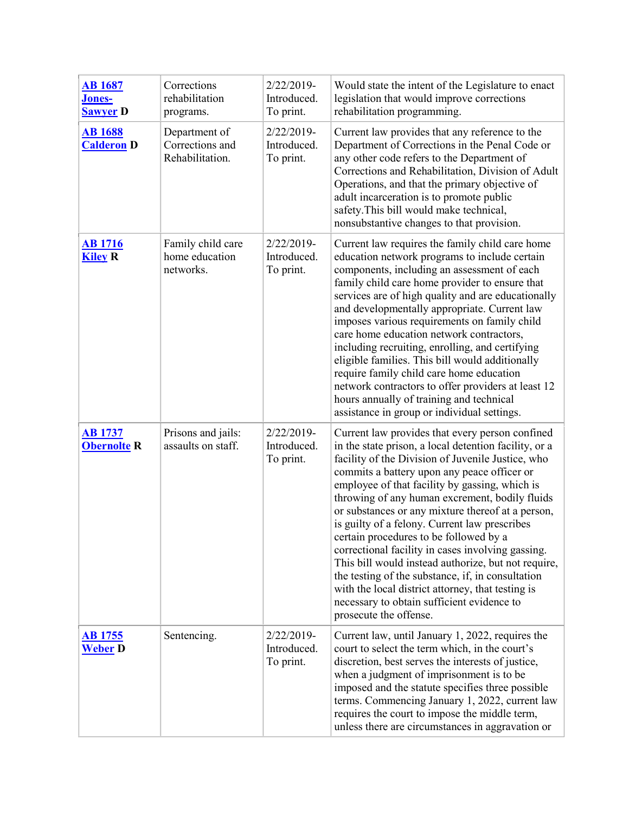| <b>AB</b> 1687<br><b>Jones-</b><br><b>Sawyer D</b> | Corrections<br>rehabilitation<br>programs.          | 2/22/2019-<br>Introduced.<br>To print. | Would state the intent of the Legislature to enact<br>legislation that would improve corrections<br>rehabilitation programming.                                                                                                                                                                                                                                                                                                                                                                                                                                                                                                                                                                                                                                |
|----------------------------------------------------|-----------------------------------------------------|----------------------------------------|----------------------------------------------------------------------------------------------------------------------------------------------------------------------------------------------------------------------------------------------------------------------------------------------------------------------------------------------------------------------------------------------------------------------------------------------------------------------------------------------------------------------------------------------------------------------------------------------------------------------------------------------------------------------------------------------------------------------------------------------------------------|
| <b>AB</b> 1688<br><b>Calderon D</b>                | Department of<br>Corrections and<br>Rehabilitation. | 2/22/2019-<br>Introduced.<br>To print. | Current law provides that any reference to the<br>Department of Corrections in the Penal Code or<br>any other code refers to the Department of<br>Corrections and Rehabilitation, Division of Adult<br>Operations, and that the primary objective of<br>adult incarceration is to promote public<br>safety. This bill would make technical,<br>nonsubstantive changes to that provision.                                                                                                                                                                                                                                                                                                                                                                       |
| <b>AB</b> 1716<br><b>Kiley R</b>                   | Family child care<br>home education<br>networks.    | 2/22/2019-<br>Introduced.<br>To print. | Current law requires the family child care home<br>education network programs to include certain<br>components, including an assessment of each<br>family child care home provider to ensure that<br>services are of high quality and are educationally<br>and developmentally appropriate. Current law<br>imposes various requirements on family child<br>care home education network contractors,<br>including recruiting, enrolling, and certifying<br>eligible families. This bill would additionally<br>require family child care home education<br>network contractors to offer providers at least 12<br>hours annually of training and technical<br>assistance in group or individual settings.                                                         |
| <b>AB</b> 1737<br><b>Obernolte R</b>               | Prisons and jails:<br>assaults on staff.            | 2/22/2019-<br>Introduced.<br>To print. | Current law provides that every person confined<br>in the state prison, a local detention facility, or a<br>facility of the Division of Juvenile Justice, who<br>commits a battery upon any peace officer or<br>employee of that facility by gassing, which is<br>throwing of any human excrement, bodily fluids<br>or substances or any mixture thereof at a person,<br>is guilty of a felony. Current law prescribes<br>certain procedures to be followed by a<br>correctional facility in cases involving gassing.<br>This bill would instead authorize, but not require,<br>the testing of the substance, if, in consultation<br>with the local district attorney, that testing is<br>necessary to obtain sufficient evidence to<br>prosecute the offense. |
| <b>AB 1755</b><br><b>Weber</b> D                   | Sentencing.                                         | 2/22/2019-<br>Introduced.<br>To print. | Current law, until January 1, 2022, requires the<br>court to select the term which, in the court's<br>discretion, best serves the interests of justice,<br>when a judgment of imprisonment is to be<br>imposed and the statute specifies three possible<br>terms. Commencing January 1, 2022, current law<br>requires the court to impose the middle term,<br>unless there are circumstances in aggravation or                                                                                                                                                                                                                                                                                                                                                 |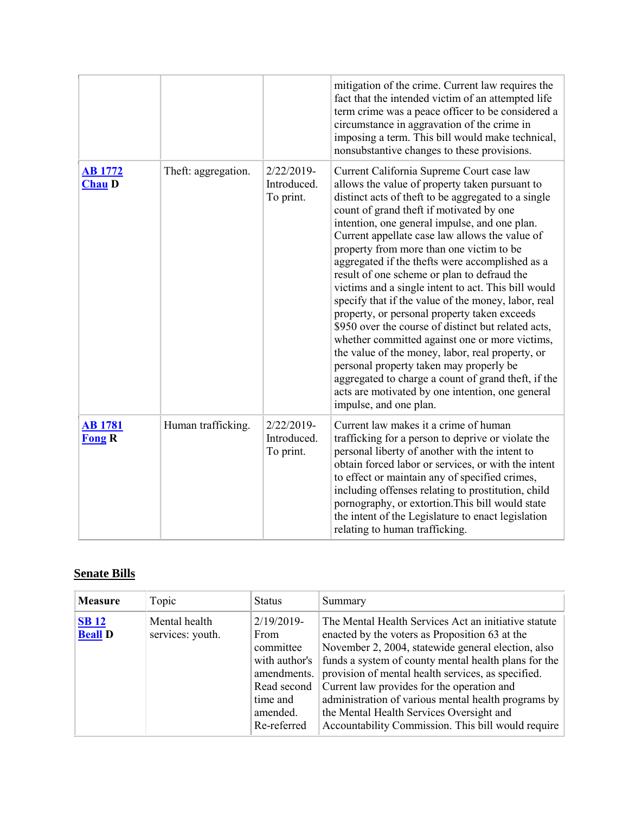|                                 |                     |                                           | mitigation of the crime. Current law requires the<br>fact that the intended victim of an attempted life<br>term crime was a peace officer to be considered a<br>circumstance in aggravation of the crime in<br>imposing a term. This bill would make technical,<br>nonsubstantive changes to these provisions.                                                                                                                                                                                                                                                                                                                                                                                                                                                                                                                                                                                                                                             |
|---------------------------------|---------------------|-------------------------------------------|------------------------------------------------------------------------------------------------------------------------------------------------------------------------------------------------------------------------------------------------------------------------------------------------------------------------------------------------------------------------------------------------------------------------------------------------------------------------------------------------------------------------------------------------------------------------------------------------------------------------------------------------------------------------------------------------------------------------------------------------------------------------------------------------------------------------------------------------------------------------------------------------------------------------------------------------------------|
| <b>AB</b> 1772<br><b>Chau D</b> | Theft: aggregation. | $2/22/2019$ -<br>Introduced.<br>To print. | Current California Supreme Court case law<br>allows the value of property taken pursuant to<br>distinct acts of theft to be aggregated to a single<br>count of grand theft if motivated by one<br>intention, one general impulse, and one plan.<br>Current appellate case law allows the value of<br>property from more than one victim to be<br>aggregated if the thefts were accomplished as a<br>result of one scheme or plan to defraud the<br>victims and a single intent to act. This bill would<br>specify that if the value of the money, labor, real<br>property, or personal property taken exceeds<br>\$950 over the course of distinct but related acts,<br>whether committed against one or more victims,<br>the value of the money, labor, real property, or<br>personal property taken may properly be<br>aggregated to charge a count of grand theft, if the<br>acts are motivated by one intention, one general<br>impulse, and one plan. |
| <b>AB</b> 1781<br><b>Fong R</b> | Human trafficking.  | $2/22/2019-$<br>Introduced.<br>To print.  | Current law makes it a crime of human<br>trafficking for a person to deprive or violate the<br>personal liberty of another with the intent to<br>obtain forced labor or services, or with the intent<br>to effect or maintain any of specified crimes,<br>including offenses relating to prostitution, child<br>pornography, or extortion. This bill would state<br>the intent of the Legislature to enact legislation<br>relating to human trafficking.                                                                                                                                                                                                                                                                                                                                                                                                                                                                                                   |

## **Senate Bills**

| <b>Measure</b>                | Topic                             | <b>Status</b>                                                                                                                   | Summary                                                                                                                                                                                                                                                                                                                                                                                                                                                                           |
|-------------------------------|-----------------------------------|---------------------------------------------------------------------------------------------------------------------------------|-----------------------------------------------------------------------------------------------------------------------------------------------------------------------------------------------------------------------------------------------------------------------------------------------------------------------------------------------------------------------------------------------------------------------------------------------------------------------------------|
| <b>SB12</b><br><b>Beall D</b> | Mental health<br>services: youth. | $2/19/2019$ -<br><b>From</b><br>committee<br>with author's<br>amendments.<br>Read second<br>time and<br>amended.<br>Re-referred | The Mental Health Services Act an initiative statute<br>enacted by the voters as Proposition 63 at the<br>November 2, 2004, statewide general election, also<br>funds a system of county mental health plans for the<br>provision of mental health services, as specified.<br>Current law provides for the operation and<br>administration of various mental health programs by<br>the Mental Health Services Oversight and<br>Accountability Commission. This bill would require |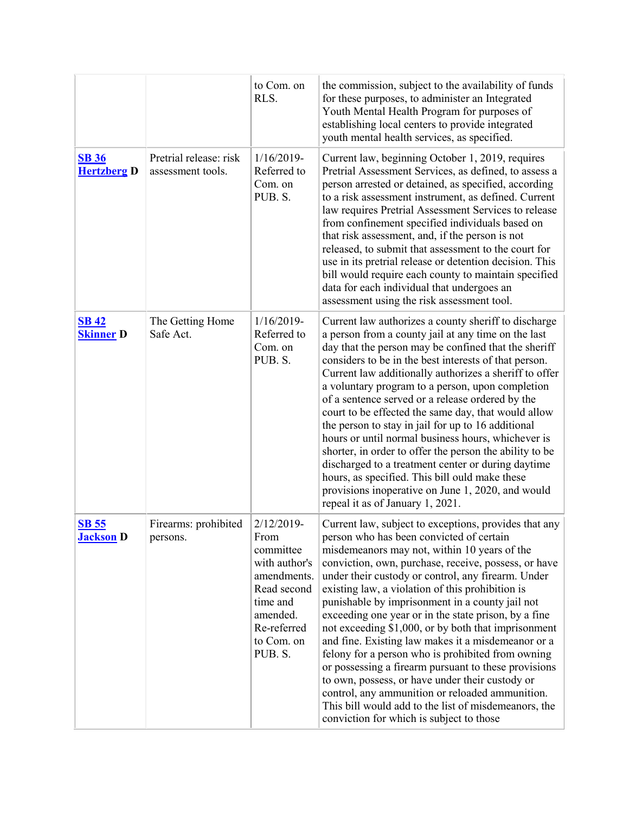|                                    |                                             | to Com. on<br>RLS.                                                                                                                             | the commission, subject to the availability of funds<br>for these purposes, to administer an Integrated<br>Youth Mental Health Program for purposes of<br>establishing local centers to provide integrated<br>youth mental health services, as specified.                                                                                                                                                                                                                                                                                                                                                                                                                                                                                                                                                                                                          |
|------------------------------------|---------------------------------------------|------------------------------------------------------------------------------------------------------------------------------------------------|--------------------------------------------------------------------------------------------------------------------------------------------------------------------------------------------------------------------------------------------------------------------------------------------------------------------------------------------------------------------------------------------------------------------------------------------------------------------------------------------------------------------------------------------------------------------------------------------------------------------------------------------------------------------------------------------------------------------------------------------------------------------------------------------------------------------------------------------------------------------|
| <b>SB 36</b><br><b>Hertzberg D</b> | Pretrial release: risk<br>assessment tools. | $1/16/2019$ -<br>Referred to<br>Com. on<br>PUB. S.                                                                                             | Current law, beginning October 1, 2019, requires<br>Pretrial Assessment Services, as defined, to assess a<br>person arrested or detained, as specified, according<br>to a risk assessment instrument, as defined. Current<br>law requires Pretrial Assessment Services to release<br>from confinement specified individuals based on<br>that risk assessment, and, if the person is not<br>released, to submit that assessment to the court for<br>use in its pretrial release or detention decision. This<br>bill would require each county to maintain specified<br>data for each individual that undergoes an<br>assessment using the risk assessment tool.                                                                                                                                                                                                     |
| <b>SB 42</b><br><b>Skinner D</b>   | The Getting Home<br>Safe Act.               | $1/16/2019$ -<br>Referred to<br>Com. on<br>PUB. S.                                                                                             | Current law authorizes a county sheriff to discharge<br>a person from a county jail at any time on the last<br>day that the person may be confined that the sheriff<br>considers to be in the best interests of that person.<br>Current law additionally authorizes a sheriff to offer<br>a voluntary program to a person, upon completion<br>of a sentence served or a release ordered by the<br>court to be effected the same day, that would allow<br>the person to stay in jail for up to 16 additional<br>hours or until normal business hours, whichever is<br>shorter, in order to offer the person the ability to be<br>discharged to a treatment center or during daytime<br>hours, as specified. This bill ould make these<br>provisions inoperative on June 1, 2020, and would<br>repeal it as of January 1, 2021.                                      |
| <u>SB 55</u><br><b>Jackson</b> D   | Firearms: prohibited<br>persons.            | 2/12/2019-<br>From<br>committee<br>with author's<br>amendments.<br>Read second<br>time and<br>amended.<br>Re-referred<br>to Com. on<br>PUB. S. | Current law, subject to exceptions, provides that any<br>person who has been convicted of certain<br>misdemeanors may not, within 10 years of the<br>conviction, own, purchase, receive, possess, or have<br>under their custody or control, any firearm. Under<br>existing law, a violation of this prohibition is<br>punishable by imprisonment in a county jail not<br>exceeding one year or in the state prison, by a fine<br>not exceeding \$1,000, or by both that imprisonment<br>and fine. Existing law makes it a misdemeanor or a<br>felony for a person who is prohibited from owning<br>or possessing a firearm pursuant to these provisions<br>to own, possess, or have under their custody or<br>control, any ammunition or reloaded ammunition.<br>This bill would add to the list of misdemeanors, the<br>conviction for which is subject to those |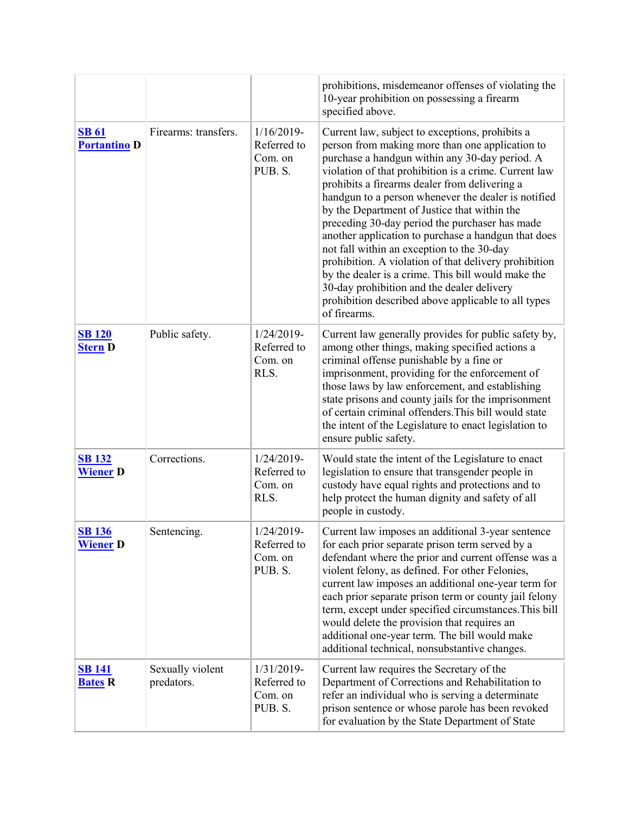|                                     |                                |                                                    | prohibitions, misdemeanor offenses of violating the<br>10-year prohibition on possessing a firearm<br>specified above.                                                                                                                                                                                                                                                                                                                                                                                                                                                                                                                                                                                                                                           |
|-------------------------------------|--------------------------------|----------------------------------------------------|------------------------------------------------------------------------------------------------------------------------------------------------------------------------------------------------------------------------------------------------------------------------------------------------------------------------------------------------------------------------------------------------------------------------------------------------------------------------------------------------------------------------------------------------------------------------------------------------------------------------------------------------------------------------------------------------------------------------------------------------------------------|
| <b>SB 61</b><br><b>Portantino D</b> | Firearms: transfers.           | $1/16/2019$ -<br>Referred to<br>Com. on<br>PUB. S. | Current law, subject to exceptions, prohibits a<br>person from making more than one application to<br>purchase a handgun within any 30-day period. A<br>violation of that prohibition is a crime. Current law<br>prohibits a firearms dealer from delivering a<br>handgun to a person whenever the dealer is notified<br>by the Department of Justice that within the<br>preceding 30-day period the purchaser has made<br>another application to purchase a handgun that does<br>not fall within an exception to the 30-day<br>prohibition. A violation of that delivery prohibition<br>by the dealer is a crime. This bill would make the<br>30-day prohibition and the dealer delivery<br>prohibition described above applicable to all types<br>of firearms. |
| <b>SB 120</b><br><b>Stern D</b>     | Public safety.                 | 1/24/2019-<br>Referred to<br>Com. on<br>RLS.       | Current law generally provides for public safety by,<br>among other things, making specified actions a<br>criminal offense punishable by a fine or<br>imprisonment, providing for the enforcement of<br>those laws by law enforcement, and establishing<br>state prisons and county jails for the imprisonment<br>of certain criminal offenders. This bill would state<br>the intent of the Legislature to enact legislation to<br>ensure public safety.                                                                                                                                                                                                                                                                                                         |
| <b>SB 132</b><br><b>Wiener D</b>    | Corrections.                   | 1/24/2019-<br>Referred to<br>Com. on<br>RLS.       | Would state the intent of the Legislature to enact<br>legislation to ensure that transgender people in<br>custody have equal rights and protections and to<br>help protect the human dignity and safety of all<br>people in custody.                                                                                                                                                                                                                                                                                                                                                                                                                                                                                                                             |
| <b>SB 136</b><br><b>Wiener D</b>    | Sentencing.                    | 1/24/2019-<br>Referred to<br>Com. on<br>PUB. S.    | Current law imposes an additional 3-year sentence<br>for each prior separate prison term served by a<br>defendant where the prior and current offense was a<br>violent felony, as defined. For other Felonies,<br>current law imposes an additional one-year term for<br>each prior separate prison term or county jail felony<br>term, except under specified circumstances. This bill<br>would delete the provision that requires an<br>additional one-year term. The bill would make<br>additional technical, nonsubstantive changes.                                                                                                                                                                                                                         |
| <b>SB 141</b><br><b>Bates R</b>     | Sexually violent<br>predators. | 1/31/2019-<br>Referred to<br>Com. on<br>PUB. S.    | Current law requires the Secretary of the<br>Department of Corrections and Rehabilitation to<br>refer an individual who is serving a determinate<br>prison sentence or whose parole has been revoked<br>for evaluation by the State Department of State                                                                                                                                                                                                                                                                                                                                                                                                                                                                                                          |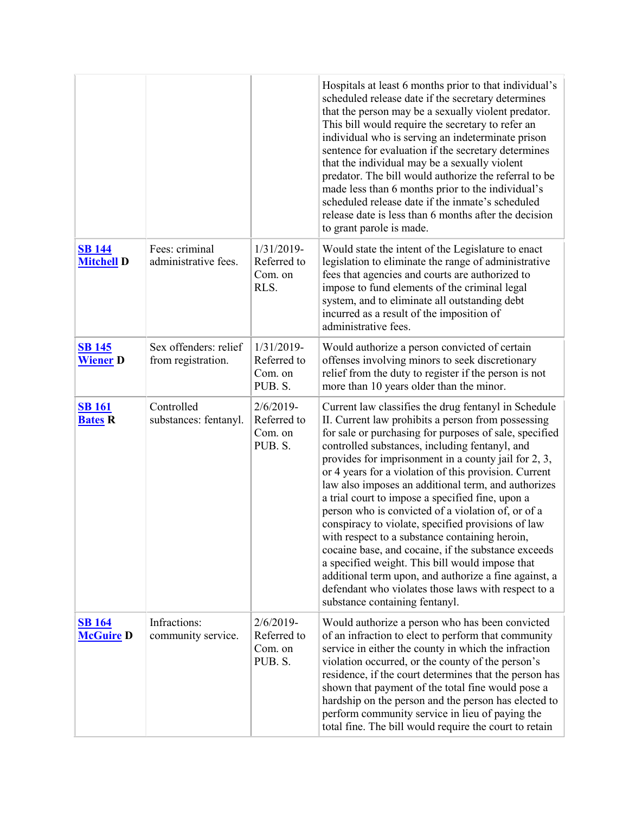|                                    |                                             |                                                   | Hospitals at least 6 months prior to that individual's<br>scheduled release date if the secretary determines<br>that the person may be a sexually violent predator.<br>This bill would require the secretary to refer an<br>individual who is serving an indeterminate prison<br>sentence for evaluation if the secretary determines<br>that the individual may be a sexually violent<br>predator. The bill would authorize the referral to be<br>made less than 6 months prior to the individual's<br>scheduled release date if the inmate's scheduled<br>release date is less than 6 months after the decision<br>to grant parole is made.                                                                                                                                                                                                                                 |
|------------------------------------|---------------------------------------------|---------------------------------------------------|------------------------------------------------------------------------------------------------------------------------------------------------------------------------------------------------------------------------------------------------------------------------------------------------------------------------------------------------------------------------------------------------------------------------------------------------------------------------------------------------------------------------------------------------------------------------------------------------------------------------------------------------------------------------------------------------------------------------------------------------------------------------------------------------------------------------------------------------------------------------------|
| <b>SB 144</b><br><b>Mitchell D</b> | Fees: criminal<br>administrative fees.      | 1/31/2019-<br>Referred to<br>Com. on<br>RLS.      | Would state the intent of the Legislature to enact<br>legislation to eliminate the range of administrative<br>fees that agencies and courts are authorized to<br>impose to fund elements of the criminal legal<br>system, and to eliminate all outstanding debt<br>incurred as a result of the imposition of<br>administrative fees.                                                                                                                                                                                                                                                                                                                                                                                                                                                                                                                                         |
| <b>SB 145</b><br><b>Wiener D</b>   | Sex offenders: relief<br>from registration. | 1/31/2019-<br>Referred to<br>Com. on<br>PUB. S.   | Would authorize a person convicted of certain<br>offenses involving minors to seek discretionary<br>relief from the duty to register if the person is not<br>more than 10 years older than the minor.                                                                                                                                                                                                                                                                                                                                                                                                                                                                                                                                                                                                                                                                        |
| <b>SB 161</b><br><b>Bates R</b>    | Controlled<br>substances: fentanyl.         | $2/6/2019-$<br>Referred to<br>Com. on<br>PUB. S.  | Current law classifies the drug fentanyl in Schedule<br>II. Current law prohibits a person from possessing<br>for sale or purchasing for purposes of sale, specified<br>controlled substances, including fentanyl, and<br>provides for imprisonment in a county jail for 2, 3,<br>or 4 years for a violation of this provision. Current<br>law also imposes an additional term, and authorizes<br>a trial court to impose a specified fine, upon a<br>person who is convicted of a violation of, or of a<br>conspiracy to violate, specified provisions of law<br>with respect to a substance containing heroin,<br>cocaine base, and cocaine, if the substance exceeds<br>a specified weight. This bill would impose that<br>additional term upon, and authorize a fine against, a<br>defendant who violates those laws with respect to a<br>substance containing fentanyl. |
| <b>SB</b> 164<br><b>McGuire D</b>  | Infractions:<br>community service.          | $2/6/2019$ -<br>Referred to<br>Com. on<br>PUB. S. | Would authorize a person who has been convicted<br>of an infraction to elect to perform that community<br>service in either the county in which the infraction<br>violation occurred, or the county of the person's<br>residence, if the court determines that the person has<br>shown that payment of the total fine would pose a<br>hardship on the person and the person has elected to<br>perform community service in lieu of paying the<br>total fine. The bill would require the court to retain                                                                                                                                                                                                                                                                                                                                                                      |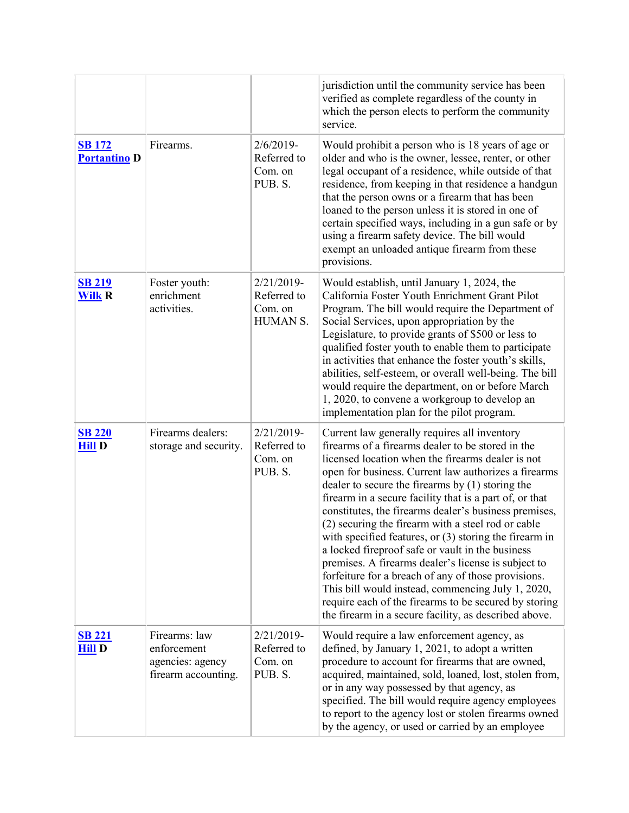|                                      |                                                                         |                                                    | jurisdiction until the community service has been<br>verified as complete regardless of the county in<br>which the person elects to perform the community<br>service.                                                                                                                                                                                                                                                                                                                                                                                                                                                                                                                                                                                                                                                                             |
|--------------------------------------|-------------------------------------------------------------------------|----------------------------------------------------|---------------------------------------------------------------------------------------------------------------------------------------------------------------------------------------------------------------------------------------------------------------------------------------------------------------------------------------------------------------------------------------------------------------------------------------------------------------------------------------------------------------------------------------------------------------------------------------------------------------------------------------------------------------------------------------------------------------------------------------------------------------------------------------------------------------------------------------------------|
| <b>SB 172</b><br><b>Portantino D</b> | Firearms.                                                               | $2/6/2019$ -<br>Referred to<br>Com. on<br>PUB. S.  | Would prohibit a person who is 18 years of age or<br>older and who is the owner, lessee, renter, or other<br>legal occupant of a residence, while outside of that<br>residence, from keeping in that residence a handgun<br>that the person owns or a firearm that has been<br>loaned to the person unless it is stored in one of<br>certain specified ways, including in a gun safe or by<br>using a firearm safety device. The bill would<br>exempt an unloaded antique firearm from these<br>provisions.                                                                                                                                                                                                                                                                                                                                       |
| <b>SB 219</b><br><b>Wilk R</b>       | Foster youth:<br>enrichment<br>activities.                              | 2/21/2019-<br>Referred to<br>Com. on<br>HUMAN S.   | Would establish, until January 1, 2024, the<br>California Foster Youth Enrichment Grant Pilot<br>Program. The bill would require the Department of<br>Social Services, upon appropriation by the<br>Legislature, to provide grants of \$500 or less to<br>qualified foster youth to enable them to participate<br>in activities that enhance the foster youth's skills,<br>abilities, self-esteem, or overall well-being. The bill<br>would require the department, on or before March<br>1, 2020, to convene a workgroup to develop an<br>implementation plan for the pilot program.                                                                                                                                                                                                                                                             |
| <b>SB 220</b><br><b>Hill D</b>       | Firearms dealers:<br>storage and security.                              | $2/21/2019$ -<br>Referred to<br>Com. on<br>PUB. S. | Current law generally requires all inventory<br>firearms of a firearms dealer to be stored in the<br>licensed location when the firearms dealer is not<br>open for business. Current law authorizes a firearms<br>dealer to secure the firearms by $(1)$ storing the<br>firearm in a secure facility that is a part of, or that<br>constitutes, the firearms dealer's business premises,<br>(2) securing the firearm with a steel rod or cable<br>with specified features, or (3) storing the firearm in<br>a locked fireproof safe or vault in the business<br>premises. A firearms dealer's license is subject to<br>forfeiture for a breach of any of those provisions.<br>This bill would instead, commencing July 1, 2020,<br>require each of the firearms to be secured by storing<br>the firearm in a secure facility, as described above. |
| <b>SB 221</b><br><b>Hill D</b>       | Firearms: law<br>enforcement<br>agencies: agency<br>firearm accounting. | $2/21/2019$ -<br>Referred to<br>Com. on<br>PUB. S. | Would require a law enforcement agency, as<br>defined, by January 1, 2021, to adopt a written<br>procedure to account for firearms that are owned,<br>acquired, maintained, sold, loaned, lost, stolen from,<br>or in any way possessed by that agency, as<br>specified. The bill would require agency employees<br>to report to the agency lost or stolen firearms owned<br>by the agency, or used or carried by an employee                                                                                                                                                                                                                                                                                                                                                                                                                     |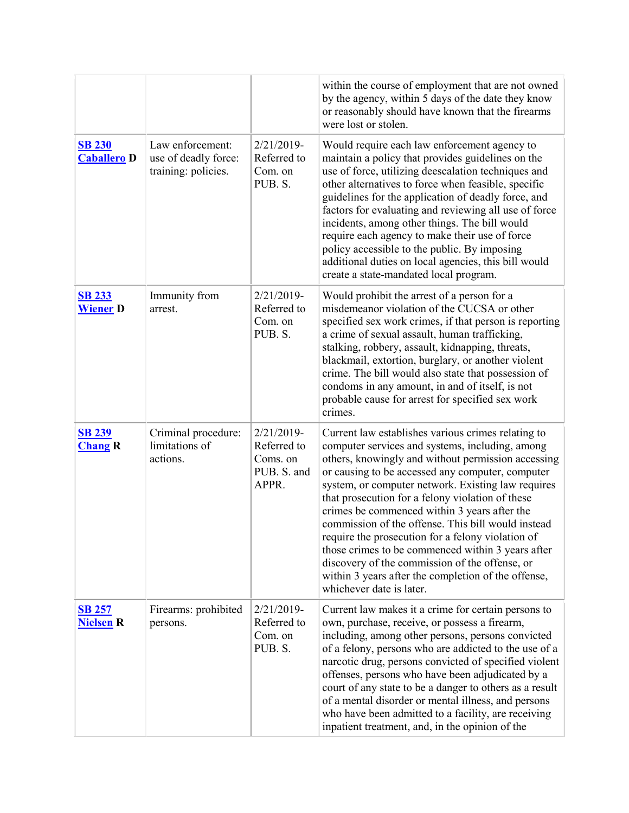|                                     |                                                                 |                                                               | within the course of employment that are not owned<br>by the agency, within 5 days of the date they know<br>or reasonably should have known that the firearms<br>were lost or stolen.                                                                                                                                                                                                                                                                                                                                                                                                                                                                                          |
|-------------------------------------|-----------------------------------------------------------------|---------------------------------------------------------------|--------------------------------------------------------------------------------------------------------------------------------------------------------------------------------------------------------------------------------------------------------------------------------------------------------------------------------------------------------------------------------------------------------------------------------------------------------------------------------------------------------------------------------------------------------------------------------------------------------------------------------------------------------------------------------|
| <b>SB 230</b><br><b>Caballero</b> D | Law enforcement:<br>use of deadly force:<br>training: policies. | 2/21/2019-<br>Referred to<br>Com. on<br>PUB. S.               | Would require each law enforcement agency to<br>maintain a policy that provides guidelines on the<br>use of force, utilizing deescalation techniques and<br>other alternatives to force when feasible, specific<br>guidelines for the application of deadly force, and<br>factors for evaluating and reviewing all use of force<br>incidents, among other things. The bill would<br>require each agency to make their use of force<br>policy accessible to the public. By imposing<br>additional duties on local agencies, this bill would<br>create a state-mandated local program.                                                                                           |
| <b>SB 233</b><br><b>Wiener D</b>    | Immunity from<br>arrest.                                        | 2/21/2019-<br>Referred to<br>Com. on<br>PUB. S.               | Would prohibit the arrest of a person for a<br>misdemeanor violation of the CUCSA or other<br>specified sex work crimes, if that person is reporting<br>a crime of sexual assault, human trafficking,<br>stalking, robbery, assault, kidnapping, threats,<br>blackmail, extortion, burglary, or another violent<br>crime. The bill would also state that possession of<br>condoms in any amount, in and of itself, is not<br>probable cause for arrest for specified sex work<br>crimes.                                                                                                                                                                                       |
| <b>SB 239</b><br><b>Chang R</b>     | Criminal procedure:<br>limitations of<br>actions.               | 2/21/2019-<br>Referred to<br>Coms. on<br>PUB. S. and<br>APPR. | Current law establishes various crimes relating to<br>computer services and systems, including, among<br>others, knowingly and without permission accessing<br>or causing to be accessed any computer, computer<br>system, or computer network. Existing law requires<br>that prosecution for a felony violation of these<br>crimes be commenced within 3 years after the<br>commission of the offense. This bill would instead<br>require the prosecution for a felony violation of<br>those crimes to be commenced within 3 years after<br>discovery of the commission of the offense, or<br>within 3 years after the completion of the offense,<br>whichever date is later. |
| <b>SB 257</b><br><b>Nielsen R</b>   | Firearms: prohibited<br>persons.                                | 2/21/2019-<br>Referred to<br>Com. on<br>PUB. S.               | Current law makes it a crime for certain persons to<br>own, purchase, receive, or possess a firearm,<br>including, among other persons, persons convicted<br>of a felony, persons who are addicted to the use of a<br>narcotic drug, persons convicted of specified violent<br>offenses, persons who have been adjudicated by a<br>court of any state to be a danger to others as a result<br>of a mental disorder or mental illness, and persons<br>who have been admitted to a facility, are receiving<br>inpatient treatment, and, in the opinion of the                                                                                                                    |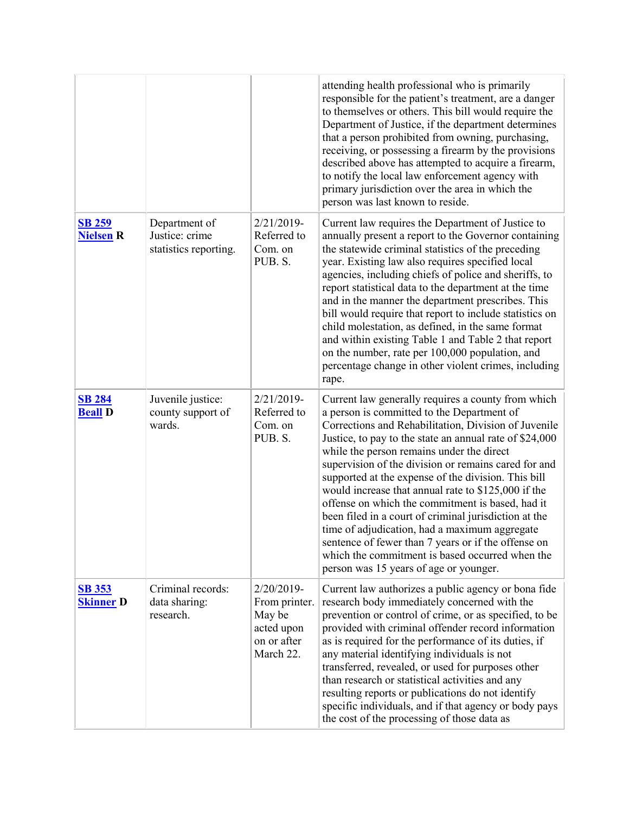|                                   |                                                          |                                                                                 | attending health professional who is primarily<br>responsible for the patient's treatment, are a danger<br>to themselves or others. This bill would require the<br>Department of Justice, if the department determines<br>that a person prohibited from owning, purchasing,<br>receiving, or possessing a firearm by the provisions<br>described above has attempted to acquire a firearm,<br>to notify the local law enforcement agency with<br>primary jurisdiction over the area in which the<br>person was last known to reside.                                                                                                                                                                                                                     |
|-----------------------------------|----------------------------------------------------------|---------------------------------------------------------------------------------|----------------------------------------------------------------------------------------------------------------------------------------------------------------------------------------------------------------------------------------------------------------------------------------------------------------------------------------------------------------------------------------------------------------------------------------------------------------------------------------------------------------------------------------------------------------------------------------------------------------------------------------------------------------------------------------------------------------------------------------------------------|
| <b>SB 259</b><br><b>Nielsen R</b> | Department of<br>Justice: crime<br>statistics reporting. | 2/21/2019-<br>Referred to<br>Com. on<br>PUB. S.                                 | Current law requires the Department of Justice to<br>annually present a report to the Governor containing<br>the statewide criminal statistics of the preceding<br>year. Existing law also requires specified local<br>agencies, including chiefs of police and sheriffs, to<br>report statistical data to the department at the time<br>and in the manner the department prescribes. This<br>bill would require that report to include statistics on<br>child molestation, as defined, in the same format<br>and within existing Table 1 and Table 2 that report<br>on the number, rate per 100,000 population, and<br>percentage change in other violent crimes, including<br>rape.                                                                    |
| <b>SB 284</b><br><b>Beall</b> D   | Juvenile justice:<br>county support of<br>wards.         | 2/21/2019-<br>Referred to<br>Com. on<br>PUB. S.                                 | Current law generally requires a county from which<br>a person is committed to the Department of<br>Corrections and Rehabilitation, Division of Juvenile<br>Justice, to pay to the state an annual rate of \$24,000<br>while the person remains under the direct<br>supervision of the division or remains cared for and<br>supported at the expense of the division. This bill<br>would increase that annual rate to \$125,000 if the<br>offense on which the commitment is based, had it<br>been filed in a court of criminal jurisdiction at the<br>time of adjudication, had a maximum aggregate<br>sentence of fewer than 7 years or if the offense on<br>which the commitment is based occurred when the<br>person was 15 years of age or younger. |
| <b>SB 353</b><br><b>Skinner D</b> | Criminal records:<br>data sharing:<br>research.          | 2/20/2019-<br>From printer.<br>May be<br>acted upon<br>on or after<br>March 22. | Current law authorizes a public agency or bona fide<br>research body immediately concerned with the<br>prevention or control of crime, or as specified, to be<br>provided with criminal offender record information<br>as is required for the performance of its duties, if<br>any material identifying individuals is not<br>transferred, revealed, or used for purposes other<br>than research or statistical activities and any<br>resulting reports or publications do not identify<br>specific individuals, and if that agency or body pays<br>the cost of the processing of those data as                                                                                                                                                          |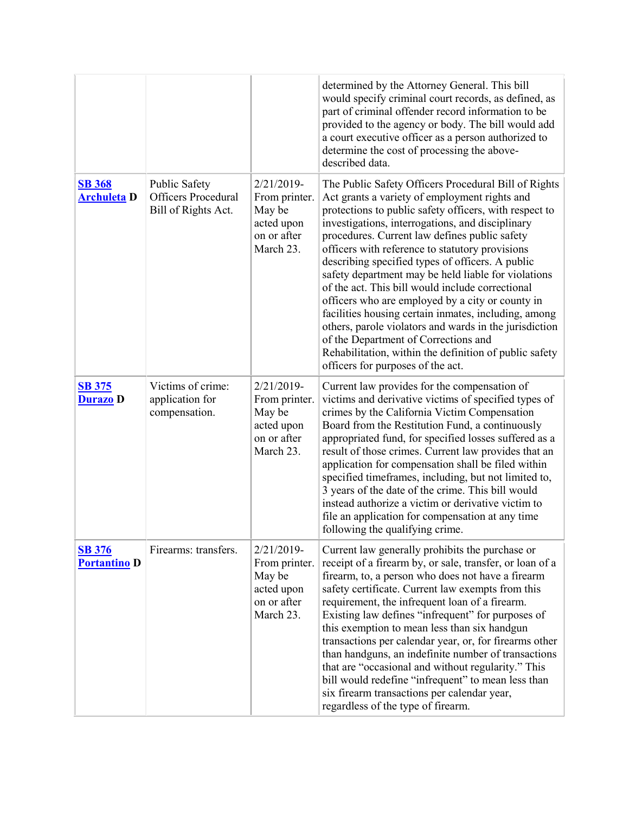|                                      |                                                             |                                                                                 | determined by the Attorney General. This bill<br>would specify criminal court records, as defined, as<br>part of criminal offender record information to be<br>provided to the agency or body. The bill would add<br>a court executive officer as a person authorized to<br>determine the cost of processing the above-<br>described data.                                                                                                                                                                                                                                                                                                                                                                                                                                                          |
|--------------------------------------|-------------------------------------------------------------|---------------------------------------------------------------------------------|-----------------------------------------------------------------------------------------------------------------------------------------------------------------------------------------------------------------------------------------------------------------------------------------------------------------------------------------------------------------------------------------------------------------------------------------------------------------------------------------------------------------------------------------------------------------------------------------------------------------------------------------------------------------------------------------------------------------------------------------------------------------------------------------------------|
| <b>SB 368</b><br><b>Archuleta</b> D  | Public Safety<br>Officers Procedural<br>Bill of Rights Act. | 2/21/2019-<br>From printer.<br>May be<br>acted upon<br>on or after<br>March 23. | The Public Safety Officers Procedural Bill of Rights<br>Act grants a variety of employment rights and<br>protections to public safety officers, with respect to<br>investigations, interrogations, and disciplinary<br>procedures. Current law defines public safety<br>officers with reference to statutory provisions<br>describing specified types of officers. A public<br>safety department may be held liable for violations<br>of the act. This bill would include correctional<br>officers who are employed by a city or county in<br>facilities housing certain inmates, including, among<br>others, parole violators and wards in the jurisdiction<br>of the Department of Corrections and<br>Rehabilitation, within the definition of public safety<br>officers for purposes of the act. |
| <b>SB 375</b><br><b>Durazo</b> D     | Victims of crime:<br>application for<br>compensation.       | 2/21/2019-<br>From printer.<br>May be<br>acted upon<br>on or after<br>March 23. | Current law provides for the compensation of<br>victims and derivative victims of specified types of<br>crimes by the California Victim Compensation<br>Board from the Restitution Fund, a continuously<br>appropriated fund, for specified losses suffered as a<br>result of those crimes. Current law provides that an<br>application for compensation shall be filed within<br>specified timeframes, including, but not limited to,<br>3 years of the date of the crime. This bill would<br>instead authorize a victim or derivative victim to<br>file an application for compensation at any time<br>following the qualifying crime.                                                                                                                                                            |
| <b>SB 376</b><br><b>Portantino D</b> | Firearms: transfers.                                        | 2/21/2019-<br>From printer.<br>May be<br>acted upon<br>on or after<br>March 23. | Current law generally prohibits the purchase or<br>receipt of a firearm by, or sale, transfer, or loan of a<br>firearm, to, a person who does not have a firearm<br>safety certificate. Current law exempts from this<br>requirement, the infrequent loan of a firearm.<br>Existing law defines "infrequent" for purposes of<br>this exemption to mean less than six handgun<br>transactions per calendar year, or, for firearms other<br>than handguns, an indefinite number of transactions<br>that are "occasional and without regularity." This<br>bill would redefine "infrequent" to mean less than<br>six firearm transactions per calendar year,<br>regardless of the type of firearm.                                                                                                      |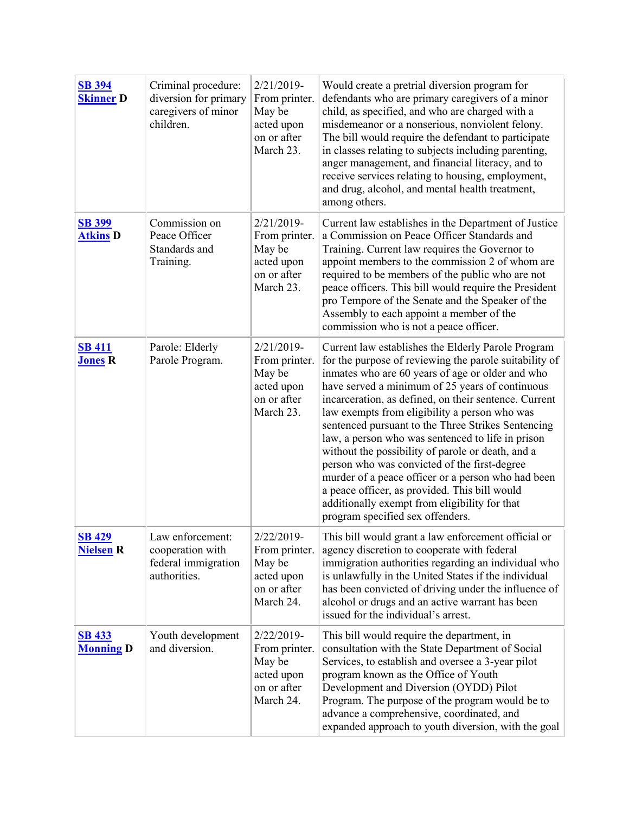| <b>SB 394</b><br><b>Skinner D</b> | Criminal procedure:<br>diversion for primary<br>caregivers of minor<br>children. | 2/21/2019-<br>From printer.<br>May be<br>acted upon<br>on or after<br>March 23. | Would create a pretrial diversion program for<br>defendants who are primary caregivers of a minor<br>child, as specified, and who are charged with a<br>misdemeanor or a nonserious, nonviolent felony.<br>The bill would require the defendant to participate<br>in classes relating to subjects including parenting,<br>anger management, and financial literacy, and to<br>receive services relating to housing, employment,<br>and drug, alcohol, and mental health treatment,<br>among others.                                                                                                                                                                                                                                       |
|-----------------------------------|----------------------------------------------------------------------------------|---------------------------------------------------------------------------------|-------------------------------------------------------------------------------------------------------------------------------------------------------------------------------------------------------------------------------------------------------------------------------------------------------------------------------------------------------------------------------------------------------------------------------------------------------------------------------------------------------------------------------------------------------------------------------------------------------------------------------------------------------------------------------------------------------------------------------------------|
| <b>SB 399</b><br><b>Atkins D</b>  | Commission on<br>Peace Officer<br>Standards and<br>Training.                     | 2/21/2019-<br>From printer.<br>May be<br>acted upon<br>on or after<br>March 23. | Current law establishes in the Department of Justice<br>a Commission on Peace Officer Standards and<br>Training. Current law requires the Governor to<br>appoint members to the commission 2 of whom are<br>required to be members of the public who are not<br>peace officers. This bill would require the President<br>pro Tempore of the Senate and the Speaker of the<br>Assembly to each appoint a member of the<br>commission who is not a peace officer.                                                                                                                                                                                                                                                                           |
| <b>SB 411</b><br><b>Jones R</b>   | Parole: Elderly<br>Parole Program.                                               | 2/21/2019-<br>From printer.<br>May be<br>acted upon<br>on or after<br>March 23. | Current law establishes the Elderly Parole Program<br>for the purpose of reviewing the parole suitability of<br>inmates who are 60 years of age or older and who<br>have served a minimum of 25 years of continuous<br>incarceration, as defined, on their sentence. Current<br>law exempts from eligibility a person who was<br>sentenced pursuant to the Three Strikes Sentencing<br>law, a person who was sentenced to life in prison<br>without the possibility of parole or death, and a<br>person who was convicted of the first-degree<br>murder of a peace officer or a person who had been<br>a peace officer, as provided. This bill would<br>additionally exempt from eligibility for that<br>program specified sex offenders. |
| <b>SB 429</b><br><b>Nielsen R</b> | Law enforcement:<br>cooperation with<br>federal immigration<br>authorities.      | 2/22/2019-<br>From printer.<br>May be<br>acted upon<br>on or after<br>March 24. | This bill would grant a law enforcement official or<br>agency discretion to cooperate with federal<br>immigration authorities regarding an individual who<br>is unlawfully in the United States if the individual<br>has been convicted of driving under the influence of<br>alcohol or drugs and an active warrant has been<br>issued for the individual's arrest.                                                                                                                                                                                                                                                                                                                                                                       |
| <b>SB 433</b><br><b>Monning D</b> | Youth development<br>and diversion.                                              | 2/22/2019-<br>From printer.<br>May be<br>acted upon<br>on or after<br>March 24. | This bill would require the department, in<br>consultation with the State Department of Social<br>Services, to establish and oversee a 3-year pilot<br>program known as the Office of Youth<br>Development and Diversion (OYDD) Pilot<br>Program. The purpose of the program would be to<br>advance a comprehensive, coordinated, and<br>expanded approach to youth diversion, with the goal                                                                                                                                                                                                                                                                                                                                              |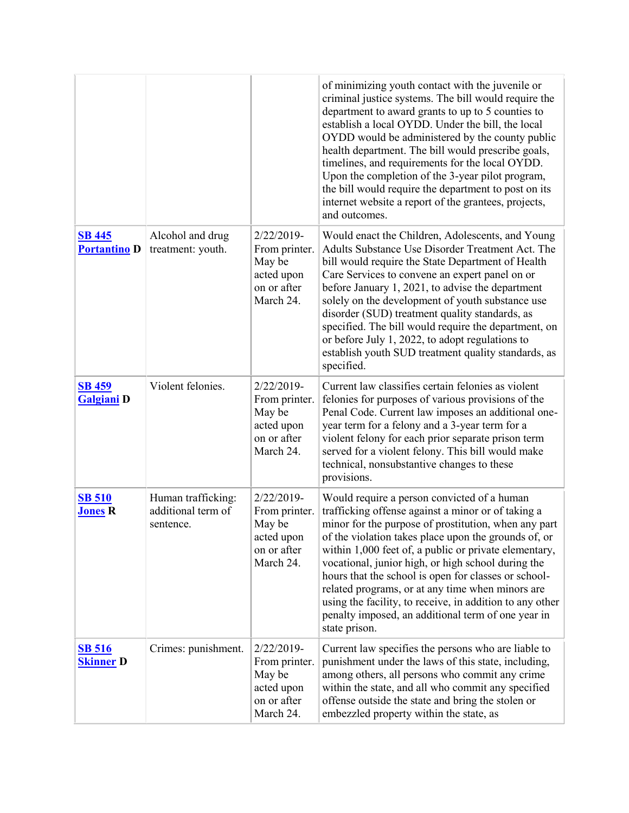|                                      |                                                       |                                                                                 | of minimizing youth contact with the juvenile or<br>criminal justice systems. The bill would require the<br>department to award grants to up to 5 counties to<br>establish a local OYDD. Under the bill, the local<br>OYDD would be administered by the county public<br>health department. The bill would prescribe goals,<br>timelines, and requirements for the local OYDD.<br>Upon the completion of the 3-year pilot program,<br>the bill would require the department to post on its<br>internet website a report of the grantees, projects,<br>and outcomes.             |
|--------------------------------------|-------------------------------------------------------|---------------------------------------------------------------------------------|---------------------------------------------------------------------------------------------------------------------------------------------------------------------------------------------------------------------------------------------------------------------------------------------------------------------------------------------------------------------------------------------------------------------------------------------------------------------------------------------------------------------------------------------------------------------------------|
| <b>SB 445</b><br><b>Portantino D</b> | Alcohol and drug<br>treatment: youth.                 | 2/22/2019-<br>From printer.<br>May be<br>acted upon<br>on or after<br>March 24. | Would enact the Children, Adolescents, and Young<br>Adults Substance Use Disorder Treatment Act. The<br>bill would require the State Department of Health<br>Care Services to convene an expert panel on or<br>before January 1, 2021, to advise the department<br>solely on the development of youth substance use<br>disorder (SUD) treatment quality standards, as<br>specified. The bill would require the department, on<br>or before July 1, 2022, to adopt regulations to<br>establish youth SUD treatment quality standards, as<br>specified.                           |
| <b>SB 459</b><br><b>Galgiani D</b>   | Violent felonies.                                     | 2/22/2019-<br>From printer.<br>May be<br>acted upon<br>on or after<br>March 24. | Current law classifies certain felonies as violent<br>felonies for purposes of various provisions of the<br>Penal Code. Current law imposes an additional one-<br>year term for a felony and a 3-year term for a<br>violent felony for each prior separate prison term<br>served for a violent felony. This bill would make<br>technical, nonsubstantive changes to these<br>provisions.                                                                                                                                                                                        |
| <b>SB 510</b><br><b>Jones R</b>      | Human trafficking:<br>additional term of<br>sentence. | 2/22/2019-<br>From printer.<br>May be<br>acted upon<br>on or after<br>March 24. | Would require a person convicted of a human<br>trafficking offense against a minor or of taking a<br>minor for the purpose of prostitution, when any part<br>of the violation takes place upon the grounds of, or<br>within 1,000 feet of, a public or private elementary,<br>vocational, junior high, or high school during the<br>hours that the school is open for classes or school-<br>related programs, or at any time when minors are<br>using the facility, to receive, in addition to any other<br>penalty imposed, an additional term of one year in<br>state prison. |
| <b>SB 516</b><br><b>Skinner D</b>    | Crimes: punishment.                                   | 2/22/2019-<br>From printer.<br>May be<br>acted upon<br>on or after<br>March 24. | Current law specifies the persons who are liable to<br>punishment under the laws of this state, including,<br>among others, all persons who commit any crime<br>within the state, and all who commit any specified<br>offense outside the state and bring the stolen or<br>embezzled property within the state, as                                                                                                                                                                                                                                                              |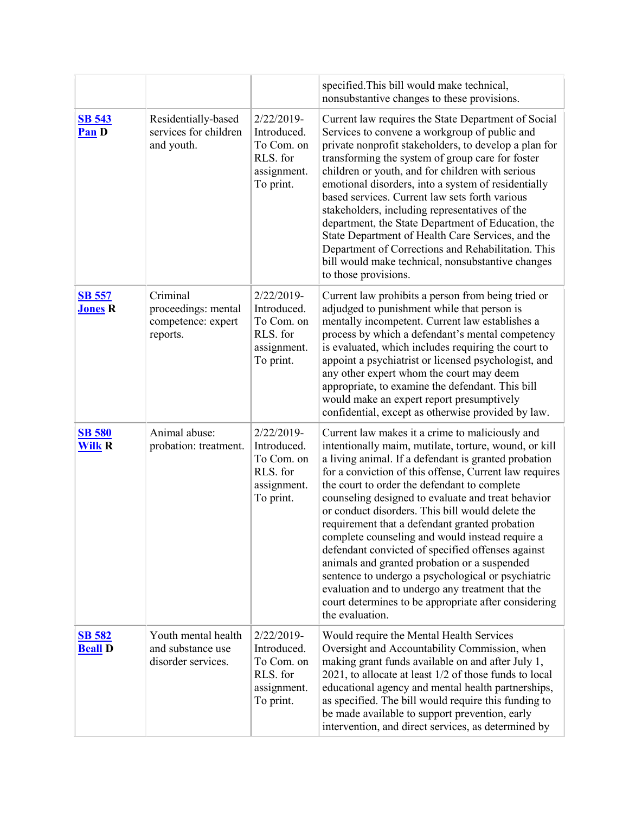|                                 |                                                                   |                                                                                    | specified. This bill would make technical,<br>nonsubstantive changes to these provisions.                                                                                                                                                                                                                                                                                                                                                                                                                                                                                                                                                                                                                                                                                           |
|---------------------------------|-------------------------------------------------------------------|------------------------------------------------------------------------------------|-------------------------------------------------------------------------------------------------------------------------------------------------------------------------------------------------------------------------------------------------------------------------------------------------------------------------------------------------------------------------------------------------------------------------------------------------------------------------------------------------------------------------------------------------------------------------------------------------------------------------------------------------------------------------------------------------------------------------------------------------------------------------------------|
| <b>SB 543</b><br>Pan D          | Residentially-based<br>services for children<br>and youth.        | 2/22/2019-<br>Introduced.<br>To Com. on<br>RLS. for<br>assignment.<br>To print.    | Current law requires the State Department of Social<br>Services to convene a workgroup of public and<br>private nonprofit stakeholders, to develop a plan for<br>transforming the system of group care for foster<br>children or youth, and for children with serious<br>emotional disorders, into a system of residentially<br>based services. Current law sets forth various<br>stakeholders, including representatives of the<br>department, the State Department of Education, the<br>State Department of Health Care Services, and the<br>Department of Corrections and Rehabilitation. This<br>bill would make technical, nonsubstantive changes<br>to those provisions.                                                                                                      |
| <b>SB 557</b><br><b>Jones R</b> | Criminal<br>proceedings: mental<br>competence: expert<br>reports. | $2/22/2019$ -<br>Introduced.<br>To Com. on<br>RLS. for<br>assignment.<br>To print. | Current law prohibits a person from being tried or<br>adjudged to punishment while that person is<br>mentally incompetent. Current law establishes a<br>process by which a defendant's mental competency<br>is evaluated, which includes requiring the court to<br>appoint a psychiatrist or licensed psychologist, and<br>any other expert whom the court may deem<br>appropriate, to examine the defendant. This bill<br>would make an expert report presumptively<br>confidential, except as otherwise provided by law.                                                                                                                                                                                                                                                          |
| <b>SB 580</b><br><b>Wilk R</b>  | Animal abuse:<br>probation: treatment.                            | 2/22/2019-<br>Introduced.<br>To Com. on<br>RLS. for<br>assignment.<br>To print.    | Current law makes it a crime to maliciously and<br>intentionally maim, mutilate, torture, wound, or kill<br>a living animal. If a defendant is granted probation<br>for a conviction of this offense, Current law requires<br>the court to order the defendant to complete<br>counseling designed to evaluate and treat behavior<br>or conduct disorders. This bill would delete the<br>requirement that a defendant granted probation<br>complete counseling and would instead require a<br>defendant convicted of specified offenses against<br>animals and granted probation or a suspended<br>sentence to undergo a psychological or psychiatric<br>evaluation and to undergo any treatment that the<br>court determines to be appropriate after considering<br>the evaluation. |
| <b>SB 582</b><br><b>Beall</b> D | Youth mental health<br>and substance use<br>disorder services.    | 2/22/2019-<br>Introduced.<br>To Com. on<br>RLS. for<br>assignment.<br>To print.    | Would require the Mental Health Services<br>Oversight and Accountability Commission, when<br>making grant funds available on and after July 1,<br>2021, to allocate at least 1/2 of those funds to local<br>educational agency and mental health partnerships,<br>as specified. The bill would require this funding to<br>be made available to support prevention, early<br>intervention, and direct services, as determined by                                                                                                                                                                                                                                                                                                                                                     |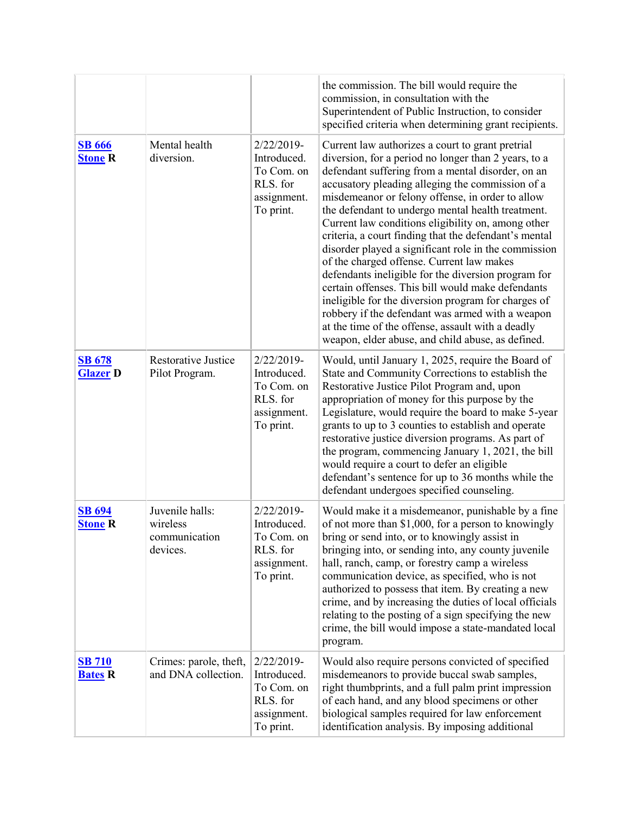|                                  |                                                          |                                                                                 | the commission. The bill would require the<br>commission, in consultation with the<br>Superintendent of Public Instruction, to consider<br>specified criteria when determining grant recipients.                                                                                                                                                                                                                                                                                                                                                                                                                                                                                                                                                                                                                                                                                |
|----------------------------------|----------------------------------------------------------|---------------------------------------------------------------------------------|---------------------------------------------------------------------------------------------------------------------------------------------------------------------------------------------------------------------------------------------------------------------------------------------------------------------------------------------------------------------------------------------------------------------------------------------------------------------------------------------------------------------------------------------------------------------------------------------------------------------------------------------------------------------------------------------------------------------------------------------------------------------------------------------------------------------------------------------------------------------------------|
| <b>SB</b> 666<br><b>Stone R</b>  | Mental health<br>diversion.                              | 2/22/2019-<br>Introduced.<br>To Com. on<br>RLS. for<br>assignment.<br>To print. | Current law authorizes a court to grant pretrial<br>diversion, for a period no longer than 2 years, to a<br>defendant suffering from a mental disorder, on an<br>accusatory pleading alleging the commission of a<br>misdemeanor or felony offense, in order to allow<br>the defendant to undergo mental health treatment.<br>Current law conditions eligibility on, among other<br>criteria, a court finding that the defendant's mental<br>disorder played a significant role in the commission<br>of the charged offense. Current law makes<br>defendants ineligible for the diversion program for<br>certain offenses. This bill would make defendants<br>ineligible for the diversion program for charges of<br>robbery if the defendant was armed with a weapon<br>at the time of the offense, assault with a deadly<br>weapon, elder abuse, and child abuse, as defined. |
| <b>SB 678</b><br><b>Glazer D</b> | <b>Restorative Justice</b><br>Pilot Program.             | 2/22/2019-<br>Introduced.<br>To Com. on<br>RLS. for<br>assignment.<br>To print. | Would, until January 1, 2025, require the Board of<br>State and Community Corrections to establish the<br>Restorative Justice Pilot Program and, upon<br>appropriation of money for this purpose by the<br>Legislature, would require the board to make 5-year<br>grants to up to 3 counties to establish and operate<br>restorative justice diversion programs. As part of<br>the program, commencing January 1, 2021, the bill<br>would require a court to defer an eligible<br>defendant's sentence for up to 36 months while the<br>defendant undergoes specified counseling.                                                                                                                                                                                                                                                                                               |
| <b>SB 694</b><br><b>Stone R</b>  | Juvenile halls:<br>wireless<br>communication<br>devices. | 2/22/2019-<br>Introduced.<br>To Com. on<br>RLS. for<br>assignment.<br>To print. | Would make it a misdemeanor, punishable by a fine<br>of not more than \$1,000, for a person to knowingly<br>bring or send into, or to knowingly assist in<br>bringing into, or sending into, any county juvenile<br>hall, ranch, camp, or forestry camp a wireless<br>communication device, as specified, who is not<br>authorized to possess that item. By creating a new<br>crime, and by increasing the duties of local officials<br>relating to the posting of a sign specifying the new<br>crime, the bill would impose a state-mandated local<br>program.                                                                                                                                                                                                                                                                                                                 |
| <b>SB 710</b><br><b>Bates R</b>  | Crimes: parole, theft,<br>and DNA collection.            | 2/22/2019-<br>Introduced.<br>To Com. on<br>RLS. for<br>assignment.<br>To print. | Would also require persons convicted of specified<br>misdemeanors to provide buccal swab samples,<br>right thumbprints, and a full palm print impression<br>of each hand, and any blood specimens or other<br>biological samples required for law enforcement<br>identification analysis. By imposing additional                                                                                                                                                                                                                                                                                                                                                                                                                                                                                                                                                                |